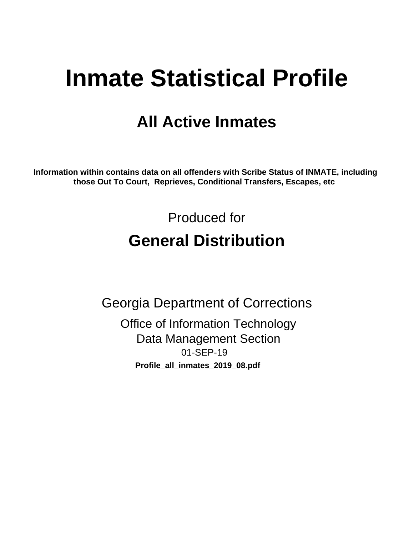# **Inmate Statistical Profile**

## **All Active Inmates**

Information within contains data on all offenders with Scribe Status of INMATE, including those Out To Court, Reprieves, Conditional Transfers, Escapes, etc

> Produced for **General Distribution**

**Georgia Department of Corrections Office of Information Technology Data Management Section** 01-SEP-19

Profile\_all\_inmates\_2019\_08.pdf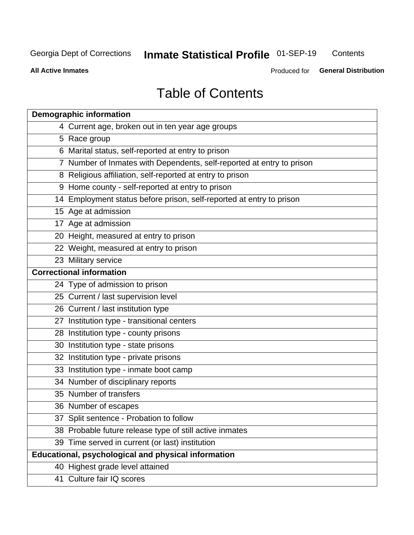#### **Inmate Statistical Profile 01-SEP-19** Contents

**All Active Inmates** 

Produced for General Distribution

## **Table of Contents**

| <b>Demographic information</b>                                        |
|-----------------------------------------------------------------------|
| 4 Current age, broken out in ten year age groups                      |
| 5 Race group                                                          |
| 6 Marital status, self-reported at entry to prison                    |
| 7 Number of Inmates with Dependents, self-reported at entry to prison |
| 8 Religious affiliation, self-reported at entry to prison             |
| 9 Home county - self-reported at entry to prison                      |
| 14 Employment status before prison, self-reported at entry to prison  |
| 15 Age at admission                                                   |
| 17 Age at admission                                                   |
| 20 Height, measured at entry to prison                                |
| 22 Weight, measured at entry to prison                                |
| 23 Military service                                                   |
| <b>Correctional information</b>                                       |
| 24 Type of admission to prison                                        |
| 25 Current / last supervision level                                   |
| 26 Current / last institution type                                    |
| 27 Institution type - transitional centers                            |
| 28 Institution type - county prisons                                  |
| 30 Institution type - state prisons                                   |
| 32 Institution type - private prisons                                 |
| 33 Institution type - inmate boot camp                                |
| 34 Number of disciplinary reports                                     |
| 35 Number of transfers                                                |
| 36 Number of escapes                                                  |
| 37 Split sentence - Probation to follow                               |
| 38 Probable future release type of still active inmates               |
| 39 Time served in current (or last) institution                       |
| Educational, psychological and physical information                   |
| 40 Highest grade level attained                                       |
| 41 Culture fair IQ scores                                             |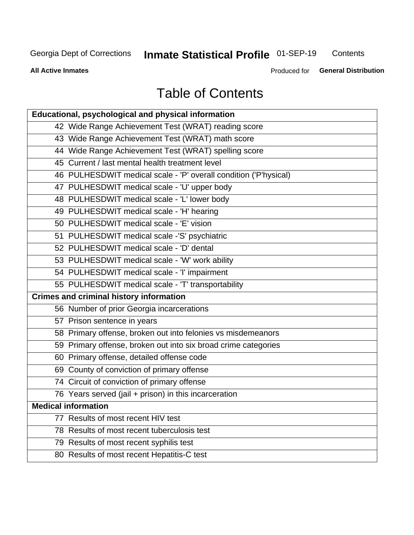## **Inmate Statistical Profile 01-SEP-19**

Contents

**All Active Inmates** 

Produced for General Distribution

## **Table of Contents**

| Educational, psychological and physical information              |
|------------------------------------------------------------------|
| 42 Wide Range Achievement Test (WRAT) reading score              |
| 43 Wide Range Achievement Test (WRAT) math score                 |
| 44 Wide Range Achievement Test (WRAT) spelling score             |
| 45 Current / last mental health treatment level                  |
| 46 PULHESDWIT medical scale - 'P' overall condition ('P'hysical) |
| 47 PULHESDWIT medical scale - 'U' upper body                     |
| 48 PULHESDWIT medical scale - 'L' lower body                     |
| 49 PULHESDWIT medical scale - 'H' hearing                        |
| 50 PULHESDWIT medical scale - 'E' vision                         |
| 51 PULHESDWIT medical scale -'S' psychiatric                     |
| 52 PULHESDWIT medical scale - 'D' dental                         |
| 53 PULHESDWIT medical scale - 'W' work ability                   |
| 54 PULHESDWIT medical scale - 'I' impairment                     |
| 55 PULHESDWIT medical scale - 'T' transportability               |
| <b>Crimes and criminal history information</b>                   |
| 56 Number of prior Georgia incarcerations                        |
| 57 Prison sentence in years                                      |
| 58 Primary offense, broken out into felonies vs misdemeanors     |
| 59 Primary offense, broken out into six broad crime categories   |
| 60 Primary offense, detailed offense code                        |
| 69 County of conviction of primary offense                       |
| 74 Circuit of conviction of primary offense                      |
| 76 Years served (jail + prison) in this incarceration            |
| <b>Medical information</b>                                       |
| 77 Results of most recent HIV test                               |
| 78 Results of most recent tuberculosis test                      |
| 79 Results of most recent syphilis test                          |
| 80 Results of most recent Hepatitis-C test                       |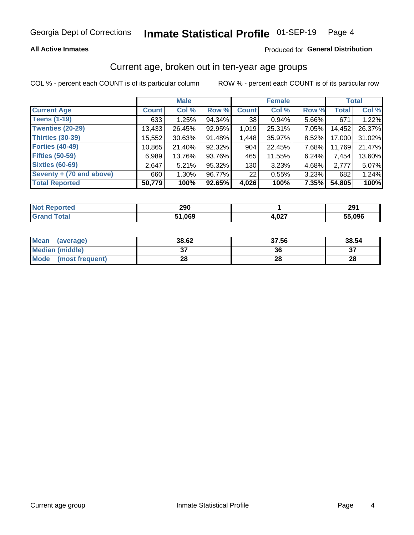#### Inmate Statistical Profile 01-SEP-19 Page 4

#### **All Active Inmates**

#### Produced for General Distribution

### Current age, broken out in ten-year age groups

COL % - percent each COUNT is of its particular column

|                          | <b>Male</b>  |          |        | <b>Female</b> |        |       | <b>Total</b> |        |
|--------------------------|--------------|----------|--------|---------------|--------|-------|--------------|--------|
| <b>Current Age</b>       | <b>Count</b> | Col %    | Row %  | <b>Count</b>  | Col %  | Row % | <b>Total</b> | Col %  |
| <b>Teens (1-19)</b>      | 633          | 1.25%    | 94.34% | 38            | 0.94%  | 5.66% | 671          | 1.22%  |
| <b>Twenties (20-29)</b>  | 13,433       | 26.45%   | 92.95% | 1,019         | 25.31% | 7.05% | 14,452       | 26.37% |
| <b>Thirties (30-39)</b>  | 15,552       | 30.63%   | 91.48% | 1,448         | 35.97% | 8.52% | 17,000       | 31.02% |
| <b>Forties (40-49)</b>   | 10,865       | 21.40%   | 92.32% | 904           | 22.45% | 7.68% | 11,769       | 21.47% |
| <b>Fifties (50-59)</b>   | 6,989        | 13.76%   | 93.76% | 465           | 11.55% | 6.24% | 7,454        | 13.60% |
| <b>Sixties (60-69)</b>   | 2.647        | 5.21%    | 95.32% | 130           | 3.23%  | 4.68% | 2,777        | 5.07%  |
| Seventy + (70 and above) | 660          | $1.30\%$ | 96.77% | 221           | 0.55%  | 3.23% | 682          | 1.24%  |
| <b>Total Reported</b>    | 50,779       | 100%     | 92.65% | 4,026         | 100%   | 7.35% | 54,805       | 100%   |

| <b>Not Repo</b><br><b>ported</b> | 290  |      | 291    |
|----------------------------------|------|------|--------|
| <b>Fotal</b>                     | .069 | ,027 | ,5,09F |

| <b>Mean</b><br>(average)       | 38.62         | 37.56 | 38.54 |
|--------------------------------|---------------|-------|-------|
| Median (middle)                | $\sim$<br>ا پ | 36    | ົ     |
| <b>Mode</b><br>(most frequent) | 28            | 28    | 28    |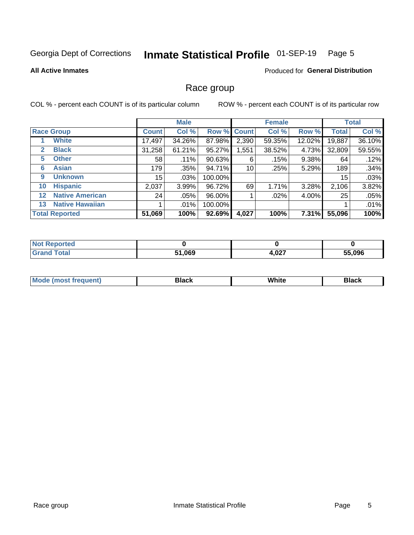#### Inmate Statistical Profile 01-SEP-19 Page 5

#### **All Active Inmates**

#### Produced for General Distribution

#### Race group

COL % - percent each COUNT is of its particular column

|                   |                        | <b>Male</b>     |         |         | <b>Female</b> |         |        | <b>Total</b> |        |
|-------------------|------------------------|-----------------|---------|---------|---------------|---------|--------|--------------|--------|
|                   | <b>Race Group</b>      | <b>Count</b>    | Col %   |         | Row % Count   | Col %   | Row %  | <b>Total</b> | Col %  |
|                   | <b>White</b>           | 17,497          | 34.26%  | 87.98%  | 2,390         | 59.35%  | 12.02% | 19,887       | 36.10% |
| 2                 | <b>Black</b>           | 31,258          | 61.21%  | 95.27%  | ,551          | 38.52%  | 4.73%  | 32,809       | 59.55% |
| 5                 | <b>Other</b>           | 58 <sup>1</sup> | .11%    | 90.63%  | 6             | .15%    | 9.38%  | 64           | .12%   |
| 6                 | <b>Asian</b>           | 179             | .35%    | 94.71%  | 10            | .25%    | 5.29%  | 189          | .34%   |
| 9                 | <b>Unknown</b>         | 15              | $.03\%$ | 100.00% |               |         |        | 15           | .03%   |
| 10                | <b>Hispanic</b>        | 2,037           | 3.99%   | 96.72%  | 69            | 1.71%   | 3.28%  | 2,106        | 3.82%  |
| $12 \overline{ }$ | <b>Native American</b> | 24              | $.05\%$ | 96.00%  |               | $.02\%$ | 4.00%  | 25           | .05%   |
| 13                | <b>Native Hawaiian</b> |                 | $.01\%$ | 100.00% |               |         |        |              | .01%   |
|                   | <b>Total Reported</b>  | 51,069          | 100%    | 92.69%  | 4,027         | 100%    | 7.31%  | 55,096       | 100%   |

| วrted<br>N  |        |       |        |
|-------------|--------|-------|--------|
| <b>otal</b> | 51,069 | 4,027 | 55.096 |

| <b>Mode</b><br>uent)<br>most treo | 3lack | White | Black |
|-----------------------------------|-------|-------|-------|
|                                   |       |       |       |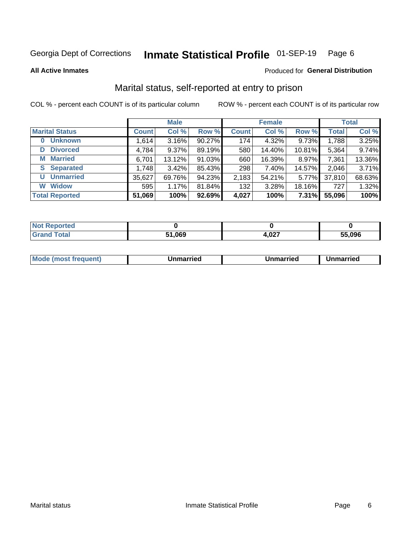#### Inmate Statistical Profile 01-SEP-19 Page 6

**All Active Inmates** 

#### Produced for General Distribution

### Marital status, self-reported at entry to prison

COL % - percent each COUNT is of its particular column

|                            | <b>Male</b>  |          |        |              | <b>Female</b> | <b>Total</b> |              |        |
|----------------------------|--------------|----------|--------|--------------|---------------|--------------|--------------|--------|
| <b>Marital Status</b>      | <b>Count</b> | Col %    | Row %  | <b>Count</b> | Col %         | Row %        | <b>Total</b> | Col %  |
| <b>Unknown</b><br>$\bf{0}$ | 1,614        | 3.16%    | 90.27% | 174          | 4.32%         | 9.73%        | 1,788        | 3.25%  |
| <b>Divorced</b><br>D       | 4,784        | $9.37\%$ | 89.19% | 580          | 14.40%        | 10.81%       | 5,364        | 9.74%  |
| <b>Married</b><br>М        | 6,701        | 13.12%   | 91.03% | 660          | 16.39%        | 8.97%        | 7,361        | 13.36% |
| <b>Separated</b><br>S.     | 1,748        | 3.42%    | 85.43% | 298          | 7.40%         | 14.57%       | 2,046        | 3.71%  |
| <b>Unmarried</b><br>U      | 35,627       | 69.76%   | 94.23% | 2,183        | 54.21%        | 5.77%        | 37,810       | 68.63% |
| <b>Widow</b><br>W          | 595          | 1.17%    | 81.84% | 132          | 3.28%         | 18.16%       | 727          | 1.32%  |
| <b>Total Reported</b>      | 51,069       | 100%     | 92.69% | 4,027        | 100%          | 7.31%        | 55,096       | 100%   |

| orted<br><b>NOT</b> |                           |                 |        |
|---------------------|---------------------------|-----------------|--------|
| $\sim$              | $\sim$ 000 $\sim$<br>יטט, | $\sim$<br>T,VLI | 55.096 |

|--|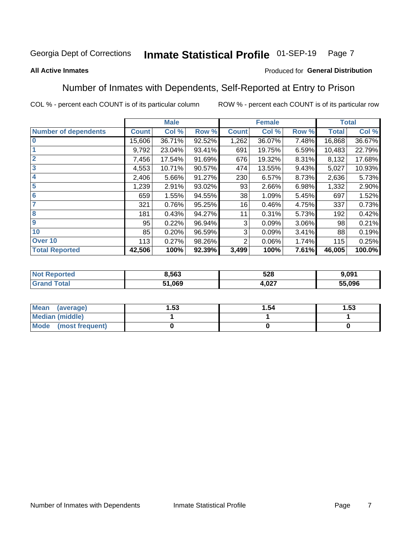#### Inmate Statistical Profile 01-SEP-19 Page 7

#### **All Active Inmates**

#### Produced for General Distribution

### Number of Inmates with Dependents, Self-Reported at Entry to Prison

COL % - percent each COUNT is of its particular column

|                             |              | <b>Male</b> |        |              | <b>Female</b> |       |              | <b>Total</b> |
|-----------------------------|--------------|-------------|--------|--------------|---------------|-------|--------------|--------------|
| <b>Number of dependents</b> | <b>Count</b> | Col %       | Row %  | <b>Count</b> | Col %         | Row % | <b>Total</b> | Col %        |
| l 0                         | 15,606       | 36.71%      | 92.52% | 1,262        | 36.07%        | 7.48% | 16,868       | 36.67%       |
|                             | 9,792        | 23.04%      | 93.41% | 691          | 19.75%        | 6.59% | 10,483       | 22.79%       |
| $\overline{2}$              | 7,456        | 17.54%      | 91.69% | 676          | 19.32%        | 8.31% | 8,132        | 17.68%       |
| $\mathbf{3}$                | 4,553        | 10.71%      | 90.57% | 474          | 13.55%        | 9.43% | 5,027        | 10.93%       |
| $\overline{\mathbf{4}}$     | 2,406        | 5.66%       | 91.27% | 230          | 6.57%         | 8.73% | 2,636        | 5.73%        |
| 5                           | 1,239        | 2.91%       | 93.02% | 93           | 2.66%         | 6.98% | 1,332        | 2.90%        |
| 6                           | 659          | 1.55%       | 94.55% | 38           | 1.09%         | 5.45% | 697          | 1.52%        |
| 7                           | 321          | 0.76%       | 95.25% | 16           | 0.46%         | 4.75% | 337          | 0.73%        |
| 8                           | 181          | 0.43%       | 94.27% | 11           | 0.31%         | 5.73% | 192          | 0.42%        |
| 9                           | 95           | 0.22%       | 96.94% | 3            | 0.09%         | 3.06% | 98           | 0.21%        |
| 10                          | 85           | 0.20%       | 96.59% | 3            | 0.09%         | 3.41% | 88           | 0.19%        |
| Over 10                     | 113          | 0.27%       | 98.26% | 2            | 0.06%         | 1.74% | 115          | 0.25%        |
| <b>Total Reported</b>       | 42,506       | 100%        | 92.39% | 3,499        | 100%          | 7.61% | 46,005       | 100.0%       |

| 8.563  | 528<br>- -   | .091   |
|--------|--------------|--------|
| 51.069 | ሰን7<br>H.VZT | 55.096 |

| Mean (average)          | l.53 | 1.54 | l.53 |
|-------------------------|------|------|------|
| <b>Median (middle)</b>  |      |      |      |
| Mode<br>(most frequent) |      |      |      |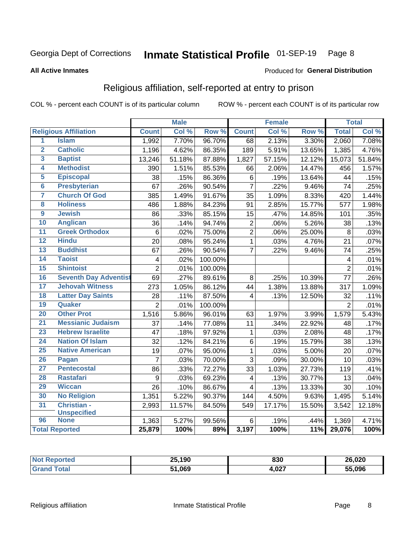#### Inmate Statistical Profile 01-SEP-19 Page 8

#### **All Active Inmates**

#### Produced for General Distribution

### Religious affiliation, self-reported at entry to prison

COL % - percent each COUNT is of its particular column

|                         |                              |                 | <b>Male</b> |                  |                         | <b>Female</b> |                  |                 | <b>Total</b> |
|-------------------------|------------------------------|-----------------|-------------|------------------|-------------------------|---------------|------------------|-----------------|--------------|
|                         | <b>Religious Affiliation</b> | <b>Count</b>    | Col %       | Row <sup>%</sup> | <b>Count</b>            | Col %         | Row <sup>%</sup> | <b>Total</b>    | Col %        |
| $\overline{1}$          | <b>Islam</b>                 | 1,992           | 7.70%       | 96.70%           | 68                      | 2.13%         | 3.30%            | 2,060           | 7.08%        |
| $\overline{\mathbf{2}}$ | <b>Catholic</b>              | 1,196           | 4.62%       | 86.35%           | 189                     | 5.91%         | 13.65%           | 1,385           | 4.76%        |
| $\overline{3}$          | <b>Baptist</b>               | 13,246          | 51.18%      | 87.88%           | 1,827                   | 57.15%        | 12.12%           | 15,073          | 51.84%       |
| 4                       | <b>Methodist</b>             | 390             | 1.51%       | 85.53%           | 66                      | 2.06%         | 14.47%           | 456             | 1.57%        |
| 5                       | <b>Episcopal</b>             | 38              | .15%        | 86.36%           | 6                       | .19%          | 13.64%           | 44              | .15%         |
| $6\phantom{a}$          | <b>Presbyterian</b>          | 67              | .26%        | 90.54%           | $\overline{7}$          | .22%          | 9.46%            | 74              | .25%         |
| 7                       | <b>Church Of God</b>         | 385             | 1.49%       | 91.67%           | 35                      | 1.09%         | 8.33%            | 420             | 1.44%        |
| 8                       | <b>Holiness</b>              | 486             | 1.88%       | 84.23%           | 91                      | 2.85%         | 15.77%           | 577             | 1.98%        |
| $\overline{9}$          | <b>Jewish</b>                | 86              | .33%        | 85.15%           | 15                      | .47%          | 14.85%           | 101             | .35%         |
| 10                      | <b>Anglican</b>              | 36              | .14%        | 94.74%           | $\overline{2}$          | .06%          | 5.26%            | 38              | .13%         |
| $\overline{11}$         | <b>Greek Orthodox</b>        | $6\phantom{1}6$ | .02%        | 75.00%           | $\overline{2}$          | .06%          | 25.00%           | 8               | .03%         |
| 12                      | <b>Hindu</b>                 | $\overline{20}$ | .08%        | 95.24%           | $\overline{1}$          | .03%          | 4.76%            | $\overline{21}$ | .07%         |
| 13                      | <b>Buddhist</b>              | 67              | .26%        | 90.54%           | $\overline{7}$          | .22%          | 9.46%            | 74              | .25%         |
| $\overline{14}$         | <b>Taoist</b>                | $\overline{4}$  | .02%        | 100.00%          |                         |               |                  | $\overline{4}$  | .01%         |
| 15                      | <b>Shintoist</b>             | $\overline{2}$  | .01%        | 100.00%          |                         |               |                  | $\overline{2}$  | .01%         |
| 16                      | <b>Seventh Day Adventist</b> | 69              | .27%        | 89.61%           | 8                       | .25%          | 10.39%           | 77              | .26%         |
| 17                      | <b>Jehovah Witness</b>       | 273             | 1.05%       | 86.12%           | 44                      | 1.38%         | 13.88%           | 317             | 1.09%        |
| 18                      | <b>Latter Day Saints</b>     | 28              | .11%        | 87.50%           | $\overline{\mathbf{4}}$ | .13%          | 12.50%           | 32              | .11%         |
| 19                      | Quaker                       | $\overline{2}$  | .01%        | 100.00%          |                         |               |                  | $\overline{2}$  | .01%         |
| 20                      | <b>Other Prot</b>            | 1,516           | 5.86%       | 96.01%           | 63                      | 1.97%         | 3.99%            | 1,579           | 5.43%        |
| 21                      | <b>Messianic Judaism</b>     | 37              | .14%        | 77.08%           | 11                      | .34%          | 22.92%           | 48              | .17%         |
| 23                      | <b>Hebrew Israelite</b>      | 47              | .18%        | 97.92%           | $\mathbf{1}$            | .03%          | 2.08%            | 48              | .17%         |
| 24                      | <b>Nation Of Islam</b>       | 32              | .12%        | 84.21%           | $\,6$                   | .19%          | 15.79%           | 38              | .13%         |
| 25                      | <b>Native American</b>       | 19              | .07%        | 95.00%           | $\mathbf{1}$            | .03%          | 5.00%            | 20              | .07%         |
| 26                      | Pagan                        | $\overline{7}$  | .03%        | 70.00%           | $\overline{3}$          | .09%          | 30.00%           | $\overline{10}$ | .03%         |
| $\overline{27}$         | <b>Pentecostal</b>           | 86              | .33%        | 72.27%           | 33                      | 1.03%         | 27.73%           | 119             | .41%         |
| 28                      | <b>Rastafari</b>             | 9               | .03%        | 69.23%           | $\overline{4}$          | .13%          | 30.77%           | 13              | .04%         |
| 29                      | <b>Wiccan</b>                | 26              | .10%        | 86.67%           | $\overline{4}$          | .13%          | 13.33%           | 30              | .10%         |
| 30                      | <b>No Religion</b>           | 1,351           | 5.22%       | 90.37%           | 144                     | 4.50%         | 9.63%            | 1,495           | 5.14%        |
| 31                      | Christian -                  | 2,993           | 11.57%      | 84.50%           | 549                     | 17.17%        | 15.50%           | 3,542           | 12.18%       |
|                         | <b>Unspecified</b>           |                 |             |                  |                         |               |                  |                 |              |
| 96                      | <b>None</b>                  | 1,363           | 5.27%       | 99.56%           | 6                       | .19%          | .44%             | 1,369           | 4.71%        |
|                         | <b>Total Reported</b>        | 25,879          | 100%        | 89%              | 3,197                   | 100%          | 11%              | 29,076          | 100%         |

| 25,190     | 830   | 26,020 |
|------------|-------|--------|
| .069<br>51 | 4,027 | 55.096 |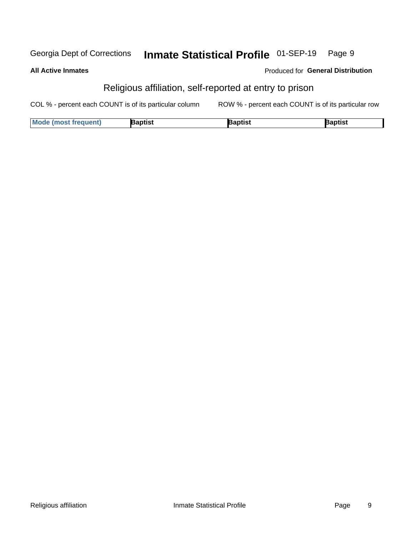#### Inmate Statistical Profile 01-SEP-19 Georgia Dept of Corrections Page 9

#### **All Active Inmates**

#### Produced for General Distribution

### Religious affiliation, self-reported at entry to prison

COL % - percent each COUNT is of its particular column ROW % - percent each COUNT is of its particular row

| <b>Mode (most frequent)</b> | 3aptist | aptist | Baptist |
|-----------------------------|---------|--------|---------|
|-----------------------------|---------|--------|---------|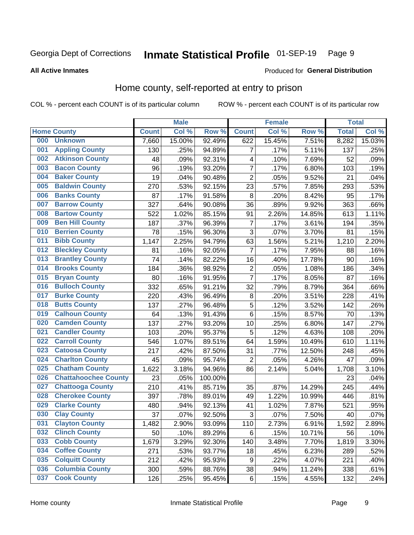#### Inmate Statistical Profile 01-SEP-19 Page 9

#### **All Active Inmates**

#### Produced for General Distribution

### Home county, self-reported at entry to prison

COL % - percent each COUNT is of its particular column

|     |                             |              | <b>Male</b> |         |                | <b>Female</b> |        | <b>Total</b> |        |
|-----|-----------------------------|--------------|-------------|---------|----------------|---------------|--------|--------------|--------|
|     | <b>Home County</b>          | <b>Count</b> | Col %       | Row %   | <b>Count</b>   | Col %         | Row %  | <b>Total</b> | Col %  |
| 000 | <b>Unknown</b>              | 7,660        | 15.00%      | 92.49%  | 622            | 15.45%        | 7.51%  | 8,282        | 15.03% |
| 001 | <b>Appling County</b>       | 130          | .25%        | 94.89%  | $\overline{7}$ | .17%          | 5.11%  | 137          | .25%   |
| 002 | <b>Atkinson County</b>      | 48           | .09%        | 92.31%  | 4              | .10%          | 7.69%  | 52           | .09%   |
| 003 | <b>Bacon County</b>         | 96           | .19%        | 93.20%  | $\overline{7}$ | .17%          | 6.80%  | 103          | .19%   |
| 004 | <b>Baker County</b>         | 19           | .04%        | 90.48%  | $\mathbf 2$    | .05%          | 9.52%  | 21           | .04%   |
| 005 | <b>Baldwin County</b>       | 270          | .53%        | 92.15%  | 23             | .57%          | 7.85%  | 293          | .53%   |
| 006 | <b>Banks County</b>         | 87           | .17%        | 91.58%  | 8              | .20%          | 8.42%  | 95           | .17%   |
| 007 | <b>Barrow County</b>        | 327          | .64%        | 90.08%  | 36             | .89%          | 9.92%  | 363          | .66%   |
| 008 | <b>Bartow County</b>        | 522          | 1.02%       | 85.15%  | 91             | 2.26%         | 14.85% | 613          | 1.11%  |
| 009 | <b>Ben Hill County</b>      | 187          | .37%        | 96.39%  | $\overline{7}$ | .17%          | 3.61%  | 194          | .35%   |
| 010 | <b>Berrien County</b>       | 78           | .15%        | 96.30%  | 3              | .07%          | 3.70%  | 81           | .15%   |
| 011 | <b>Bibb County</b>          | 1,147        | 2.25%       | 94.79%  | 63             | 1.56%         | 5.21%  | 1,210        | 2.20%  |
| 012 | <b>Bleckley County</b>      | 81           | .16%        | 92.05%  | $\overline{7}$ | .17%          | 7.95%  | 88           | .16%   |
| 013 | <b>Brantley County</b>      | 74           | .14%        | 82.22%  | 16             | .40%          | 17.78% | 90           | .16%   |
| 014 | <b>Brooks County</b>        | 184          | .36%        | 98.92%  | $\mathbf 2$    | .05%          | 1.08%  | 186          | .34%   |
| 015 | <b>Bryan County</b>         | 80           | .16%        | 91.95%  | $\overline{7}$ | .17%          | 8.05%  | 87           | .16%   |
| 016 | <b>Bulloch County</b>       | 332          | .65%        | 91.21%  | 32             | .79%          | 8.79%  | 364          | .66%   |
| 017 | <b>Burke County</b>         | 220          | .43%        | 96.49%  | $\bf 8$        | .20%          | 3.51%  | 228          | .41%   |
| 018 | <b>Butts County</b>         | 137          | .27%        | 96.48%  | $\sqrt{5}$     | .12%          | 3.52%  | 142          | .26%   |
| 019 | <b>Calhoun County</b>       | 64           | .13%        | 91.43%  | $\,6$          | .15%          | 8.57%  | 70           | .13%   |
| 020 | <b>Camden County</b>        | 137          | .27%        | 93.20%  | 10             | .25%          | 6.80%  | 147          | .27%   |
| 021 | <b>Candler County</b>       | 103          | .20%        | 95.37%  | 5              | .12%          | 4.63%  | 108          | .20%   |
| 022 | <b>Carroll County</b>       | 546          | 1.07%       | 89.51%  | 64             | 1.59%         | 10.49% | 610          | 1.11%  |
| 023 | <b>Catoosa County</b>       | 217          | .42%        | 87.50%  | 31             | .77%          | 12.50% | 248          | .45%   |
| 024 | <b>Charlton County</b>      | 45           | .09%        | 95.74%  | $\overline{2}$ | .05%          | 4.26%  | 47           | .09%   |
| 025 | <b>Chatham County</b>       | 1,622        | 3.18%       | 94.96%  | 86             | 2.14%         | 5.04%  | 1,708        | 3.10%  |
| 026 | <b>Chattahoochee County</b> | 23           | .05%        | 100.00% |                |               |        | 23           | .04%   |
| 027 | <b>Chattooga County</b>     | 210          | .41%        | 85.71%  | 35             | .87%          | 14.29% | 245          | .44%   |
| 028 | <b>Cherokee County</b>      | 397          | .78%        | 89.01%  | 49             | 1.22%         | 10.99% | 446          | .81%   |
| 029 | <b>Clarke County</b>        | 480          | .94%        | 92.13%  | 41             | 1.02%         | 7.87%  | 521          | .95%   |
| 030 | <b>Clay County</b>          | 37           | .07%        | 92.50%  | 3              | .07%          | 7.50%  | 40           | .07%   |
| 031 | <b>Clayton County</b>       | 1,482        | 2.90%       | 93.09%  | 110            | 2.73%         | 6.91%  | 1,592        | 2.89%  |
| 032 | <b>Clinch County</b>        | 50           | .10%        | 89.29%  | 6              | .15%          | 10.71% | 56           | .10%   |
| 033 | <b>Cobb County</b>          | 1,679        | 3.29%       | 92.30%  | 140            | 3.48%         | 7.70%  | 1,819        | 3.30%  |
| 034 | <b>Coffee County</b>        | 271          | .53%        | 93.77%  | 18             | .45%          | 6.23%  | 289          | .52%   |
| 035 | <b>Colquitt County</b>      | 212          | .42%        | 95.93%  | 9              | .22%          | 4.07%  | 221          | .40%   |
| 036 | <b>Columbia County</b>      | 300          | .59%        | 88.76%  | 38             | .94%          | 11.24% | 338          | .61%   |
| 037 | <b>Cook County</b>          | 126          | .25%        | 95.45%  | $\,6$          | .15%          | 4.55%  | 132          | .24%   |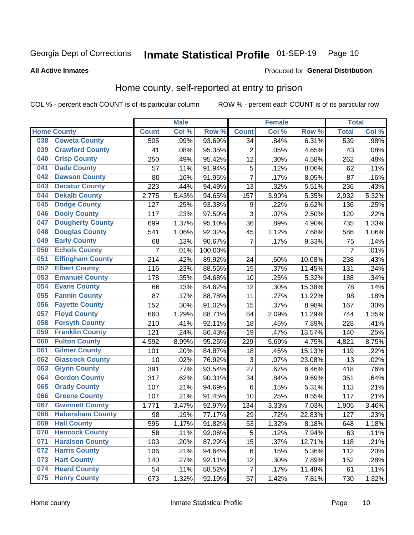#### Inmate Statistical Profile 01-SEP-19 Page 10

**All Active Inmates** 

#### Produced for General Distribution

#### Home county, self-reported at entry to prison

COL % - percent each COUNT is of its particular column

|     |                         |              | <b>Male</b> |                  |                | <b>Female</b> |                  | <b>Total</b>   |         |
|-----|-------------------------|--------------|-------------|------------------|----------------|---------------|------------------|----------------|---------|
|     | <b>Home County</b>      | <b>Count</b> | Col %       | Row <sup>%</sup> | <b>Count</b>   | Col %         | Row <sup>%</sup> | <b>Total</b>   | Col %   |
| 038 | <b>Coweta County</b>    | 505          | .99%        | 93.69%           | 34             | .84%          | 6.31%            | 539            | .98%    |
| 039 | <b>Crawford County</b>  | 41           | .08%        | 95.35%           | $\overline{2}$ | .05%          | 4.65%            | 43             | .08%    |
| 040 | <b>Crisp County</b>     | 250          | .49%        | 95.42%           | 12             | .30%          | 4.58%            | 262            | .48%    |
| 041 | <b>Dade County</b>      | 57           | .11%        | 91.94%           | 5              | .12%          | 8.06%            | 62             | .11%    |
| 042 | <b>Dawson County</b>    | 80           | .16%        | 91.95%           | $\overline{7}$ | .17%          | 8.05%            | 87             | .16%    |
| 043 | <b>Decatur County</b>   | 223          | .44%        | 94.49%           | 13             | .32%          | 5.51%            | 236            | .43%    |
| 044 | <b>Dekalb County</b>    | 2,775        | 5.43%       | 94.65%           | 157            | 3.90%         | 5.35%            | 2,932          | 5.32%   |
| 045 | <b>Dodge County</b>     | 127          | .25%        | 93.38%           | 9              | .22%          | 6.62%            | 136            | .25%    |
| 046 | <b>Dooly County</b>     | 117          | .23%        | 97.50%           | 3              | .07%          | 2.50%            | 120            | .22%    |
| 047 | <b>Dougherty County</b> | 699          | 1.37%       | 95.10%           | 36             | .89%          | 4.90%            | 735            | 1.33%   |
| 048 | <b>Douglas County</b>   | 541          | 1.06%       | 92.32%           | 45             | 1.12%         | 7.68%            | 586            | 1.06%   |
| 049 | <b>Early County</b>     | 68           | .13%        | 90.67%           | $\overline{7}$ | .17%          | 9.33%            | 75             | .14%    |
| 050 | <b>Echols County</b>    | 7            | .01%        | 100.00%          |                |               |                  | $\overline{7}$ | .01%    |
| 051 | <b>Effingham County</b> | 214          | .42%        | 89.92%           | 24             | .60%          | 10.08%           | 238            | .43%    |
| 052 | <b>Elbert County</b>    | 116          | .23%        | 88.55%           | 15             | .37%          | 11.45%           | 131            | .24%    |
| 053 | <b>Emanuel County</b>   | 178          | .35%        | 94.68%           | 10             | .25%          | 5.32%            | 188            | .34%    |
| 054 | <b>Evans County</b>     | 66           | .13%        | 84.62%           | 12             | .30%          | 15.38%           | 78             | .14%    |
| 055 | <b>Fannin County</b>    | 87           | .17%        | 88.78%           | 11             | .27%          | 11.22%           | 98             | .18%    |
| 056 | <b>Fayette County</b>   | 152          | .30%        | 91.02%           | 15             | .37%          | 8.98%            | 167            | $.30\%$ |
| 057 | <b>Floyd County</b>     | 660          | 1.29%       | 88.71%           | 84             | 2.09%         | 11.29%           | 744            | 1.35%   |
| 058 | <b>Forsyth County</b>   | 210          | .41%        | 92.11%           | 18             | .45%          | 7.89%            | 228            | .41%    |
| 059 | <b>Franklin County</b>  | 121          | .24%        | 86.43%           | 19             | .47%          | 13.57%           | 140            | .25%    |
| 060 | <b>Fulton County</b>    | 4,592        | 8.99%       | 95.25%           | 229            | 5.69%         | 4.75%            | 4,821          | 8.75%   |
| 061 | <b>Gilmer County</b>    | 101          | .20%        | 84.87%           | 18             | .45%          | 15.13%           | 119            | .22%    |
| 062 | <b>Glascock County</b>  | 10           | .02%        | 76.92%           | 3              | .07%          | 23.08%           | 13             | .02%    |
| 063 | <b>Glynn County</b>     | 391          | .77%        | 93.54%           | 27             | .67%          | 6.46%            | 418            | .76%    |
| 064 | <b>Gordon County</b>    | 317          | .62%        | $90.31\%$        | 34             | .84%          | 9.69%            | 351            | .64%    |
| 065 | <b>Grady County</b>     | 107          | .21%        | 94.69%           | 6              | .15%          | 5.31%            | 113            | .21%    |
| 066 | <b>Greene County</b>    | 107          | .21%        | 91.45%           | 10             | .25%          | 8.55%            | 117            | .21%    |
| 067 | <b>Gwinnett County</b>  | 1,771        | 3.47%       | 92.97%           | 134            | 3.33%         | 7.03%            | 1,905          | 3.46%   |
| 068 | <b>Habersham County</b> | 98           | .19%        | 77.17%           | 29             | .72%          | 22.83%           | 127            | .23%    |
| 069 | <b>Hall County</b>      | 595          | 1.17%       | 91.82%           | 53             | 1.32%         | 8.18%            | 648            | 1.18%   |
| 070 | <b>Hancock County</b>   | 58           | .11%        | 92.06%           | 5              | .12%          | 7.94%            | 63             | .11%    |
| 071 | <b>Haralson County</b>  | 103          | .20%        | 87.29%           | 15             | .37%          | 12.71%           | 118            | .21%    |
| 072 | <b>Harris County</b>    | 106          | .21%        | 94.64%           | 6              | .15%          | 5.36%            | 112            | .20%    |
| 073 | <b>Hart County</b>      | 140          | .27%        | 92.11%           | 12             | .30%          | 7.89%            | 152            | .28%    |
| 074 | <b>Heard County</b>     | 54           | .11%        | 88.52%           | $\overline{7}$ | .17%          | 11.48%           | 61             | .11%    |
| 075 | <b>Henry County</b>     | 673          | 1.32%       | 92.19%           | 57             | 1.42%         | 7.81%            | 730            | 1.32%   |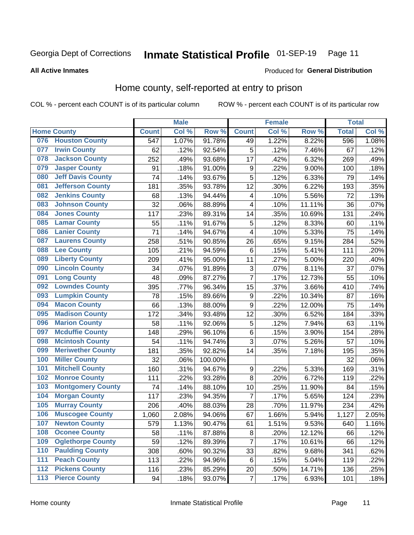#### Inmate Statistical Profile 01-SEP-19 Page 11

**All Active Inmates** 

#### Produced for General Distribution

### Home county, self-reported at entry to prison

COL % - percent each COUNT is of its particular column

|     |                          |                  | <b>Male</b> |         |                         | <b>Female</b> |        | <b>Total</b> |       |
|-----|--------------------------|------------------|-------------|---------|-------------------------|---------------|--------|--------------|-------|
|     | <b>Home County</b>       | <b>Count</b>     | Col %       | Row %   | <b>Count</b>            | Col %         | Row %  | <b>Total</b> | Col % |
| 076 | <b>Houston County</b>    | $\overline{547}$ | 1.07%       | 91.78%  | 49                      | 1.22%         | 8.22%  | 596          | 1.08% |
| 077 | <b>Irwin County</b>      | 62               | .12%        | 92.54%  | 5                       | .12%          | 7.46%  | 67           | .12%  |
| 078 | <b>Jackson County</b>    | 252              | .49%        | 93.68%  | 17                      | .42%          | 6.32%  | 269          | .49%  |
| 079 | <b>Jasper County</b>     | 91               | .18%        | 91.00%  | 9                       | .22%          | 9.00%  | 100          | .18%  |
| 080 | <b>Jeff Davis County</b> | 74               | .14%        | 93.67%  | 5                       | .12%          | 6.33%  | 79           | .14%  |
| 081 | <b>Jefferson County</b>  | 181              | .35%        | 93.78%  | 12                      | .30%          | 6.22%  | 193          | .35%  |
| 082 | <b>Jenkins County</b>    | 68               | .13%        | 94.44%  | $\overline{\mathbf{4}}$ | .10%          | 5.56%  | 72           | .13%  |
| 083 | <b>Johnson County</b>    | 32               | .06%        | 88.89%  | 4                       | .10%          | 11.11% | 36           | .07%  |
| 084 | <b>Jones County</b>      | 117              | .23%        | 89.31%  | 14                      | .35%          | 10.69% | 131          | .24%  |
| 085 | <b>Lamar County</b>      | 55               | .11%        | 91.67%  | 5                       | .12%          | 8.33%  | 60           | .11%  |
| 086 | <b>Lanier County</b>     | 71               | .14%        | 94.67%  | $\overline{\mathbf{4}}$ | .10%          | 5.33%  | 75           | .14%  |
| 087 | <b>Laurens County</b>    | 258              | .51%        | 90.85%  | 26                      | .65%          | 9.15%  | 284          | .52%  |
| 088 | <b>Lee County</b>        | 105              | .21%        | 94.59%  | 6                       | .15%          | 5.41%  | 111          | .20%  |
| 089 | <b>Liberty County</b>    | 209              | .41%        | 95.00%  | 11                      | .27%          | 5.00%  | 220          | .40%  |
| 090 | <b>Lincoln County</b>    | 34               | .07%        | 91.89%  | 3                       | .07%          | 8.11%  | 37           | .07%  |
| 091 | <b>Long County</b>       | 48               | .09%        | 87.27%  | 7                       | .17%          | 12.73% | 55           | .10%  |
| 092 | <b>Lowndes County</b>    | 395              | .77%        | 96.34%  | 15                      | .37%          | 3.66%  | 410          | .74%  |
| 093 | <b>Lumpkin County</b>    | 78               | .15%        | 89.66%  | $\boldsymbol{9}$        | .22%          | 10.34% | 87           | .16%  |
| 094 | <b>Macon County</b>      | 66               | .13%        | 88.00%  | $\boldsymbol{9}$        | .22%          | 12.00% | 75           | .14%  |
| 095 | <b>Madison County</b>    | 172              | .34%        | 93.48%  | 12                      | .30%          | 6.52%  | 184          | .33%  |
| 096 | <b>Marion County</b>     | 58               | .11%        | 92.06%  | $\mathbf 5$             | .12%          | 7.94%  | 63           | .11%  |
| 097 | <b>Mcduffie County</b>   | 148              | .29%        | 96.10%  | $\,6$                   | .15%          | 3.90%  | 154          | .28%  |
| 098 | <b>Mcintosh County</b>   | 54               | .11%        | 94.74%  | $\overline{3}$          | .07%          | 5.26%  | 57           | .10%  |
| 099 | <b>Meriwether County</b> | 181              | .35%        | 92.82%  | 14                      | .35%          | 7.18%  | 195          | .35%  |
| 100 | <b>Miller County</b>     | 32               | .06%        | 100.00% |                         |               |        | 32           | .06%  |
| 101 | <b>Mitchell County</b>   | 160              | .31%        | 94.67%  | $\boldsymbol{9}$        | .22%          | 5.33%  | 169          | .31%  |
| 102 | <b>Monroe County</b>     | 111              | .22%        | 93.28%  | 8                       | .20%          | 6.72%  | 119          | .22%  |
| 103 | <b>Montgomery County</b> | 74               | .14%        | 88.10%  | 10                      | .25%          | 11.90% | 84           | .15%  |
| 104 | <b>Morgan County</b>     | 117              | .23%        | 94.35%  | $\overline{7}$          | .17%          | 5.65%  | 124          | .23%  |
| 105 | <b>Murray County</b>     | 206              | .40%        | 88.03%  | 28                      | .70%          | 11.97% | 234          | .42%  |
| 106 | <b>Muscogee County</b>   | 1,060            | 2.08%       | 94.06%  | 67                      | 1.66%         | 5.94%  | 1,127        | 2.05% |
| 107 | <b>Newton County</b>     | 579              | 1.13%       | 90.47%  | 61                      | 1.51%         | 9.53%  | 640          | 1.16% |
| 108 | <b>Oconee County</b>     | 58               | .11%        | 87.88%  | 8                       | .20%          | 12.12% | 66           | .12%  |
| 109 | <b>Oglethorpe County</b> | 59               | .12%        | 89.39%  | $\overline{7}$          | .17%          | 10.61% | 66           | .12%  |
| 110 | <b>Paulding County</b>   | 308              | .60%        | 90.32%  | 33                      | .82%          | 9.68%  | 341          | .62%  |
| 111 | <b>Peach County</b>      | 113              | .22%        | 94.96%  | 6                       | .15%          | 5.04%  | 119          | .22%  |
| 112 | <b>Pickens County</b>    | 116              | .23%        | 85.29%  | 20                      | .50%          | 14.71% | 136          | .25%  |
| 113 | <b>Pierce County</b>     | 94               | .18%        | 93.07%  | $\overline{7}$          | .17%          | 6.93%  | 101          | .18%  |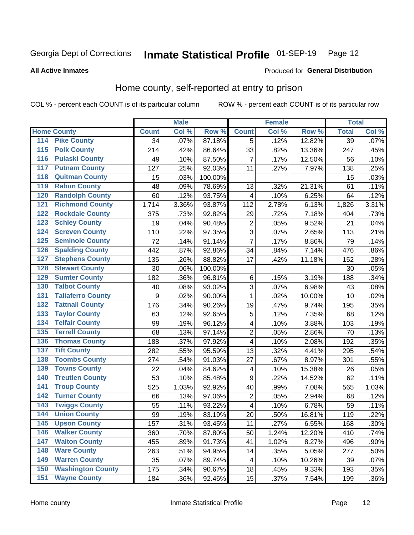#### Inmate Statistical Profile 01-SEP-19 Page 12

#### **All Active Inmates**

### Produced for General Distribution

### Home county, self-reported at entry to prison

COL % - percent each COUNT is of its particular column

|     |                          |                  | <b>Male</b> |                  |                         | <b>Female</b> |        | <b>Total</b> |         |
|-----|--------------------------|------------------|-------------|------------------|-------------------------|---------------|--------|--------------|---------|
|     | <b>Home County</b>       | <b>Count</b>     | Col %       | Row <sup>%</sup> | <b>Count</b>            | Col %         | Row %  | <b>Total</b> | Col %   |
| 114 | <b>Pike County</b>       | 34               | .07%        | 87.18%           | 5                       | .12%          | 12.82% | 39           | .07%    |
| 115 | <b>Polk County</b>       | 214              | .42%        | 86.64%           | 33                      | .82%          | 13.36% | 247          | .45%    |
| 116 | <b>Pulaski County</b>    | 49               | .10%        | 87.50%           | 7                       | .17%          | 12.50% | 56           | .10%    |
| 117 | <b>Putnam County</b>     | 127              | .25%        | 92.03%           | 11                      | .27%          | 7.97%  | 138          | .25%    |
| 118 | <b>Quitman County</b>    | 15               | .03%        | 100.00%          |                         |               |        | 15           | .03%    |
| 119 | <b>Rabun County</b>      | 48               | .09%        | 78.69%           | 13                      | .32%          | 21.31% | 61           | .11%    |
| 120 | <b>Randolph County</b>   | 60               | .12%        | 93.75%           | 4                       | .10%          | 6.25%  | 64           | .12%    |
| 121 | <b>Richmond County</b>   | 1,714            | 3.36%       | 93.87%           | 112                     | 2.78%         | 6.13%  | 1,826        | 3.31%   |
| 122 | <b>Rockdale County</b>   | 375              | .73%        | 92.82%           | 29                      | .72%          | 7.18%  | 404          | .73%    |
| 123 | <b>Schley County</b>     | 19               | .04%        | 90.48%           | $\mathbf 2$             | .05%          | 9.52%  | 21           | .04%    |
| 124 | <b>Screven County</b>    | 110              | .22%        | 97.35%           | $\overline{3}$          | .07%          | 2.65%  | 113          | .21%    |
| 125 | <b>Seminole County</b>   | 72               | .14%        | 91.14%           | $\overline{7}$          | .17%          | 8.86%  | 79           | .14%    |
| 126 | <b>Spalding County</b>   | 442              | .87%        | 92.86%           | 34                      | .84%          | 7.14%  | 476          | .86%    |
| 127 | <b>Stephens County</b>   | 135              | .26%        | 88.82%           | 17                      | .42%          | 11.18% | 152          | .28%    |
| 128 | <b>Stewart County</b>    | 30               | .06%        | 100.00%          |                         |               |        | 30           | .05%    |
| 129 | <b>Sumter County</b>     | 182              | .36%        | 96.81%           | 6                       | .15%          | 3.19%  | 188          | .34%    |
| 130 | <b>Talbot County</b>     | 40               | .08%        | 93.02%           | 3                       | .07%          | 6.98%  | 43           | .08%    |
| 131 | <b>Taliaferro County</b> | $\boldsymbol{9}$ | .02%        | 90.00%           | $\mathbf{1}$            | .02%          | 10.00% | 10           | .02%    |
| 132 | <b>Tattnall County</b>   | 176              | .34%        | 90.26%           | 19                      | .47%          | 9.74%  | 195          | .35%    |
| 133 | <b>Taylor County</b>     | 63               | .12%        | 92.65%           | 5                       | .12%          | 7.35%  | 68           | .12%    |
| 134 | <b>Telfair County</b>    | 99               | .19%        | 96.12%           | $\overline{\mathbf{4}}$ | .10%          | 3.88%  | 103          | .19%    |
| 135 | <b>Terrell County</b>    | 68               | .13%        | 97.14%           | $\overline{c}$          | .05%          | 2.86%  | 70           | .13%    |
| 136 | <b>Thomas County</b>     | 188              | .37%        | 97.92%           | $\overline{\mathbf{4}}$ | .10%          | 2.08%  | 192          | .35%    |
| 137 | <b>Tift County</b>       | 282              | .55%        | 95.59%           | 13                      | .32%          | 4.41%  | 295          | .54%    |
| 138 | <b>Toombs County</b>     | 274              | .54%        | 91.03%           | 27                      | .67%          | 8.97%  | 301          | .55%    |
| 139 | <b>Towns County</b>      | 22               | .04%        | 84.62%           | 4                       | .10%          | 15.38% | 26           | .05%    |
| 140 | <b>Treutlen County</b>   | 53               | .10%        | 85.48%           | $\boldsymbol{9}$        | .22%          | 14.52% | 62           | .11%    |
| 141 | <b>Troup County</b>      | 525              | 1.03%       | 92.92%           | 40                      | .99%          | 7.08%  | 565          | 1.03%   |
| 142 | <b>Turner County</b>     | 66               | .13%        | 97.06%           | $\mathbf 2$             | .05%          | 2.94%  | 68           | .12%    |
| 143 | <b>Twiggs County</b>     | 55               | .11%        | 93.22%           | $\overline{\mathbf{4}}$ | .10%          | 6.78%  | 59           | .11%    |
| 144 | <b>Union County</b>      | 99               | .19%        | 83.19%           | 20                      | .50%          | 16.81% | 119          | .22%    |
| 145 | <b>Upson County</b>      | 157              | .31%        | 93.45%           | 11                      | .27%          | 6.55%  | 168          | .30%    |
| 146 | <b>Walker County</b>     | 360              | .70%        | 87.80%           | 50                      | 1.24%         | 12.20% | 410          | .74%    |
| 147 | <b>Walton County</b>     | 455              | .89%        | 91.73%           | 41                      | 1.02%         | 8.27%  | 496          | .90%    |
| 148 | <b>Ware County</b>       | 263              | .51%        | 94.95%           | 14                      | .35%          | 5.05%  | 277          | .50%    |
| 149 | <b>Warren County</b>     | 35               | .07%        | 89.74%           | $\overline{\mathbf{4}}$ | .10%          | 10.26% | 39           | .07%    |
| 150 | <b>Washington County</b> | 175              | .34%        | 90.67%           | 18                      | .45%          | 9.33%  | 193          | .35%    |
| 151 | <b>Wayne County</b>      | 184              | .36%        | 92.46%           | 15                      | .37%          | 7.54%  | 199          | $.36\%$ |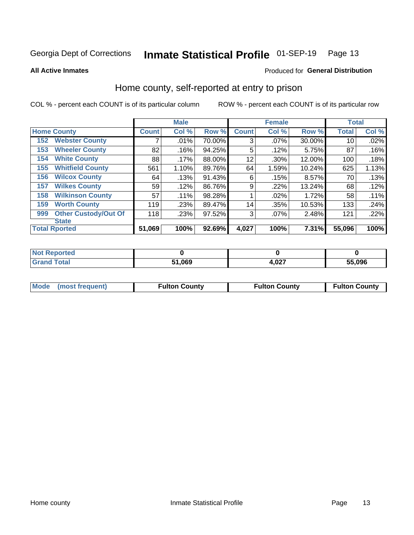#### Inmate Statistical Profile 01-SEP-19 Page 13

**All Active Inmates** 

#### Produced for General Distribution

#### Home county, self-reported at entry to prison

COL % - percent each COUNT is of its particular column

|     |                             |              | <b>Male</b> |        |              | <b>Female</b> |           | <b>Total</b> |       |
|-----|-----------------------------|--------------|-------------|--------|--------------|---------------|-----------|--------------|-------|
|     | <b>Home County</b>          | <b>Count</b> | Col %       | Row %  | <b>Count</b> | Col %         | Row %     | <b>Total</b> | Col % |
| 152 | <b>Webster County</b>       |              | .01%        | 70.00% | 3            | .07%          | 30.00%    | 10           | .02%  |
| 153 | <b>Wheeler County</b>       | 82           | .16%        | 94.25% | 5            | .12%          | 5.75%     | 87           | .16%  |
| 154 | <b>White County</b>         | 88           | $.17\%$     | 88.00% | 12           | .30%          | 12.00%    | 100          | .18%  |
| 155 | <b>Whitfield County</b>     | 561          | 1.10%       | 89.76% | 64           | 1.59%         | $10.24\%$ | 625          | 1.13% |
| 156 | <b>Wilcox County</b>        | 64           | .13%        | 91.43% | 6            | .15%          | 8.57%     | 70           | .13%  |
| 157 | <b>Wilkes County</b>        | 59           | .12%        | 86.76% | 9            | .22%          | 13.24%    | 68           | .12%  |
| 158 | <b>Wilkinson County</b>     | 57           | $.11\%$     | 98.28% |              | .02%          | 1.72%     | 58           | .11%  |
| 159 | <b>Worth County</b>         | 119          | .23%        | 89.47% | 14           | .35%          | 10.53%    | 133          | .24%  |
| 999 | <b>Other Custody/Out Of</b> | 118          | .23%        | 97.52% | 3            | .07%          | 2.48%     | 121          | .22%  |
|     | <b>State</b>                |              |             |        |              |               |           |              |       |
|     | <b>Total Rported</b>        | 51,069       | 100%        | 92.69% | 4,027        | 100%          | 7.31%     | 55,096       | 100%  |

| ueo |            |              |        |
|-----|------------|--------------|--------|
|     | .069<br>51 | ሰን7<br>، UZ. | 55.096 |

| Mode (most frequent) | <b>Fulton County</b> | <b>Fulton County</b> | <b>Fulton County</b> |
|----------------------|----------------------|----------------------|----------------------|
|                      |                      |                      |                      |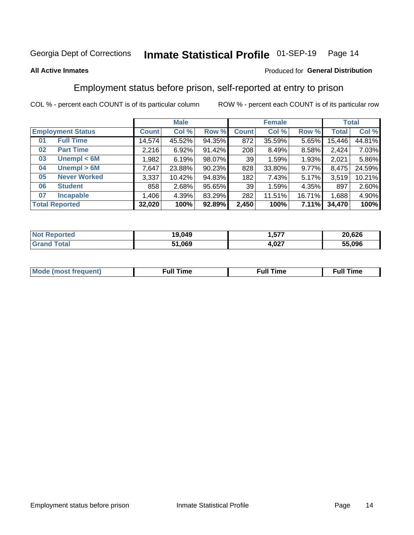#### Inmate Statistical Profile 01-SEP-19 Page 14

#### **All Active Inmates**

#### Produced for General Distribution

### Employment status before prison, self-reported at entry to prison

COL % - percent each COUNT is of its particular column

|                           | <b>Male</b> |        |        |              | <b>Female</b> |        | <b>Total</b> |        |
|---------------------------|-------------|--------|--------|--------------|---------------|--------|--------------|--------|
| <b>Employment Status</b>  | Count l     | Col %  | Row %  | <b>Count</b> | Col %         | Row %  | <b>Total</b> | Col %  |
| <b>Full Time</b><br>01    | 14,574      | 45.52% | 94.35% | 872          | 35.59%        | 5.65%  | 15,446       | 44.81% |
| <b>Part Time</b><br>02    | 2,216       | 6.92%  | 91.42% | 208          | 8.49%         | 8.58%  | 2,424        | 7.03%  |
| Unempl $<$ 6M<br>03       | 1,982       | 6.19%  | 98.07% | 39           | 1.59%         | 1.93%  | 2,021        | 5.86%  |
| Unempl > 6M<br>04         | 7,647       | 23.88% | 90.23% | 828          | 33.80%        | 9.77%  | 8,475        | 24.59% |
| <b>Never Worked</b><br>05 | 3,337       | 10.42% | 94.83% | 182          | 7.43%         | 5.17%  | 3,519        | 10.21% |
| <b>Student</b><br>06      | 858         | 2.68%  | 95.65% | 39           | 1.59%         | 4.35%  | 897          | 2.60%  |
| <b>Incapable</b><br>07    | 1,406       | 4.39%  | 83.29% | 282          | 11.51%        | 16.71% | 1,688        | 4.90%  |
| <b>Total Reported</b>     | 32,020      | 100%   | 92.89% | 2,450        | 100%          | 7.11%  | 34,470       | 100%   |

| <b>orted</b><br><b>NOT</b> | 19,049 | ---<br>∽     | 20,626 |
|----------------------------|--------|--------------|--------|
| $T$ ofol $T$               | 51,069 | 027<br>H.VZI | 55.096 |

| Mc | ∴ull | ----<br>ıme<br>w |
|----|------|------------------|
|    |      |                  |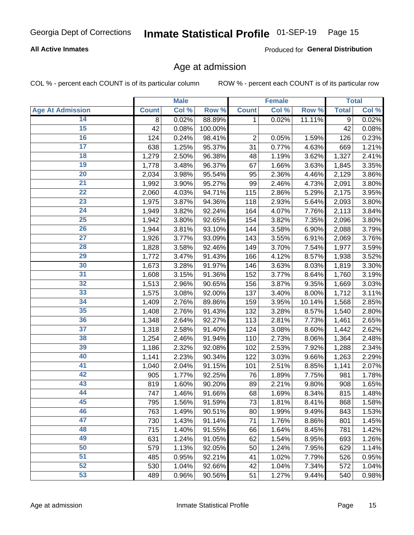## Inmate Statistical Profile 01-SEP-19 Page 15

#### **All Active Inmates**

Produced for General Distribution

#### Age at admission

COL % - percent each COUNT is of its particular column

|                         |              | <b>Male</b> |         |              | <b>Female</b> |        |              | <b>Total</b> |
|-------------------------|--------------|-------------|---------|--------------|---------------|--------|--------------|--------------|
| <b>Age At Admission</b> | <b>Count</b> | Col %       | Row %   | <b>Count</b> | Col %         | Row %  | <b>Total</b> | Col %        |
| 14                      | 8            | 0.02%       | 88.89%  | 1            | 0.02%         | 11.11% | 9            | 0.02%        |
| 15                      | 42           | 0.08%       | 100.00% |              |               |        | 42           | 0.08%        |
| 16                      | 124          | 0.24%       | 98.41%  | $\mathbf 2$  | 0.05%         | 1.59%  | 126          | 0.23%        |
| $\overline{17}$         | 638          | 1.25%       | 95.37%  | 31           | 0.77%         | 4.63%  | 669          | 1.21%        |
| $\overline{18}$         | 1,279        | 2.50%       | 96.38%  | 48           | 1.19%         | 3.62%  | 1,327        | 2.41%        |
| 19                      | 1,778        | 3.48%       | 96.37%  | 67           | 1.66%         | 3.63%  | 1,845        | 3.35%        |
| 20                      | 2,034        | 3.98%       | 95.54%  | 95           | 2.36%         | 4.46%  | 2,129        | 3.86%        |
| $\overline{21}$         | 1,992        | 3.90%       | 95.27%  | 99           | 2.46%         | 4.73%  | 2,091        | 3.80%        |
| $\overline{22}$         | 2,060        | 4.03%       | 94.71%  | 115          | 2.86%         | 5.29%  | 2,175        | 3.95%        |
| 23                      | 1,975        | 3.87%       | 94.36%  | 118          | 2.93%         | 5.64%  | 2,093        | 3.80%        |
| 24                      | 1,949        | 3.82%       | 92.24%  | 164          | 4.07%         | 7.76%  | 2,113        | 3.84%        |
| $\overline{25}$         | 1,942        | 3.80%       | 92.65%  | 154          | 3.82%         | 7.35%  | 2,096        | 3.80%        |
| $\overline{26}$         | 1,944        | 3.81%       | 93.10%  | 144          | 3.58%         | 6.90%  | 2,088        | 3.79%        |
| $\overline{27}$         | 1,926        | 3.77%       | 93.09%  | 143          | 3.55%         | 6.91%  | 2,069        | 3.76%        |
| 28                      | 1,828        | 3.58%       | 92.46%  | 149          | 3.70%         | 7.54%  | 1,977        | 3.59%        |
| 29                      | 1,772        | 3.47%       | 91.43%  | 166          | 4.12%         | 8.57%  | 1,938        | 3.52%        |
| 30                      | 1,673        | 3.28%       | 91.97%  | 146          | 3.63%         | 8.03%  | 1,819        | 3.30%        |
| 31                      | 1,608        | 3.15%       | 91.36%  | 152          | 3.77%         | 8.64%  | 1,760        | 3.19%        |
| 32                      | 1,513        | 2.96%       | 90.65%  | 156          | 3.87%         | 9.35%  | 1,669        | 3.03%        |
| 33                      | 1,575        | 3.08%       | 92.00%  | 137          | 3.40%         | 8.00%  | 1,712        | 3.11%        |
| 34                      | 1,409        | 2.76%       | 89.86%  | 159          | 3.95%         | 10.14% | 1,568        | 2.85%        |
| 35                      | 1,408        | 2.76%       | 91.43%  | 132          | 3.28%         | 8.57%  | 1,540        | 2.80%        |
| 36                      | 1,348        | 2.64%       | 92.27%  | 113          | 2.81%         | 7.73%  | 1,461        | 2.65%        |
| $\overline{37}$         | 1,318        | 2.58%       | 91.40%  | 124          | 3.08%         | 8.60%  | 1,442        | 2.62%        |
| 38                      | 1,254        | 2.46%       | 91.94%  | 110          | 2.73%         | 8.06%  | 1,364        | 2.48%        |
| 39                      | 1,186        | 2.32%       | 92.08%  | 102          | 2.53%         | 7.92%  | 1,288        | 2.34%        |
| 40                      | 1,141        | 2.23%       | 90.34%  | 122          | 3.03%         | 9.66%  | 1,263        | 2.29%        |
| 41                      | 1,040        | 2.04%       | 91.15%  | 101          | 2.51%         | 8.85%  | 1,141        | 2.07%        |
| 42                      | 905          | 1.77%       | 92.25%  | 76           | 1.89%         | 7.75%  | 981          | 1.78%        |
| 43                      | 819          | 1.60%       | 90.20%  | 89           | 2.21%         | 9.80%  | 908          | 1.65%        |
| 44                      | 747          | 1.46%       | 91.66%  | 68           | 1.69%         | 8.34%  | 815          | 1.48%        |
| 45                      | 795          | 1.56%       | 91.59%  | 73           | 1.81%         | 8.41%  | 868          | 1.58%        |
| 46                      | 763          | 1.49%       | 90.51%  | 80           | 1.99%         | 9.49%  | 843          | 1.53%        |
| 47                      | 730          | 1.43%       | 91.14%  | 71           | 1.76%         | 8.86%  | 801          | 1.45%        |
| 48                      | 715          | 1.40%       | 91.55%  | 66           | 1.64%         | 8.45%  | 781          | 1.42%        |
| 49                      | 631          | 1.24%       | 91.05%  | 62           | 1.54%         | 8.95%  | 693          | 1.26%        |
| 50                      | 579          | 1.13%       | 92.05%  | 50           | 1.24%         | 7.95%  | 629          | 1.14%        |
| 51                      | 485          | 0.95%       | 92.21%  | 41           | 1.02%         | 7.79%  | 526          | 0.95%        |
| 52                      | 530          | 1.04%       | 92.66%  | 42           | 1.04%         | 7.34%  | 572          | 1.04%        |
| 53                      | 489          | 0.96%       | 90.56%  | 51           | 1.27%         | 9.44%  | 540          | 0.98%        |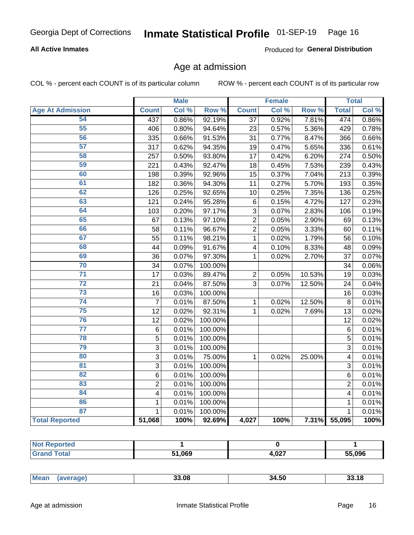## Inmate Statistical Profile 01-SEP-19 Page 16

#### **All Active Inmates**

Produced for General Distribution

#### Age at admission

COL % - percent each COUNT is of its particular column

|                         |                         | <b>Male</b> |         |                | <b>Female</b> |        |                | <b>Total</b> |
|-------------------------|-------------------------|-------------|---------|----------------|---------------|--------|----------------|--------------|
| <b>Age At Admission</b> | <b>Count</b>            | Col %       | Row %   | <b>Count</b>   | Col %         | Row %  | <b>Total</b>   | Col %        |
| 54                      | 437                     | 0.86%       | 92.19%  | 37             | 0.92%         | 7.81%  | 474            | 0.86%        |
| 55                      | 406                     | 0.80%       | 94.64%  | 23             | 0.57%         | 5.36%  | 429            | 0.78%        |
| 56                      | 335                     | 0.66%       | 91.53%  | 31             | 0.77%         | 8.47%  | 366            | 0.66%        |
| $\overline{57}$         | 317                     | 0.62%       | 94.35%  | 19             | 0.47%         | 5.65%  | 336            | 0.61%        |
| 58                      | 257                     | 0.50%       | 93.80%  | 17             | 0.42%         | 6.20%  | 274            | 0.50%        |
| 59                      | $\overline{2}21$        | 0.43%       | 92.47%  | 18             | 0.45%         | 7.53%  | 239            | 0.43%        |
| 60                      | 198                     | 0.39%       | 92.96%  | 15             | 0.37%         | 7.04%  | 213            | 0.39%        |
| 61                      | 182                     | 0.36%       | 94.30%  | 11             | 0.27%         | 5.70%  | 193            | 0.35%        |
| 62                      | 126                     | 0.25%       | 92.65%  | 10             | 0.25%         | 7.35%  | 136            | 0.25%        |
| 63                      | 121                     | 0.24%       | 95.28%  | $\,6$          | 0.15%         | 4.72%  | 127            | 0.23%        |
| 64                      | 103                     | 0.20%       | 97.17%  | 3              | 0.07%         | 2.83%  | 106            | 0.19%        |
| 65                      | 67                      | 0.13%       | 97.10%  | $\overline{c}$ | 0.05%         | 2.90%  | 69             | 0.13%        |
| 66                      | 58                      | 0.11%       | 96.67%  | $\overline{2}$ | 0.05%         | 3.33%  | 60             | 0.11%        |
| 67                      | 55                      | 0.11%       | 98.21%  | $\mathbf 1$    | 0.02%         | 1.79%  | 56             | 0.10%        |
| 68                      | 44                      | 0.09%       | 91.67%  | 4              | 0.10%         | 8.33%  | 48             | 0.09%        |
| 69                      | 36                      | 0.07%       | 97.30%  | 1              | 0.02%         | 2.70%  | 37             | 0.07%        |
| 70                      | 34                      | 0.07%       | 100.00% |                |               |        | 34             | 0.06%        |
| $\overline{71}$         | 17                      | 0.03%       | 89.47%  | $\overline{2}$ | 0.05%         | 10.53% | 19             | 0.03%        |
| $\overline{72}$         | 21                      | 0.04%       | 87.50%  | 3              | 0.07%         | 12.50% | 24             | 0.04%        |
| 73                      | 16                      | 0.03%       | 100.00% |                |               |        | 16             | 0.03%        |
| 74                      | $\overline{7}$          | 0.01%       | 87.50%  | $\mathbf{1}$   | 0.02%         | 12.50% | 8              | 0.01%        |
| 75                      | 12                      | 0.02%       | 92.31%  | 1              | 0.02%         | 7.69%  | 13             | 0.02%        |
| 76                      | 12                      | 0.02%       | 100.00% |                |               |        | 12             | 0.02%        |
| $\overline{77}$         | $\,6$                   | 0.01%       | 100.00% |                |               |        | $\,6$          | 0.01%        |
| 78                      | $\overline{5}$          | 0.01%       | 100.00% |                |               |        | $\overline{5}$ | 0.01%        |
| 79                      | $\overline{3}$          | 0.01%       | 100.00% |                |               |        | $\overline{3}$ | 0.01%        |
| 80                      | $\overline{3}$          | 0.01%       | 75.00%  | 1              | 0.02%         | 25.00% | 4              | 0.01%        |
| 81                      | $\overline{3}$          | 0.01%       | 100.00% |                |               |        | 3              | 0.01%        |
| 82                      | 6                       | 0.01%       | 100.00% |                |               |        | 6              | 0.01%        |
| 83                      | $\overline{c}$          | 0.01%       | 100.00% |                |               |        | $\overline{2}$ | 0.01%        |
| 84                      | $\overline{\mathbf{4}}$ | 0.01%       | 100.00% |                |               |        | 4              | 0.01%        |
| 86                      | $\mathbf 1$             | 0.01%       | 100.00% |                |               |        | 1              | 0.01%        |
| 87                      | $\mathbf{1}$            | 0.01%       | 100.00% |                |               |        | $\mathbf{1}$   | 0.01%        |
| <b>Total Reported</b>   | 51,068                  | 100%        | 92.69%  | 4,027          | 100%          | 7.31%  | 55,095         | 100%         |

| <b>orted</b><br>NO: |        |       |        |
|---------------------|--------|-------|--------|
| <b>Total</b>        | 51,069 | 4,027 | 55,096 |

| чин.<br>JJ.UU | <b>Mear</b> | 23 UB | 34.50 | :18 |
|---------------|-------------|-------|-------|-----|
|---------------|-------------|-------|-------|-----|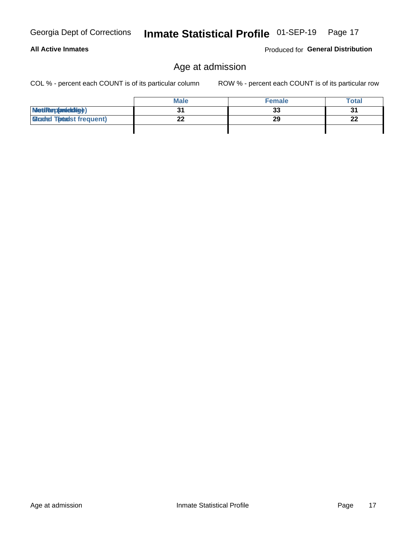#### **All Active Inmates**

Inmate Statistical Profile 01-SEP-19 Page 17

Produced for General Distribution

## Age at admission

COL % - percent each COUNT is of its particular column

|                                  | <b>Male</b> | <b>Female</b> | <b>Total</b>   |
|----------------------------------|-------------|---------------|----------------|
| MetiRep(anieldig)                |             | 33            | 3 <sub>1</sub> |
| <b>Micaded Totadst frequent)</b> | n n         | 29            | n.<br>44       |
|                                  |             |               |                |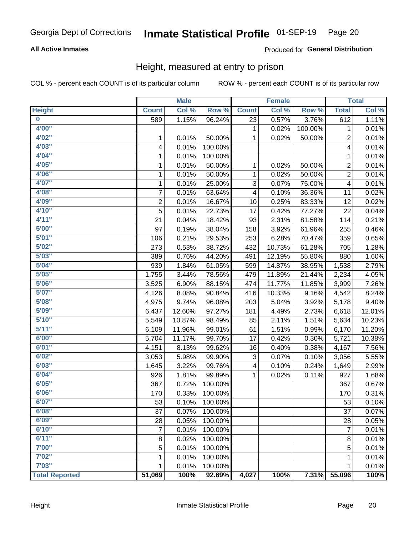## Inmate Statistical Profile 01-SEP-19 Page 20

#### **All Active Inmates**

#### Produced for General Distribution

#### Height, measured at entry to prison

COL % - percent each COUNT is of its particular column

|                         |                | <b>Male</b> |         |              | <b>Female</b> |         |                | <b>Total</b> |
|-------------------------|----------------|-------------|---------|--------------|---------------|---------|----------------|--------------|
| <b>Height</b>           | <b>Count</b>   | Col %       | Row %   | <b>Count</b> | Col %         | Row %   | <b>Total</b>   | Col %        |
| $\overline{\mathbf{0}}$ | 589            | 1.15%       | 96.24%  | 23           | 0.57%         | 3.76%   | 612            | 1.11%        |
| 4'00"                   |                |             |         | 1            | 0.02%         | 100.00% | 1              | 0.01%        |
| 4'02"                   | 1              | 0.01%       | 50.00%  | 1            | 0.02%         | 50.00%  | 2              | 0.01%        |
| 4'03''                  | 4              | 0.01%       | 100.00% |              |               |         | 4              | 0.01%        |
| 4'04"                   | 1              | 0.01%       | 100.00% |              |               |         | 1              | 0.01%        |
| 4'05"                   | 1              | 0.01%       | 50.00%  | 1            | 0.02%         | 50.00%  | $\overline{2}$ | 0.01%        |
| 4'06"                   | 1              | 0.01%       | 50.00%  | 1            | 0.02%         | 50.00%  | 2              | 0.01%        |
| 4'07"                   | 1              | 0.01%       | 25.00%  | 3            | 0.07%         | 75.00%  | 4              | 0.01%        |
| 4'08"                   | 7              | 0.01%       | 63.64%  | 4            | 0.10%         | 36.36%  | 11             | 0.02%        |
| 4'09"                   | $\overline{2}$ | 0.01%       | 16.67%  | 10           | 0.25%         | 83.33%  | 12             | 0.02%        |
| 4'10''                  | 5              | 0.01%       | 22.73%  | 17           | 0.42%         | 77.27%  | 22             | 0.04%        |
| 4'11''                  | 21             | 0.04%       | 18.42%  | 93           | 2.31%         | 81.58%  | 114            | 0.21%        |
| 5'00''                  | 97             | 0.19%       | 38.04%  | 158          | 3.92%         | 61.96%  | 255            | 0.46%        |
| 5'01"                   | 106            | 0.21%       | 29.53%  | 253          | 6.28%         | 70.47%  | 359            | 0.65%        |
| 5'02"                   | 273            | 0.53%       | 38.72%  | 432          | 10.73%        | 61.28%  | 705            | 1.28%        |
| 5'03''                  | 389            | 0.76%       | 44.20%  | 491          | 12.19%        | 55.80%  | 880            | 1.60%        |
| 5'04"                   | 939            | 1.84%       | 61.05%  | 599          | 14.87%        | 38.95%  | 1,538          | 2.79%        |
| 5'05"                   | 1,755          | 3.44%       | 78.56%  | 479          | 11.89%        | 21.44%  | 2,234          | 4.05%        |
| 5'06''                  | 3,525          | 6.90%       | 88.15%  | 474          | 11.77%        | 11.85%  | 3,999          | 7.26%        |
| 5'07''                  | 4,126          | 8.08%       | 90.84%  | 416          | 10.33%        | 9.16%   | 4,542          | 8.24%        |
| 5'08''                  | 4,975          | 9.74%       | 96.08%  | 203          | 5.04%         | 3.92%   | 5,178          | 9.40%        |
| 5'09''                  | 6,437          | 12.60%      | 97.27%  | 181          | 4.49%         | 2.73%   | 6,618          | 12.01%       |
| 5'10''                  | 5,549          | 10.87%      | 98.49%  | 85           | 2.11%         | 1.51%   | 5,634          | 10.23%       |
| 5'11"                   | 6,109          | 11.96%      | 99.01%  | 61           | 1.51%         | 0.99%   | 6,170          | 11.20%       |
| 6'00''                  | 5,704          | 11.17%      | 99.70%  | 17           | 0.42%         | 0.30%   | 5,721          | 10.38%       |
| 6'01''                  | 4,151          | 8.13%       | 99.62%  | 16           | 0.40%         | 0.38%   | 4,167          | 7.56%        |
| 6'02"                   | 3,053          | 5.98%       | 99.90%  | 3            | 0.07%         | 0.10%   | 3,056          | 5.55%        |
| 6'03''                  | 1,645          | 3.22%       | 99.76%  | 4            | 0.10%         | 0.24%   | 1,649          | 2.99%        |
| 6'04"                   | 926            | 1.81%       | 99.89%  | 1            | 0.02%         | 0.11%   | 927            | 1.68%        |
| 6'05"                   | 367            | 0.72%       | 100.00% |              |               |         | 367            | 0.67%        |
| 6'06''                  | 170            | 0.33%       | 100.00% |              |               |         | 170            | 0.31%        |
| 6'07"                   | 53             | 0.10%       | 100.00% |              |               |         | 53             | 0.10%        |
| 6'08"                   | 37             | 0.07%       | 100.00% |              |               |         | 37             | 0.07%        |
| 6'09''                  | 28             | 0.05%       | 100.00% |              |               |         | 28             | 0.05%        |
| 6'10''                  | $\overline{7}$ | 0.01%       | 100.00% |              |               |         | $\overline{7}$ | 0.01%        |
| 6'11''                  | 8              | 0.02%       | 100.00% |              |               |         | $\bf 8$        | 0.01%        |
| 7'00"                   | 5              | 0.01%       | 100.00% |              |               |         | 5              | 0.01%        |
| 7'02"                   | 1              | 0.01%       | 100.00% |              |               |         | 1              | 0.01%        |
| 7'03''                  | 1              | 0.01%       | 100.00% |              |               |         | 1              | 0.01%        |
| <b>Total Reported</b>   | 51,069         | 100%        | 92.69%  | 4,027        | 100%          | 7.31%   | 55,096         | 100%         |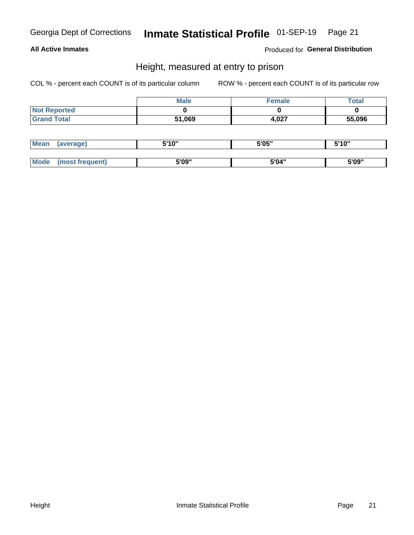## Inmate Statistical Profile 01-SEP-19 Page 21

#### **All Active Inmates**

Produced for General Distribution

#### Height, measured at entry to prison

COL % - percent each COUNT is of its particular column

|                     | <b>Male</b> | <b>Female</b> | Total  |
|---------------------|-------------|---------------|--------|
| <b>Not Reported</b> |             |               |        |
| <b>Grand Total</b>  | 51,069      | 4,027         | 55,096 |

| <b>Mean</b> | erage) | 5'10" | 5'05" | <b>CIA AIL</b><br>. . |
|-------------|--------|-------|-------|-----------------------|
|             |        |       |       |                       |
| <b>Mode</b> |        | 5'09" | 5'04" | 5'09"                 |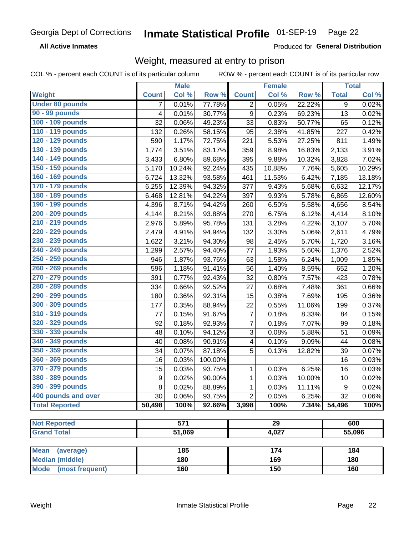#### Inmate Statistical Profile 01-SEP-19 Page 22

**All Active Inmates** 

Produced for General Distribution

### Weight, measured at entry to prison

COL % - percent each COUNT is of its particular column ROW % - percent each COUNT is of its particular row

|                                |                  | <b>Male</b> |         |                | <b>Female</b>   |        |              | <b>Total</b> |
|--------------------------------|------------------|-------------|---------|----------------|-----------------|--------|--------------|--------------|
| Weight                         | <b>Count</b>     | Col %       | Row %   | <b>Count</b>   | Col %           | Row %  | <b>Total</b> | Col %        |
| <b>Under 80 pounds</b>         | $\overline{7}$   | 0.01%       | 77.78%  | $\overline{2}$ | 0.05%           | 22.22% | 9            | 0.02%        |
| 90 - 99 pounds                 | 4                | 0.01%       | 30.77%  | 9              | 0.23%           | 69.23% | 13           | 0.02%        |
| 100 - 109 pounds               | 32               | 0.06%       | 49.23%  | 33             | 0.83%           | 50.77% | 65           | 0.12%        |
| 110 - 119 pounds               | 132              | 0.26%       | 58.15%  | 95             | 2.38%           | 41.85% | 227          | 0.42%        |
| 120 - 129 pounds               | 590              | 1.17%       | 72.75%  | 221            | 5.53%           | 27.25% | 811          | 1.49%        |
| 130 - 139 pounds               | 1,774            | 3.51%       | 83.17%  | 359            | 8.98%           | 16.83% | 2,133        | 3.91%        |
| 140 - 149 pounds               | 3,433            | 6.80%       | 89.68%  | 395            | 9.88%           | 10.32% | 3,828        | 7.02%        |
| 150 - 159 pounds               | 5,170            | 10.24%      | 92.24%  | 435            | 10.88%          | 7.76%  | 5,605        | 10.29%       |
| 160 - 169 pounds               | 6,724            | 13.32%      | 93.58%  | 461            | 11.53%          | 6.42%  | 7,185        | 13.18%       |
| 170 - 179 pounds               | 6,255            | 12.39%      | 94.32%  | 377            | 9.43%           | 5.68%  | 6,632        | 12.17%       |
| 180 - 189 pounds               | 6,468            | 12.81%      | 94.22%  | 397            | 9.93%           | 5.78%  | 6,865        | 12.60%       |
| 190 - 199 pounds               | 4,396            | 8.71%       | 94.42%  | 260            | 6.50%           | 5.58%  | 4,656        | 8.54%        |
| 200 - 209 pounds               | 4,144            | 8.21%       | 93.88%  | 270            | 6.75%           | 6.12%  | 4,414        | 8.10%        |
| 210 - 219 pounds               | 2,976            | 5.89%       | 95.78%  | 131            | 3.28%           | 4.22%  | 3,107        | 5.70%        |
| 220 - 229 pounds               | 2,479            | 4.91%       | 94.94%  | 132            | 3.30%           | 5.06%  | 2,611        | 4.79%        |
| 230 - 239 pounds               | 1,622            | 3.21%       | 94.30%  | 98             | 2.45%           | 5.70%  | 1,720        | 3.16%        |
| 240 - 249 pounds               | 1,299            | 2.57%       | 94.40%  | 77             | 1.93%           | 5.60%  | 1,376        | 2.52%        |
| 250 - 259 pounds               | 946              | 1.87%       | 93.76%  | 63             | 1.58%           | 6.24%  | 1,009        | 1.85%        |
| 260 - 269 pounds               | 596              | 1.18%       | 91.41%  | 56             | 1.40%           | 8.59%  | 652          | 1.20%        |
| 270 - 279 pounds               | 391              | 0.77%       | 92.43%  | 32             | 0.80%           | 7.57%  | 423          | 0.78%        |
| 280 - 289 pounds               | 334              | 0.66%       | 92.52%  | 27             | 0.68%           | 7.48%  | 361          | 0.66%        |
| 290 - 299 pounds               | 180              | 0.36%       | 92.31%  | 15             | 0.38%           | 7.69%  | 195          | 0.36%        |
| 300 - 309 pounds               | 177              | 0.35%       | 88.94%  | 22             | 0.55%           | 11.06% | 199          | 0.37%        |
| 310 - 319 pounds               | 77               | 0.15%       | 91.67%  | $\overline{7}$ | 0.18%           | 8.33%  | 84           | 0.15%        |
| 320 - 329 pounds               | 92               | 0.18%       | 92.93%  | $\overline{7}$ | 0.18%           | 7.07%  | 99           | 0.18%        |
| 330 - 339 pounds               | 48               | 0.10%       | 94.12%  | 3              | 0.08%           | 5.88%  | 51           | 0.09%        |
| 340 - 349 pounds               | 40               | 0.08%       | 90.91%  | 4              | 0.10%           | 9.09%  | 44           | 0.08%        |
| 350 - 359 pounds               | 34               | 0.07%       | 87.18%  | 5              | 0.13%           | 12.82% | 39           | 0.07%        |
| 360 - 369 pounds               | 16               | 0.03%       | 100.00% |                |                 |        | 16           | 0.03%        |
| 370 - 379 pounds               | 15               | 0.03%       | 93.75%  | $\mathbf 1$    | 0.03%           | 6.25%  | 16           | 0.03%        |
| 380 - 389 pounds               | $\boldsymbol{9}$ | 0.02%       | 90.00%  | 1              | 0.03%           | 10.00% | 10           | 0.02%        |
| 390 - 399 pounds               | 8                | 0.02%       | 88.89%  | 1              | 0.03%           | 11.11% | 9            | 0.02%        |
| 400 pounds and over            | 30               | 0.06%       | 93.75%  | $\overline{2}$ | 0.05%           | 6.25%  | 32           | 0.06%        |
| <b>Total Reported</b>          | 50,498           | 100%        | 92.66%  | 3,998          | 100%            | 7.34%  | 54,496       | 100%         |
|                                |                  |             |         |                |                 |        |              |              |
| <b>Not Reported</b>            |                  | 571         |         |                | $\overline{29}$ |        |              | 600          |
| <b>Grand Total</b>             |                  | 51,069      |         |                | 4,027           |        |              | 55,096       |
| <b>Mean</b><br>(average)       |                  | 185         |         |                | 174             |        |              | 184          |
| <b>Median (middle)</b>         |                  | 180         |         |                | 169             |        |              | 180          |
| <b>Mode</b><br>(most frequent) |                  | 160         |         |                | 150             |        |              | 160          |
|                                |                  |             |         |                |                 |        |              |              |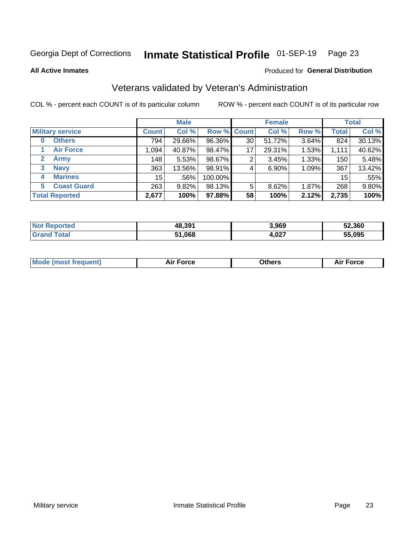#### Inmate Statistical Profile 01-SEP-19 Page 23

**All Active Inmates** 

#### Produced for General Distribution

### Veterans validated by Veteran's Administration

COL % - percent each COUNT is of its particular column

|                          |              | <b>Male</b> |                    |    | <b>Female</b> |       |              | <b>Total</b> |
|--------------------------|--------------|-------------|--------------------|----|---------------|-------|--------------|--------------|
| <b>Military service</b>  | <b>Count</b> | Col %       | <b>Row % Count</b> |    | Col %         | Row % | <b>Total</b> | Col %        |
| <b>Others</b><br>0       | 794          | 29.66%      | 96.36%             | 30 | 51.72%        | 3.64% | 824          | 30.13%       |
| <b>Air Force</b>         | 1.094        | 40.87%      | 98.47%             | 17 | 29.31%        | 1.53% | 1,111        | 40.62%       |
| <b>Army</b><br>2         | 148          | 5.53%       | 98.67%             | 2  | 3.45%         | 1.33% | 150          | 5.48%        |
| <b>Navy</b><br>3         | 363          | 13.56%      | 98.91%             | 4  | 6.90%         | 1.09% | 367          | 13.42%       |
| <b>Marines</b><br>4      | 15           | .56%        | 100.00%            |    |               |       | 15           | .55%         |
| <b>Coast Guard</b><br>5. | 263          | 9.82%       | 98.13%             | 5  | 8.62%         | 1.87% | 268          | 9.80%        |
| <b>Total Reported</b>    | 2,677        | 100%        | 97.88%             | 58 | 100%          | 2.12% | 2,735        | 100%         |

| <b>ported</b><br><b>NOT</b> | 48,391 | 3,969 | 52,360 |
|-----------------------------|--------|-------|--------|
| <b>ota</b>                  | 51,068 | 4,027 | 55.095 |

|  |  | <b>Mode (most frequent)</b> | <b>Force</b><br>Aır | วthers | orce |
|--|--|-----------------------------|---------------------|--------|------|
|--|--|-----------------------------|---------------------|--------|------|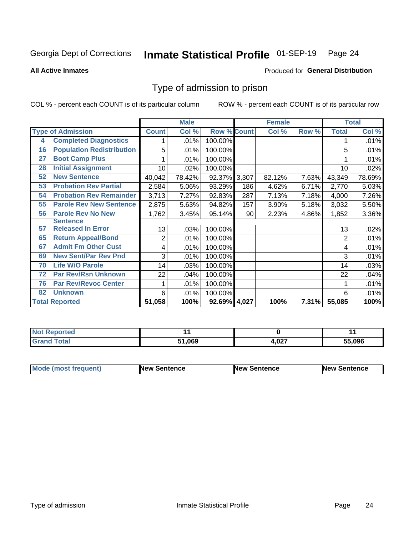#### Inmate Statistical Profile 01-SEP-19 Page 24

**All Active Inmates** 

#### Produced for General Distribution

### Type of admission to prison

COL % - percent each COUNT is of its particular column

|    |                                  |              | <b>Male</b> |                    |     | <b>Female</b> |          |              | <b>Total</b> |
|----|----------------------------------|--------------|-------------|--------------------|-----|---------------|----------|--------------|--------------|
|    | <b>Type of Admission</b>         | <b>Count</b> | Col %       | <b>Row % Count</b> |     | Col %         | Row %    | <b>Total</b> | Col %        |
| 4  | <b>Completed Diagnostics</b>     |              | .01%        | 100.00%            |     |               |          |              | .01%         |
| 16 | <b>Population Redistribution</b> | 5            | .01%        | 100.00%            |     |               |          | 5            | .01%         |
| 27 | <b>Boot Camp Plus</b>            |              | .01%        | 100.00%            |     |               |          |              | .01%         |
| 28 | <b>Initial Assignment</b>        | 10           | .02%        | 100.00%            |     |               |          | 10           | .02%         |
| 52 | <b>New Sentence</b>              | 40,042       | 78.42%      | 92.37% 3,307       |     | 82.12%        | 7.63%    | 43,349       | 78.69%       |
| 53 | <b>Probation Rev Partial</b>     | 2,584        | 5.06%       | 93.29%             | 186 | 4.62%         | 6.71%    | 2,770        | 5.03%        |
| 54 | <b>Probation Rev Remainder</b>   | 3,713        | 7.27%       | 92.83%             | 287 | 7.13%         | 7.18%    | 4,000        | 7.26%        |
| 55 | <b>Parole Rev New Sentence</b>   | 2,875        | 5.63%       | 94.82%             | 157 | 3.90%         | 5.18%    | 3,032        | 5.50%        |
| 56 | <b>Parole Rev No New</b>         | 1,762        | 3.45%       | 95.14%             | 90  | 2.23%         | 4.86%    | 1,852        | 3.36%        |
|    | <b>Sentence</b>                  |              |             |                    |     |               |          |              |              |
| 57 | <b>Released In Error</b>         | 13           | .03%        | 100.00%            |     |               |          | 13           | .02%         |
| 65 | <b>Return Appeal/Bond</b>        | 2            | .01%        | 100.00%            |     |               |          | 2            | .01%         |
| 67 | <b>Admit Fm Other Cust</b>       | 4            | .01%        | 100.00%            |     |               |          | 4            | .01%         |
| 69 | <b>New Sent/Par Rev Pnd</b>      | 3            | .01%        | 100.00%            |     |               |          | 3            | .01%         |
| 70 | <b>Life W/O Parole</b>           | 14           | .03%        | 100.00%            |     |               |          | 14           | .03%         |
| 72 | <b>Par Rev/Rsn Unknown</b>       | 22           | .04%        | 100.00%            |     |               |          | 22           | .04%         |
| 76 | <b>Par Rev/Revoc Center</b>      |              | .01%        | 100.00%            |     |               |          |              | .01%         |
| 82 | <b>Unknown</b>                   | 6            | .01%        | 100.00%            |     |               |          | 6            | .01%         |
|    | <b>Total Reported</b>            | 51,058       | 100%        | 92.69% 4,027       |     | 100%          | $7.31\%$ | 55,085       | 100%         |

| <b>Not</b><br><b>rted</b> |      |               |        |
|---------------------------|------|---------------|--------|
| $n+n$                     | .069 | דרח<br>4,0Z I | 55.096 |

| <b>Mode (most frequent)</b> | New Sentence | <b>New Sentence</b> | <b>New Sentence</b> |
|-----------------------------|--------------|---------------------|---------------------|
|                             |              |                     |                     |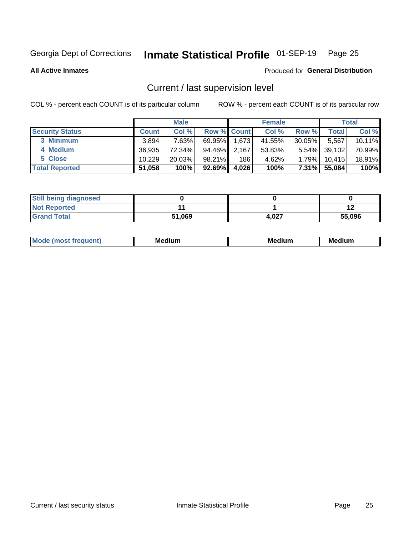## Inmate Statistical Profile 01-SEP-19 Page 25

**All Active Inmates** 

#### Produced for General Distribution

## Current / last supervision level

COL % - percent each COUNT is of its particular column

|                        |              | <b>Male</b> |                    |       | <b>Female</b> |           |        | <b>Total</b> |
|------------------------|--------------|-------------|--------------------|-------|---------------|-----------|--------|--------------|
| <b>Security Status</b> | <b>Count</b> | Col %       | <b>Row % Count</b> |       | Col %         | Row %     | Total  | Col %        |
| 3 Minimum              | 3.894        | 7.63%       | 69.95%             | 1,673 | 41.55%        | $30.05\%$ | 5,567  | 10.11%       |
| 4 Medium               | 36,935       | 72.34%      | 94.46%             | 2,167 | 53.83%        | $5.54\%$  | 39,102 | 70.99%       |
| 5 Close                | 10,229       | 20.03%      | 98.21%             | 186   | 4.62%         | 1.79%     | 10,415 | 18.91%       |
| <b>Total Reported</b>  | 51,058       | 100%        | 92.69%             | 4,026 | 100%          | $7.31\%$  | 55,084 | 100%         |

| <b>Still being diagnosed</b> |        |       |        |
|------------------------------|--------|-------|--------|
| <b>Not Reported</b>          |        |       |        |
| <b>Grand Total</b>           | 51,069 | 4.027 | 55,096 |

| М | Мє<br>dium<br>_____ | Me<br>dium<br>____ | Med<br>dıum<br>$  -$ |
|---|---------------------|--------------------|----------------------|
|   |                     |                    |                      |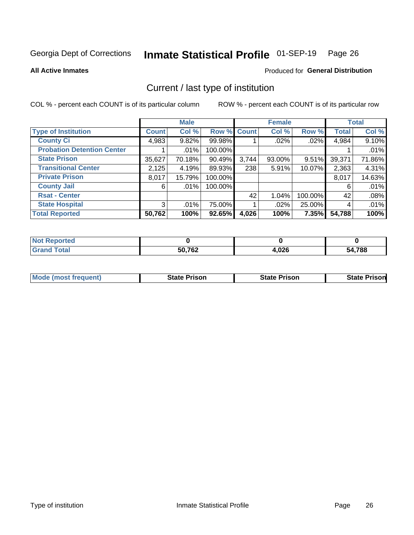#### Inmate Statistical Profile 01-SEP-19 Page 26

**All Active Inmates** 

#### Produced for General Distribution

## Current / last type of institution

COL % - percent each COUNT is of its particular column

|                                   |              | <b>Male</b> |             |       | <b>Female</b> |         |              | <b>Total</b> |
|-----------------------------------|--------------|-------------|-------------|-------|---------------|---------|--------------|--------------|
| <b>Type of Institution</b>        | <b>Count</b> | Col %       | Row % Count |       | Col %         | Row %   | <b>Total</b> | Col %        |
| <b>County Ci</b>                  | 4,983        | 9.82%       | 99.98%      |       | $.02\%$       | .02%    | 4,984        | 9.10%        |
| <b>Probation Detention Center</b> |              | .01%        | 100.00%     |       |               |         |              | .01%         |
| <b>State Prison</b>               | 35,627       | 70.18%      | 90.49%      | 3,744 | 93.00%        | 9.51%   | 39,371       | 71.86%       |
| <b>Transitional Center</b>        | 2,125        | 4.19%       | 89.93%      | 238   | 5.91%         | 10.07%  | 2,363        | 4.31%        |
| <b>Private Prison</b>             | 8,017        | 15.79%      | 100.00%     |       |               |         | 8,017        | 14.63%       |
| <b>County Jail</b>                | 6            | .01%        | 100.00%     |       |               |         | 6            | .01%         |
| <b>Rsat - Center</b>              |              |             |             | 42    | 1.04%         | 100.00% | 42           | .08%         |
| <b>State Hospital</b>             | 3            | .01%        | 75.00%      |       | $.02\%$       | 25.00%  | 4            | .01%         |
| <b>Total Reported</b>             | 50,762       | 100%        | 92.65%      | 4,026 | 100%          | 7.35%   | 54,788       | 100%         |

| $^{\mathrm{H}}$ Not.<br>Reported |        |       |        |
|----------------------------------|--------|-------|--------|
| <b>Total</b>                     | 50,762 | 4,026 | 54,788 |

| Mode (most frequent) | <b>State Prison</b> | <b>State Prison</b> | <b>State Prisonl</b> |
|----------------------|---------------------|---------------------|----------------------|
|                      |                     |                     |                      |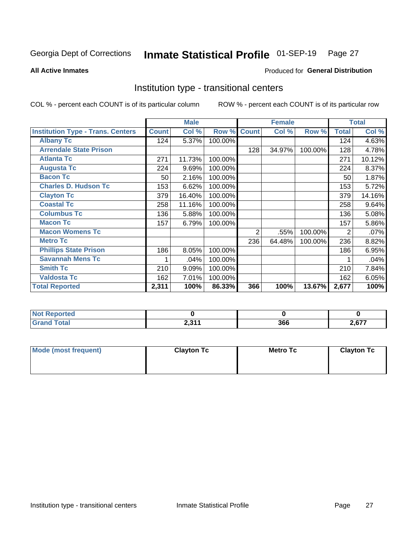#### Inmate Statistical Profile 01-SEP-19 Page 27

Produced for General Distribution

#### **All Active Inmates**

## Institution type - transitional centers

COL % - percent each COUNT is of its particular column

|                                          |              | <b>Male</b> |         |                | <b>Female</b> |         |              | <b>Total</b> |
|------------------------------------------|--------------|-------------|---------|----------------|---------------|---------|--------------|--------------|
| <b>Institution Type - Trans. Centers</b> | <b>Count</b> | Col %       | Row %   | <b>Count</b>   | Col %         | Row %   | <b>Total</b> | Col %        |
| <b>Albany Tc</b>                         | 124          | 5.37%       | 100.00% |                |               |         | 124          | 4.63%        |
| <b>Arrendale State Prison</b>            |              |             |         | 128            | 34.97%        | 100.00% | 128          | 4.78%        |
| <b>Atlanta Tc</b>                        | 271          | 11.73%      | 100.00% |                |               |         | 271          | 10.12%       |
| <b>Augusta Tc</b>                        | 224          | 9.69%       | 100.00% |                |               |         | 224          | 8.37%        |
| <b>Bacon Tc</b>                          | 50           | 2.16%       | 100.00% |                |               |         | 50           | 1.87%        |
| <b>Charles D. Hudson Tc</b>              | 153          | 6.62%       | 100.00% |                |               |         | 153          | 5.72%        |
| <b>Clayton Tc</b>                        | 379          | 16.40%      | 100.00% |                |               |         | 379          | 14.16%       |
| <b>Coastal Tc</b>                        | 258          | 11.16%      | 100.00% |                |               |         | 258          | 9.64%        |
| <b>Columbus Tc</b>                       | 136          | 5.88%       | 100.00% |                |               |         | 136          | 5.08%        |
| <b>Macon Tc</b>                          | 157          | 6.79%       | 100.00% |                |               |         | 157          | 5.86%        |
| <b>Macon Womens Tc</b>                   |              |             |         | $\overline{2}$ | .55%          | 100.00% | 2            | .07%         |
| <b>Metro Tc</b>                          |              |             |         | 236            | 64.48%        | 100.00% | 236          | 8.82%        |
| <b>Phillips State Prison</b>             | 186          | 8.05%       | 100.00% |                |               |         | 186          | 6.95%        |
| <b>Savannah Mens Tc</b>                  | 1            | .04%        | 100.00% |                |               |         |              | .04%         |
| <b>Smith Tc</b>                          | 210          | 9.09%       | 100.00% |                |               |         | 210          | 7.84%        |
| <b>Valdosta Tc</b>                       | 162          | 7.01%       | 100.00% |                |               |         | 162          | 6.05%        |
| <b>Total Reported</b>                    | 2,311        | 100%        | 86.33%  | 366            | 100%          | 13.67%  | 2,677        | 100%         |

| portea       |                |     |              |
|--------------|----------------|-----|--------------|
| <b>Total</b> | 0. 94.4<br>2.V | 366 | 277<br>2,077 |

| Mode (most frequent) | <b>Clayton Tc</b> | Metro Tc | <b>Clayton Tc</b> |
|----------------------|-------------------|----------|-------------------|
|                      |                   |          |                   |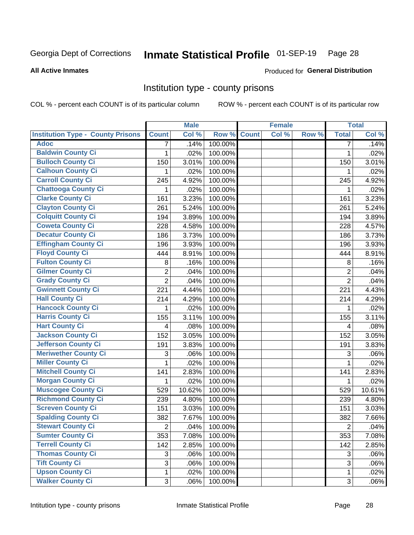## Inmate Statistical Profile 01-SEP-19 Page 28

#### **All Active Inmates**

#### Produced for General Distribution

#### Institution type - county prisons

COL % - percent each COUNT is of its particular column

|                                          |                | <b>Male</b> |         |              | <b>Female</b> |       |                | <b>Total</b> |
|------------------------------------------|----------------|-------------|---------|--------------|---------------|-------|----------------|--------------|
| <b>Institution Type - County Prisons</b> | <b>Count</b>   | Col %       | Row %   | <b>Count</b> | Col %         | Row % | <b>Total</b>   | Col %        |
| <b>Adoc</b>                              | $\overline{7}$ | .14%        | 100.00% |              |               |       | $\overline{7}$ | .14%         |
| <b>Baldwin County Ci</b>                 | 1              | .02%        | 100.00% |              |               |       | 1              | .02%         |
| <b>Bulloch County Ci</b>                 | 150            | 3.01%       | 100.00% |              |               |       | 150            | 3.01%        |
| <b>Calhoun County Ci</b>                 | 1              | .02%        | 100.00% |              |               |       | 1              | .02%         |
| <b>Carroll County Ci</b>                 | 245            | 4.92%       | 100.00% |              |               |       | 245            | 4.92%        |
| <b>Chattooga County Ci</b>               | 1              | .02%        | 100.00% |              |               |       | 1              | .02%         |
| <b>Clarke County Ci</b>                  | 161            | 3.23%       | 100.00% |              |               |       | 161            | 3.23%        |
| <b>Clayton County Ci</b>                 | 261            | 5.24%       | 100.00% |              |               |       | 261            | 5.24%        |
| <b>Colquitt County Ci</b>                | 194            | 3.89%       | 100.00% |              |               |       | 194            | 3.89%        |
| <b>Coweta County Ci</b>                  | 228            | 4.58%       | 100.00% |              |               |       | 228            | 4.57%        |
| <b>Decatur County Ci</b>                 | 186            | 3.73%       | 100.00% |              |               |       | 186            | 3.73%        |
| <b>Effingham County Ci</b>               | 196            | 3.93%       | 100.00% |              |               |       | 196            | 3.93%        |
| <b>Floyd County Ci</b>                   | 444            | 8.91%       | 100.00% |              |               |       | 444            | 8.91%        |
| <b>Fulton County Ci</b>                  | 8              | .16%        | 100.00% |              |               |       | 8              | .16%         |
| <b>Gilmer County Ci</b>                  | $\overline{2}$ | .04%        | 100.00% |              |               |       | $\overline{2}$ | .04%         |
| <b>Grady County Ci</b>                   | $\overline{2}$ | .04%        | 100.00% |              |               |       | $\overline{2}$ | .04%         |
| <b>Gwinnett County Ci</b>                | 221            | 4.44%       | 100.00% |              |               |       | 221            | 4.43%        |
| <b>Hall County Ci</b>                    | 214            | 4.29%       | 100.00% |              |               |       | 214            | 4.29%        |
| <b>Hancock County Ci</b>                 | 1              | .02%        | 100.00% |              |               |       | 1              | .02%         |
| <b>Harris County Ci</b>                  | 155            | 3.11%       | 100.00% |              |               |       | 155            | 3.11%        |
| <b>Hart County Ci</b>                    | 4              | .08%        | 100.00% |              |               |       | 4              | .08%         |
| <b>Jackson County Ci</b>                 | 152            | 3.05%       | 100.00% |              |               |       | 152            | 3.05%        |
| Jefferson County Ci                      | 191            | 3.83%       | 100.00% |              |               |       | 191            | 3.83%        |
| <b>Meriwether County Ci</b>              | 3              | .06%        | 100.00% |              |               |       | 3              | .06%         |
| <b>Miller County Ci</b>                  | 1              | .02%        | 100.00% |              |               |       | 1              | .02%         |
| <b>Mitchell County Ci</b>                | 141            | 2.83%       | 100.00% |              |               |       | 141            | 2.83%        |
| <b>Morgan County Ci</b>                  | 1              | .02%        | 100.00% |              |               |       | 1              | .02%         |
| <b>Muscogee County Ci</b>                | 529            | 10.62%      | 100.00% |              |               |       | 529            | 10.61%       |
| <b>Richmond County Ci</b>                | 239            | 4.80%       | 100.00% |              |               |       | 239            | 4.80%        |
| <b>Screven County Ci</b>                 | 151            | 3.03%       | 100.00% |              |               |       | 151            | 3.03%        |
| <b>Spalding County Ci</b>                | 382            | 7.67%       | 100.00% |              |               |       | 382            | 7.66%        |
| <b>Stewart County Ci</b>                 | $\overline{c}$ | .04%        | 100.00% |              |               |       | $\overline{c}$ | .04%         |
| <b>Sumter County Ci</b>                  | 353            | 7.08%       | 100.00% |              |               |       | 353            | 7.08%        |
| <b>Terrell County Ci</b>                 | 142            | 2.85%       | 100.00% |              |               |       | 142            | 2.85%        |
| <b>Thomas County Ci</b>                  | 3              | .06%        | 100.00% |              |               |       | 3              | .06%         |
| <b>Tift County Ci</b>                    | 3              | .06%        | 100.00% |              |               |       | 3              | .06%         |
| <b>Upson County Ci</b>                   | 1              | .02%        | 100.00% |              |               |       | $\mathbf 1$    | .02%         |
| <b>Walker County Ci</b>                  | 3              | .06%        | 100.00% |              |               |       | 3              | .06%         |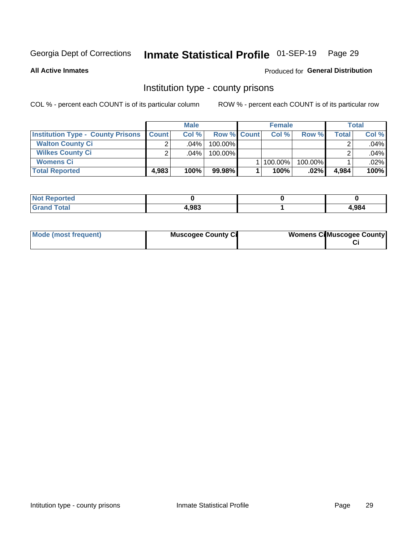## Inmate Statistical Profile 01-SEP-19 Page 29

**All Active Inmates** 

#### **Produced for General Distribution**

#### Institution type - county prisons

COL % - percent each COUNT is of its particular column

|                                          |              | <b>Male</b> |                    | <b>Female</b> |         |       | <b>Total</b> |
|------------------------------------------|--------------|-------------|--------------------|---------------|---------|-------|--------------|
| <b>Institution Type - County Prisons</b> | <b>Count</b> | Col%        | <b>Row % Count</b> | Col%          | Row %   | Total | Col %        |
| <b>Walton County Ci</b>                  | ⌒            | $.04\%$     | 100.00%            |               |         |       | .04%         |
| <b>Wilkes County Ci</b>                  |              | $.04\%$     | 100.00%            |               |         |       | .04%         |
| <b>Womens Ci</b>                         |              |             |                    | 100.00%       | 100.00% |       | .02%         |
| <b>Total Reported</b>                    | 4.983        | 100%        | 99.98%             | 100%          | .02%    | 4,984 | 100%         |

| ⊃rteα<br>110110 |       |       |
|-----------------|-------|-------|
|                 | 4,983 | 1,984 |

| Mode (most frequent) | <b>Muscogee County Ci</b> | <b>Womens Cil Muscogee County</b> |
|----------------------|---------------------------|-----------------------------------|
|                      |                           |                                   |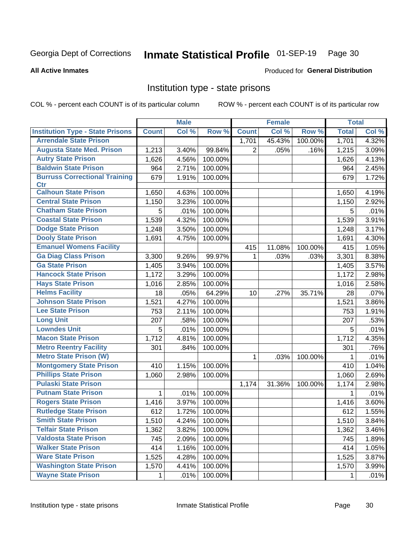## Inmate Statistical Profile 01-SEP-19 Page 30

#### **All Active Inmates**

#### Produced for General Distribution

#### Institution type - state prisons

COL % - percent each COUNT is of its particular column

|                                         |              | <b>Male</b> |         |                | <b>Female</b> |         | <b>Total</b> |       |
|-----------------------------------------|--------------|-------------|---------|----------------|---------------|---------|--------------|-------|
| <b>Institution Type - State Prisons</b> | <b>Count</b> | Col %       | Row %   | <b>Count</b>   | Col %         | Row %   | <b>Total</b> | Col % |
| <b>Arrendale State Prison</b>           |              |             |         | 1,701          | 45.43%        | 100.00% | 1,701        | 4.32% |
| <b>Augusta State Med. Prison</b>        | 1,213        | 3.40%       | 99.84%  | $\overline{2}$ | .05%          | .16%    | 1,215        | 3.09% |
| <b>Autry State Prison</b>               | 1,626        | 4.56%       | 100.00% |                |               |         | 1,626        | 4.13% |
| <b>Baldwin State Prison</b>             | 964          | 2.71%       | 100.00% |                |               |         | 964          | 2.45% |
| <b>Burruss Correctional Training</b>    | 679          | 1.91%       | 100.00% |                |               |         | 679          | 1.72% |
| <b>Ctr</b>                              |              |             |         |                |               |         |              |       |
| <b>Calhoun State Prison</b>             | 1,650        | 4.63%       | 100.00% |                |               |         | 1,650        | 4.19% |
| <b>Central State Prison</b>             | 1,150        | 3.23%       | 100.00% |                |               |         | 1,150        | 2.92% |
| <b>Chatham State Prison</b>             | 5            | .01%        | 100.00% |                |               |         | 5            | .01%  |
| <b>Coastal State Prison</b>             | 1,539        | 4.32%       | 100.00% |                |               |         | 1,539        | 3.91% |
| <b>Dodge State Prison</b>               | 1,248        | 3.50%       | 100.00% |                |               |         | 1,248        | 3.17% |
| <b>Dooly State Prison</b>               | 1,691        | 4.75%       | 100.00% |                |               |         | 1,691        | 4.30% |
| <b>Emanuel Womens Facility</b>          |              |             |         | 415            | 11.08%        | 100.00% | 415          | 1.05% |
| <b>Ga Diag Class Prison</b>             | 3,300        | 9.26%       | 99.97%  | 1              | .03%          | .03%    | 3,301        | 8.38% |
| <b>Ga State Prison</b>                  | 1,405        | 3.94%       | 100.00% |                |               |         | 1,405        | 3.57% |
| <b>Hancock State Prison</b>             | 1,172        | 3.29%       | 100.00% |                |               |         | 1,172        | 2.98% |
| <b>Hays State Prison</b>                | 1,016        | 2.85%       | 100.00% |                |               |         | 1,016        | 2.58% |
| <b>Helms Facility</b>                   | 18           | .05%        | 64.29%  | 10             | .27%          | 35.71%  | 28           | .07%  |
| <b>Johnson State Prison</b>             | 1,521        | 4.27%       | 100.00% |                |               |         | 1,521        | 3.86% |
| <b>Lee State Prison</b>                 | 753          | 2.11%       | 100.00% |                |               |         | 753          | 1.91% |
| <b>Long Unit</b>                        | 207          | .58%        | 100.00% |                |               |         | 207          | .53%  |
| <b>Lowndes Unit</b>                     | 5            | .01%        | 100.00% |                |               |         | 5            | .01%  |
| <b>Macon State Prison</b>               | 1,712        | 4.81%       | 100.00% |                |               |         | 1,712        | 4.35% |
| <b>Metro Reentry Facility</b>           | 301          | .84%        | 100.00% |                |               |         | 301          | .76%  |
| <b>Metro State Prison (W)</b>           |              |             |         | 1              | .03%          | 100.00% | 1            | .01%  |
| <b>Montgomery State Prison</b>          | 410          | 1.15%       | 100.00% |                |               |         | 410          | 1.04% |
| <b>Phillips State Prison</b>            | 1,060        | 2.98%       | 100.00% |                |               |         | 1,060        | 2.69% |
| <b>Pulaski State Prison</b>             |              |             |         | 1,174          | 31.36%        | 100.00% | 1,174        | 2.98% |
| <b>Putnam State Prison</b>              | $\mathbf{1}$ | .01%        | 100.00% |                |               |         | 1            | .01%  |
| <b>Rogers State Prison</b>              | 1,416        | 3.97%       | 100.00% |                |               |         | 1,416        | 3.60% |
| <b>Rutledge State Prison</b>            | 612          | 1.72%       | 100.00% |                |               |         | 612          | 1.55% |
| <b>Smith State Prison</b>               | 1,510        | $4.24\%$    | 100.00% |                |               |         | 1,510        | 3.84% |
| <b>Telfair State Prison</b>             | 1,362        | 3.82%       | 100.00% |                |               |         | 1,362        | 3.46% |
| <b>Valdosta State Prison</b>            | 745          | 2.09%       | 100.00% |                |               |         | 745          | 1.89% |
| <b>Walker State Prison</b>              | 414          | 1.16%       | 100.00% |                |               |         | 414          | 1.05% |
| <b>Ware State Prison</b>                | 1,525        | 4.28%       | 100.00% |                |               |         | 1,525        | 3.87% |
| <b>Washington State Prison</b>          | 1,570        | 4.41%       | 100.00% |                |               |         | 1,570        | 3.99% |
| <b>Wayne State Prison</b>               | 1            | .01%        | 100.00% |                |               |         | 1            | .01%  |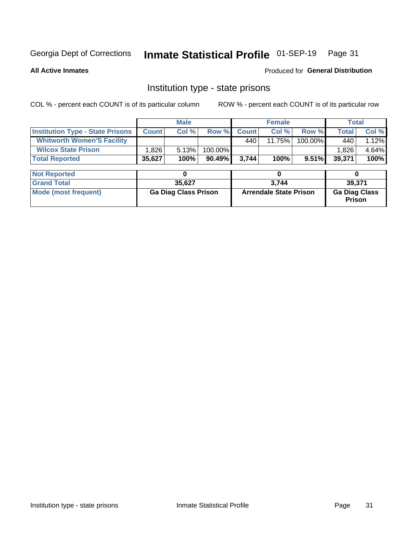## Inmate Statistical Profile 01-SEP-19 Page 31

**All Active Inmates** 

Produced for General Distribution

### Institution type - state prisons

COL % - percent each COUNT is of its particular column

|                                         | <b>Male</b>                 |        |                               |              | <b>Female</b> | <b>Total</b>                          |              |        |  |
|-----------------------------------------|-----------------------------|--------|-------------------------------|--------------|---------------|---------------------------------------|--------------|--------|--|
| <b>Institution Type - State Prisons</b> | <b>Count</b>                | Col %  | Row %                         | <b>Count</b> | Col %         | Row %                                 | <b>Total</b> | Col %  |  |
| <b>Whitworth Women'S Facility</b>       |                             |        |                               | 440          | 11.75%        | 100.00%                               | 440          | 1.12%  |  |
| <b>Wilcox State Prison</b>              | 1,826                       | 5.13%  | 100.00%                       |              |               |                                       | 1,826        | 4.64%  |  |
| <b>Total Reported</b>                   | 35,627                      | 100%   | $90.49\%$                     | 3,744        | 100%          | $9.51\%$                              | 39,371       | 100%   |  |
|                                         |                             |        |                               |              |               |                                       |              |        |  |
| <b>Not Reported</b>                     |                             | 0      |                               |              | 0             |                                       | 0            |        |  |
| <b>Grand Total</b>                      |                             | 35,627 |                               |              | 3,744         |                                       |              | 39,371 |  |
| <b>Mode (most frequent)</b>             | <b>Ga Diag Class Prison</b> |        | <b>Arrendale State Prison</b> |              |               | <b>Ga Diag Class</b><br><b>Prison</b> |              |        |  |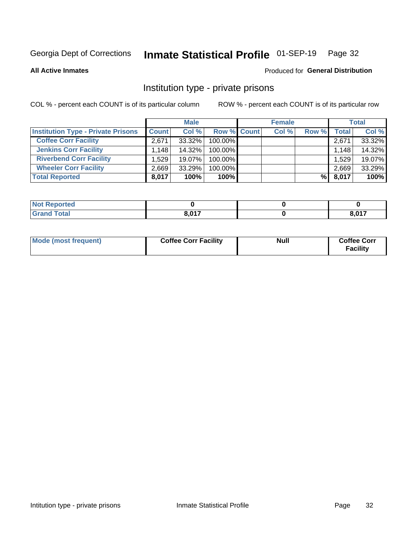## Inmate Statistical Profile 01-SEP-19 Page 32

**All Active Inmates** 

#### Produced for General Distribution

### Institution type - private prisons

COL % - percent each COUNT is of its particular column

|                                           |              | <b>Male</b> |                    | <b>Female</b> |       |       | <b>Total</b> |
|-------------------------------------------|--------------|-------------|--------------------|---------------|-------|-------|--------------|
| <b>Institution Type - Private Prisons</b> | <b>Count</b> | Col %       | <b>Row % Count</b> | Col %         | Row % | Total | Col %        |
| <b>Coffee Corr Facility</b>               | 2.671        | $33.32\%$   | 100.00%            |               |       | 2,671 | 33.32%       |
| <b>Jenkins Corr Facility</b>              | 1.148        | 14.32%      | $100.00\%$         |               |       | 1,148 | 14.32%       |
| <b>Riverbend Corr Facility</b>            | 1.529        | 19.07%      | 100.00%            |               |       | 1,529 | 19.07%       |
| <b>Wheeler Corr Facility</b>              | 2.669        | 33.29%      | 100.00%            |               |       | 2,669 | 33.29%       |
| <b>Total Reported</b>                     | 8,017        | 100%        | 100%               |               | %     | 8,017 | 100%         |

| Reported<br>NOT |       |       |
|-----------------|-------|-------|
| <b>cotal</b>    | 0.017 | 8,017 |

| Mode (most frequent) | <b>Coffee Corr Facility</b> | <b>Null</b> | <b>Coffee Corr</b><br><b>Facility</b> |
|----------------------|-----------------------------|-------------|---------------------------------------|
|----------------------|-----------------------------|-------------|---------------------------------------|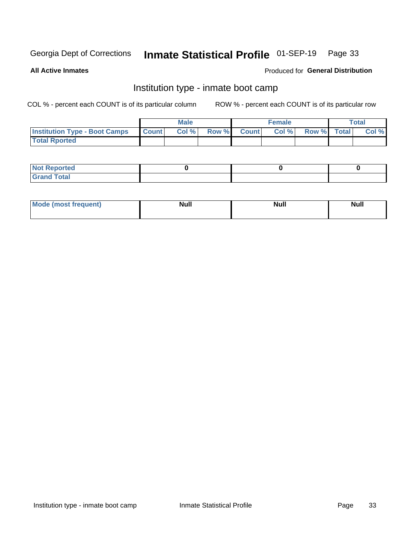## Inmate Statistical Profile 01-SEP-19 Page 33

**All Active Inmates** 

#### Produced for General Distribution

### Institution type - inmate boot camp

COL % - percent each COUNT is of its particular column

|                                      |                  | <b>Male</b> |              |              | <b>Female</b> |             | <b>Total</b> |
|--------------------------------------|------------------|-------------|--------------|--------------|---------------|-------------|--------------|
| <b>Institution Type - Boot Camps</b> | <b>I</b> Count I | Col %       | <b>Row %</b> | <b>Count</b> | Col %         | Row % Total | Col %        |
| <b>Total Rported</b>                 |                  |             |              |              |               |             |              |

| <b>Not Reported</b>            |  |  |
|--------------------------------|--|--|
| <b>Total</b><br>C <sub>r</sub> |  |  |

| Mod<br>uamo | Nul.<br>$- - - - - -$ | <b>Null</b> | . .<br>uu.<br>------ |
|-------------|-----------------------|-------------|----------------------|
|             |                       |             |                      |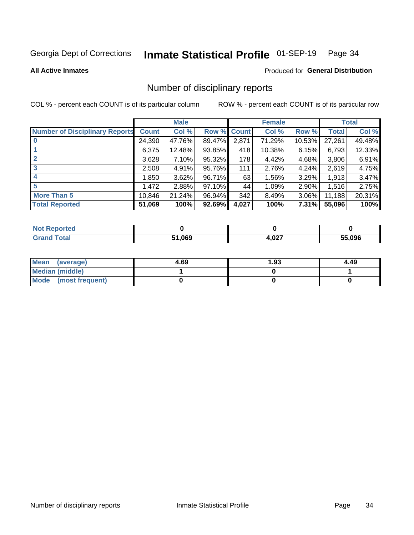#### Inmate Statistical Profile 01-SEP-19 Page 34

**All Active Inmates** 

#### **Produced for General Distribution**

### Number of disciplinary reports

COL % - percent each COUNT is of its particular column

|                                       |              | <b>Male</b> |                    |       | <b>Female</b> |          |              | <b>Total</b> |
|---------------------------------------|--------------|-------------|--------------------|-------|---------------|----------|--------------|--------------|
| <b>Number of Disciplinary Reports</b> | <b>Count</b> | Col %       | <b>Row % Count</b> |       | Col %         | Row %    | <b>Total</b> | Col %        |
|                                       | 24,390       | 47.76%      | 89.47%             | 2,871 | 71.29%        | 10.53%   | 27,261       | 49.48%       |
|                                       | 6,375        | 12.48%      | 93.85%             | 418   | 10.38%        | 6.15%    | 6,793        | 12.33%       |
|                                       | 3,628        | 7.10%       | 95.32%             | 178   | 4.42%         | 4.68%    | 3,806        | 6.91%        |
| 3                                     | 2,508        | 4.91%       | 95.76%             | 111   | 2.76%         | 4.24%    | 2,619        | 4.75%        |
|                                       | 850, ا       | 3.62%       | 96.71%             | 63    | 1.56%         | 3.29%    | 1,913        | 3.47%        |
| 5                                     | .472         | 2.88%       | 97.10%             | 44    | 1.09%         | 2.90%    | 1,516        | 2.75%        |
| <b>More Than 5</b>                    | 10,846       | 21.24%      | 96.94%             | 342   | 8.49%         | $3.06\%$ | 11,188       | 20.31%       |
| <b>Total Reported</b>                 | 51,069       | 100%        | 92.69%             | 4,027 | 100%          | 7.31%    | 55,096       | 100%         |

| orted<br>NO: |        |       |        |
|--------------|--------|-------|--------|
| Total        | 51.069 | 4,027 | 55.096 |

| Mean (average)         | 4.69 | 1.93 | 4.49 |
|------------------------|------|------|------|
| <b>Median (middle)</b> |      |      |      |
| Mode (most frequent)   |      |      |      |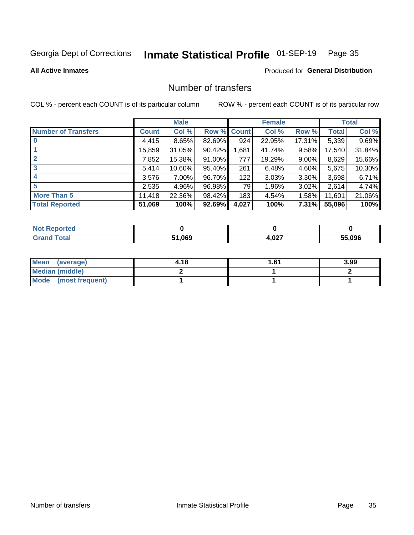## Inmate Statistical Profile 01-SEP-19 Page 35

**All Active Inmates** 

#### **Produced for General Distribution**

### Number of transfers

COL % - percent each COUNT is of its particular column

|                            |              | <b>Male</b> |             |       | <b>Female</b> |          |        | <b>Total</b> |
|----------------------------|--------------|-------------|-------------|-------|---------------|----------|--------|--------------|
| <b>Number of Transfers</b> | <b>Count</b> | Col %       | Row % Count |       | Col %         | Row %    | Total  | Col %        |
|                            | 4,415        | 8.65%       | 82.69%      | 924   | 22.95%        | 17.31%   | 5,339  | 9.69%        |
|                            | 15,859       | 31.05%      | 90.42%      | 1,681 | 41.74%        | 9.58%    | 17,540 | 31.84%       |
| $\mathbf{2}$               | 7,852        | 15.38%      | 91.00%      | 777   | 19.29%        | $9.00\%$ | 8,629  | 15.66%       |
| 3                          | 5,414        | 10.60%      | 95.40%      | 261   | 6.48%         | 4.60%    | 5,675  | 10.30%       |
| 4                          | 3,576        | 7.00%       | 96.70%      | 122   | 3.03%         | $3.30\%$ | 3,698  | 6.71%        |
| 5                          | 2,535        | 4.96%       | 96.98%      | 79    | 1.96%         | $3.02\%$ | 2,614  | 4.74%        |
| <b>More Than 5</b>         | 11,418       | 22.36%      | 98.42%      | 183   | 4.54%         | 1.58%    | 11,601 | 21.06%       |
| <b>Total Reported</b>      | 51,069       | 100%        | 92.69%      | 4,027 | 100%          | 7.31%    | 55,096 | 100%         |

| <b>Not Reported</b> |        |       |        |
|---------------------|--------|-------|--------|
| Total               | 51.069 | 4,027 | 55.096 |

| Mean (average)       | 4.18 | 61.، | 3.99 |
|----------------------|------|------|------|
| Median (middle)      |      |      |      |
| Mode (most frequent) |      |      |      |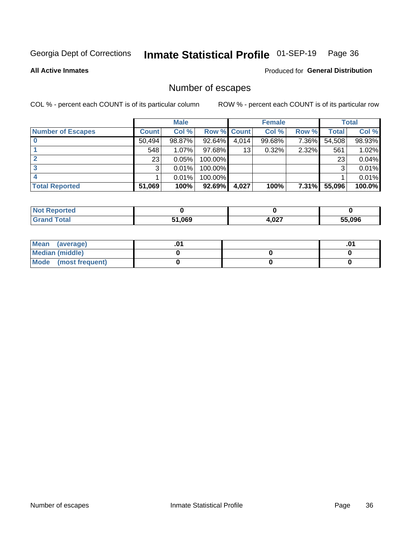## Inmate Statistical Profile 01-SEP-19 Page 36

**All Active Inmates** 

Produced for General Distribution

## Number of escapes

COL % - percent each COUNT is of its particular column

|                          |              | <b>Male</b> |             |       | <b>Female</b> |          |        | <b>Total</b> |
|--------------------------|--------------|-------------|-------------|-------|---------------|----------|--------|--------------|
| <b>Number of Escapes</b> | <b>Count</b> | Col %       | Row % Count |       | Col %         | Row %    | Total  | Col %        |
|                          | 50,494       | 98.87%      | 92.64%      | 4,014 | 99.68%        | 7.36%    | 54,508 | 98.93%       |
|                          | 548          | 1.07%       | $97.68\%$   | 13    | 0.32%         | 2.32%    | 561    | 1.02%        |
|                          | 23           | 0.05%       | 100.00%     |       |               |          | 23     | 0.04%        |
|                          | 3            | 0.01%       | $100.00\%$  |       |               |          | 3      | 0.01%        |
|                          |              | 0.01%       | 100.00%     |       |               |          |        | 0.01%        |
| <b>Total Reported</b>    | 51,069       | 100%        | $92.69\%$   | 4,027 | 100%          | $7.31\%$ | 55,096 | 100.0%       |

| Reported<br>Not. |        |       |        |
|------------------|--------|-------|--------|
| Total            | 51,069 | 1,027 | 55.096 |

| Mean (average)       |  | ו ש. |
|----------------------|--|------|
| Median (middle)      |  |      |
| Mode (most frequent) |  |      |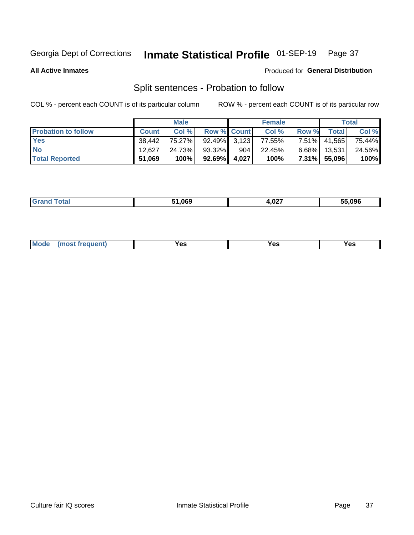#### Inmate Statistical Profile 01-SEP-19 Page 37

**All Active Inmates** 

#### Produced for General Distribution

## Split sentences - Probation to follow

COL % - percent each COUNT is of its particular column

|                            |              | <b>Male</b> |                 |       | <b>Female</b> |          |              | <b>Total</b> |
|----------------------------|--------------|-------------|-----------------|-------|---------------|----------|--------------|--------------|
| <b>Probation to follow</b> | <b>Count</b> | Col%        | Row % Count     |       | Col %         | Row %    | Total        | Col %        |
| <b>Yes</b>                 | 38.442       | 75.27%      | $92.49\%$ 3.123 |       | 77.55%        | $7.51\%$ | 41,565       | 75.44%       |
| <b>No</b>                  | 12.627       | 24.73%      | 93.32%          | 904   | 22.45%        | $6.68\%$ | 13,531       | 24.56%       |
| <b>Total Reported</b>      | 51,069       | 100%        | $92.69\%$       | 4,027 | 100%          |          | 7.31% 55,096 | 100%         |

| _______ | 51.069 | 1,027<br>--- | 55.096 |
|---------|--------|--------------|--------|
|         |        |              |        |

| M<br>reauent)<br>/٥<br>$\sim$<br>v.,<br>.<br>w<br>$\cdot$ - $\cdot$ |  |  |  |  |  |
|---------------------------------------------------------------------|--|--|--|--|--|
|---------------------------------------------------------------------|--|--|--|--|--|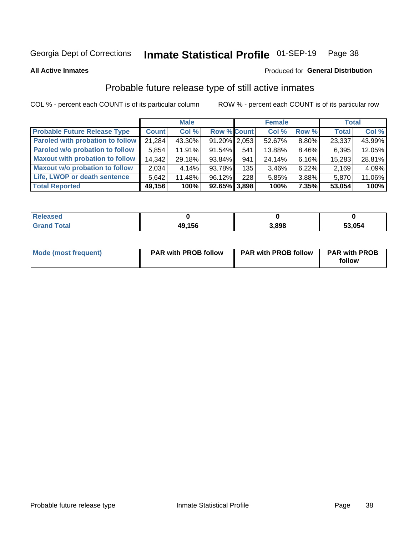#### Inmate Statistical Profile 01-SEP-19 Page 38

**All Active Inmates** 

### Produced for General Distribution

## Probable future release type of still active inmates

COL % - percent each COUNT is of its particular column

|                                         |              | <b>Male</b> |                    |     | <b>Female</b> |          | <b>Total</b> |        |
|-----------------------------------------|--------------|-------------|--------------------|-----|---------------|----------|--------------|--------|
| <b>Probable Future Release Type</b>     | <b>Count</b> | Col %       | <b>Row % Count</b> |     | Col %         | Row %    | <b>Total</b> | Col %  |
| <b>Paroled with probation to follow</b> | 21,284       | 43.30%      | $91.20\%$   2,053  |     | 52.67%        | 8.80%    | 23,337       | 43.99% |
| Paroled w/o probation to follow         | 5,854        | 11.91%      | 91.54%             | 541 | 13.88%        | 8.46%    | 6,395        | 12.05% |
| <b>Maxout with probation to follow</b>  | 14,342       | 29.18%      | $93.84\%$          | 941 | 24.14%        | 6.16%    | 15,283       | 28.81% |
| <b>Maxout w/o probation to follow</b>   | 2,034        | 4.14%       | 93.78%             | 135 | 3.46%         | $6.22\%$ | 2,169        | 4.09%  |
| Life, LWOP or death sentence            | 5.642        | 11.48%      | 96.12%             | 228 | 5.85%         | 3.88%    | 5,870        | 11.06% |
| <b>Total Reported</b>                   | 49,156       | 100%        | $92.65\%$ 3,898    |     | 100%          | $7.35\%$ | 53,054       | 100%   |

| $F0+0$ | 49,156 | 3.898 | 53,054 |
|--------|--------|-------|--------|

| <b>Mode (most frequent)</b> | <b>PAR with PROB follow</b> | <b>PAR with PROB follow</b> | <b>PAR with PROB</b> |
|-----------------------------|-----------------------------|-----------------------------|----------------------|
|                             |                             |                             | follow               |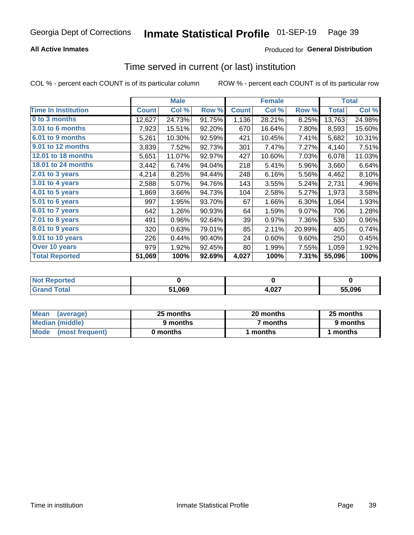## **All Active Inmates**

## Produced for General Distribution

## Time served in current (or last) institution

COL % - percent each COUNT is of its particular column

|                            | <b>Male</b>  |        | <b>Female</b> |              |        | <b>Total</b> |              |        |
|----------------------------|--------------|--------|---------------|--------------|--------|--------------|--------------|--------|
| <b>Time In Institution</b> | <b>Count</b> | Col %  | Row %         | <b>Count</b> | Col %  | Row %        | <b>Total</b> | Col %  |
| 0 to 3 months              | 12,627       | 24.73% | 91.75%        | 1,136        | 28.21% | 8.25%        | 13,763       | 24.98% |
| 3.01 to 6 months           | 7,923        | 15.51% | 92.20%        | 670          | 16.64% | 7.80%        | 8,593        | 15.60% |
| 6.01 to 9 months           | 5,261        | 10.30% | 92.59%        | 421          | 10.45% | 7.41%        | 5,682        | 10.31% |
| 9.01 to 12 months          | 3,839        | 7.52%  | 92.73%        | 301          | 7.47%  | 7.27%        | 4,140        | 7.51%  |
| <b>12.01 to 18 months</b>  | 5,651        | 11.07% | 92.97%        | 427          | 10.60% | 7.03%        | 6,078        | 11.03% |
| <b>18.01 to 24 months</b>  | 3,442        | 6.74%  | 94.04%        | 218          | 5.41%  | 5.96%        | 3,660        | 6.64%  |
| $2.01$ to 3 years          | 4,214        | 8.25%  | 94.44%        | 248          | 6.16%  | 5.56%        | 4,462        | 8.10%  |
| $3.01$ to 4 years          | 2,588        | 5.07%  | 94.76%        | 143          | 3.55%  | 5.24%        | 2,731        | 4.96%  |
| 4.01 to 5 years            | 1,869        | 3.66%  | 94.73%        | 104          | 2.58%  | 5.27%        | 1,973        | 3.58%  |
| 5.01 to 6 years            | 997          | 1.95%  | 93.70%        | 67           | 1.66%  | 6.30%        | 1,064        | 1.93%  |
| 6.01 to 7 years            | 642          | 1.26%  | 90.93%        | 64           | 1.59%  | 9.07%        | 706          | 1.28%  |
| 7.01 to 8 years            | 491          | 0.96%  | 92.64%        | 39           | 0.97%  | 7.36%        | 530          | 0.96%  |
| $8.01$ to 9 years          | 320          | 0.63%  | 79.01%        | 85           | 2.11%  | 20.99%       | 405          | 0.74%  |
| 9.01 to 10 years           | 226          | 0.44%  | 90.40%        | 24           | 0.60%  | 9.60%        | 250          | 0.45%  |
| Over 10 years              | 979          | 1.92%  | 92.45%        | 80           | 1.99%  | 7.55%        | 1,059        | 1.92%  |
| <b>Total Reported</b>      | 51,069       | 100%   | 92.69%        | 4,027        | 100%   | 7.31%        | 55,096       | 100%   |

| orted<br><b>Not</b> |        |               |        |
|---------------------|--------|---------------|--------|
| ntai                | 51,069 | רמה.<br>4,VZ7 | 55.096 |

| <b>Mean</b><br>(average) | 25 months | 20 months | 25 months |
|--------------------------|-----------|-----------|-----------|
| Median (middle)          | 9 months  | 7 months  | 9 months  |
| Mode<br>(most frequent)  | 0 months  | months    | ∖ months  |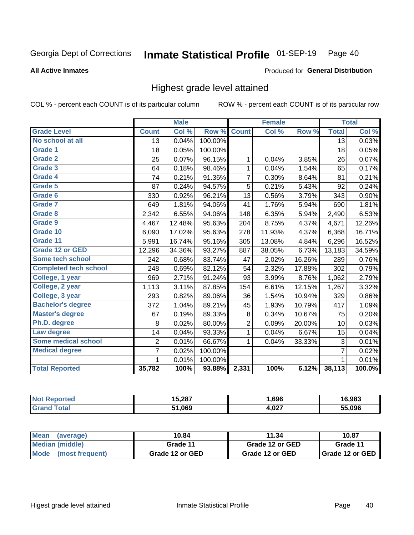#### Inmate Statistical Profile 01-SEP-19 Page 40

### **All Active Inmates**

### Produced for General Distribution

## Highest grade level attained

COL % - percent each COUNT is of its particular column

|                              |                 | <b>Male</b> |         |                | <b>Female</b> |        |                 | <b>Total</b> |
|------------------------------|-----------------|-------------|---------|----------------|---------------|--------|-----------------|--------------|
| <b>Grade Level</b>           | <b>Count</b>    | Col %       | Row %   | <b>Count</b>   | Col %         | Row %  | <b>Total</b>    | Col %        |
| No school at all             | $\overline{13}$ | 0.04%       | 100.00% |                |               |        | $\overline{13}$ | 0.03%        |
| <b>Grade 1</b>               | 18              | 0.05%       | 100.00% |                |               |        | 18              | 0.05%        |
| <b>Grade 2</b>               | 25              | 0.07%       | 96.15%  | 1              | 0.04%         | 3.85%  | 26              | 0.07%        |
| Grade 3                      | 64              | 0.18%       | 98.46%  | 1              | 0.04%         | 1.54%  | 65              | 0.17%        |
| <b>Grade 4</b>               | 74              | 0.21%       | 91.36%  | $\overline{7}$ | 0.30%         | 8.64%  | 81              | 0.21%        |
| Grade 5                      | 87              | 0.24%       | 94.57%  | 5              | 0.21%         | 5.43%  | 92              | 0.24%        |
| Grade 6                      | 330             | 0.92%       | 96.21%  | 13             | 0.56%         | 3.79%  | 343             | 0.90%        |
| <b>Grade 7</b>               | 649             | 1.81%       | 94.06%  | 41             | 1.76%         | 5.94%  | 690             | 1.81%        |
| Grade 8                      | 2,342           | 6.55%       | 94.06%  | 148            | 6.35%         | 5.94%  | 2,490           | 6.53%        |
| Grade 9                      | 4,467           | 12.48%      | 95.63%  | 204            | 8.75%         | 4.37%  | 4,671           | 12.26%       |
| Grade 10                     | 6,090           | 17.02%      | 95.63%  | 278            | 11.93%        | 4.37%  | 6,368           | 16.71%       |
| Grade 11                     | 5,991           | 16.74%      | 95.16%  | 305            | 13.08%        | 4.84%  | 6,296           | 16.52%       |
| <b>Grade 12 or GED</b>       | 12,296          | 34.36%      | 93.27%  | 887            | 38.05%        | 6.73%  | 13,183          | 34.59%       |
| <b>Some tech school</b>      | 242             | 0.68%       | 83.74%  | 47             | 2.02%         | 16.26% | 289             | 0.76%        |
| <b>Completed tech school</b> | 248             | 0.69%       | 82.12%  | 54             | 2.32%         | 17.88% | 302             | 0.79%        |
| College, 1 year              | 969             | 2.71%       | 91.24%  | 93             | 3.99%         | 8.76%  | 1,062           | 2.79%        |
| College, 2 year              | 1,113           | 3.11%       | 87.85%  | 154            | 6.61%         | 12.15% | 1,267           | 3.32%        |
| College, 3 year              | 293             | 0.82%       | 89.06%  | 36             | 1.54%         | 10.94% | 329             | 0.86%        |
| <b>Bachelor's degree</b>     | 372             | 1.04%       | 89.21%  | 45             | 1.93%         | 10.79% | 417             | 1.09%        |
| <b>Master's degree</b>       | 67              | 0.19%       | 89.33%  | 8              | 0.34%         | 10.67% | 75              | 0.20%        |
| Ph.D. degree                 | 8               | 0.02%       | 80.00%  | $\overline{2}$ | 0.09%         | 20.00% | 10              | 0.03%        |
| Law degree                   | 14              | 0.04%       | 93.33%  | $\mathbf{1}$   | 0.04%         | 6.67%  | 15              | 0.04%        |
| <b>Some medical school</b>   | $\overline{2}$  | 0.01%       | 66.67%  | 1              | 0.04%         | 33.33% | 3               | 0.01%        |
| <b>Medical degree</b>        | $\overline{7}$  | 0.02%       | 100.00% |                |               |        | $\overline{7}$  | 0.02%        |
|                              | 1.              | 0.01%       | 100.00% |                |               |        | 1               | 0.01%        |
| <b>Total Reported</b>        | 35,782          | 100%        | 93.88%  | 2,331          | 100%          | 6.12%  | 38,113          | 100.0%       |

| 15.287 | .696  | .983   |
|--------|-------|--------|
| 51,069 | 1,027 | 55.096 |

| <b>Mean</b><br>(average) | 10.84           | 11.34           | 10.87           |
|--------------------------|-----------------|-----------------|-----------------|
| Median (middle)          | Grade 11        | Grade 12 or GED | Grade 11        |
| Mode (most frequent)     | Grade 12 or GED | Grade 12 or GED | Grade 12 or GED |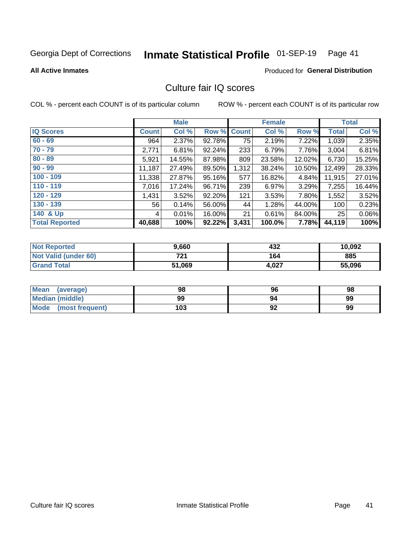# Inmate Statistical Profile 01-SEP-19 Page 41

### **All Active Inmates**

## **Produced for General Distribution**

## Culture fair IQ scores

COL % - percent each COUNT is of its particular column

|                       |              | <b>Male</b> |             |       | <b>Female</b> |        |              | <b>Total</b> |
|-----------------------|--------------|-------------|-------------|-------|---------------|--------|--------------|--------------|
| <b>IQ Scores</b>      | <b>Count</b> | Col %       | Row % Count |       | Col %         | Row %  | <b>Total</b> | Col %        |
| $60 - 69$             | 964          | 2.37%       | 92.78%      | 75    | 2.19%         | 7.22%  | 1,039        | 2.35%        |
| $70 - 79$             | 2,771        | 6.81%       | 92.24%      | 233   | 6.79%         | 7.76%  | 3,004        | 6.81%        |
| $80 - 89$             | 5,921        | 14.55%      | 87.98%      | 809   | 23.58%        | 12.02% | 6,730        | 15.25%       |
| $90 - 99$             | 11,187       | 27.49%      | 89.50%      | 1,312 | 38.24%        | 10.50% | 12,499       | 28.33%       |
| $100 - 109$           | 11,338       | 27.87%      | 95.16%      | 577   | 16.82%        | 4.84%  | 11,915       | 27.01%       |
| $110 - 119$           | 7,016        | 17.24%      | 96.71%      | 239   | 6.97%         | 3.29%  | 7,255        | 16.44%       |
| $120 - 129$           | 1,431        | 3.52%       | 92.20%      | 121   | 3.53%         | 7.80%  | 1,552        | 3.52%        |
| $130 - 139$           | 56           | 0.14%       | 56.00%      | 44    | 1.28%         | 44.00% | 100          | 0.23%        |
| 140 & Up              | 4            | 0.01%       | 16.00%      | 21    | 0.61%         | 84.00% | 25           | 0.06%        |
| <b>Total Reported</b> | 40,688       | 100%        | 92.22%      | 3,431 | 100.0%        | 7.78%  | 44,119       | 100%         |

| <b>Not Reported</b>         | 9,660  | 432   | 10,092 |
|-----------------------------|--------|-------|--------|
| <b>Not Valid (under 60)</b> | 721    | 164   | 885    |
| <b>Grand Total</b>          | 51,069 | 4,027 | 55,096 |

| <b>Mean</b><br>(average)       | 98  | 96 | 98 |
|--------------------------------|-----|----|----|
| Median (middle)                | 99  | 94 | 99 |
| <b>Mode</b><br>(most frequent) | 103 | 92 | 99 |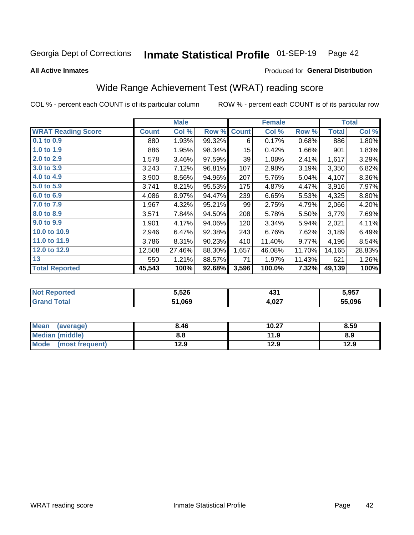#### Inmate Statistical Profile 01-SEP-19 Page 42

**All Active Inmates** 

## Produced for General Distribution

## Wide Range Achievement Test (WRAT) reading score

COL % - percent each COUNT is of its particular column

|                           |              | <b>Male</b> |        |                 | <b>Female</b> |        |              | <b>Total</b> |
|---------------------------|--------------|-------------|--------|-----------------|---------------|--------|--------------|--------------|
| <b>WRAT Reading Score</b> | <b>Count</b> | Col %       | Row %  | <b>Count</b>    | Col %         | Row %  | <b>Total</b> | Col %        |
| $0.1$ to $0.9$            | 880          | 1.93%       | 99.32% | 6               | 0.17%         | 0.68%  | 886          | 1.80%        |
| 1.0 to 1.9                | 886          | 1.95%       | 98.34% | 15 <sub>1</sub> | 0.42%         | 1.66%  | 901          | 1.83%        |
| 2.0 to 2.9                | 1,578        | 3.46%       | 97.59% | 39              | 1.08%         | 2.41%  | 1,617        | 3.29%        |
| 3.0 to 3.9                | 3,243        | 7.12%       | 96.81% | 107             | 2.98%         | 3.19%  | 3,350        | 6.82%        |
| 4.0 to 4.9                | 3,900        | 8.56%       | 94.96% | 207             | 5.76%         | 5.04%  | 4,107        | 8.36%        |
| 5.0 to 5.9                | 3,741        | 8.21%       | 95.53% | 175             | 4.87%         | 4.47%  | 3,916        | 7.97%        |
| 6.0 to 6.9                | 4,086        | 8.97%       | 94.47% | 239             | 6.65%         | 5.53%  | 4,325        | 8.80%        |
| 7.0 to 7.9                | 1,967        | 4.32%       | 95.21% | 99              | 2.75%         | 4.79%  | 2,066        | 4.20%        |
| 8.0 to 8.9                | 3,571        | 7.84%       | 94.50% | 208             | 5.78%         | 5.50%  | 3,779        | 7.69%        |
| 9.0 to 9.9                | 1,901        | 4.17%       | 94.06% | 120             | 3.34%         | 5.94%  | 2,021        | 4.11%        |
| 10.0 to 10.9              | 2,946        | 6.47%       | 92.38% | 243             | 6.76%         | 7.62%  | 3,189        | 6.49%        |
| 11.0 to 11.9              | 3,786        | 8.31%       | 90.23% | 410             | 11.40%        | 9.77%  | 4,196        | 8.54%        |
| 12.0 to 12.9              | 12,508       | 27.46%      | 88.30% | 1,657           | 46.08%        | 11.70% | 14,165       | 28.83%       |
| 13                        | 550          | 1.21%       | 88.57% | 71              | 1.97%         | 11.43% | 621          | 1.26%        |
| <b>Total Reported</b>     | 45,543       | 100%        | 92.68% | 3,596           | 100.0%        | 7.32%  | 49,139       | 100%         |

| Reported<br><b>NOT</b> | 5,526  | 194<br>40            | 5,957  |
|------------------------|--------|----------------------|--------|
| <b>Total</b>           | 51,069 | . രാ $\tau$<br>4.UZ. | 55.096 |

| Mean<br>(average)       | 8.46 | 10.27 | 8.59 |
|-------------------------|------|-------|------|
| Median (middle)         | 8.8  | 11.9  | 8.9  |
| Mode<br>(most frequent) | 12.9 | 12.9  | 12.9 |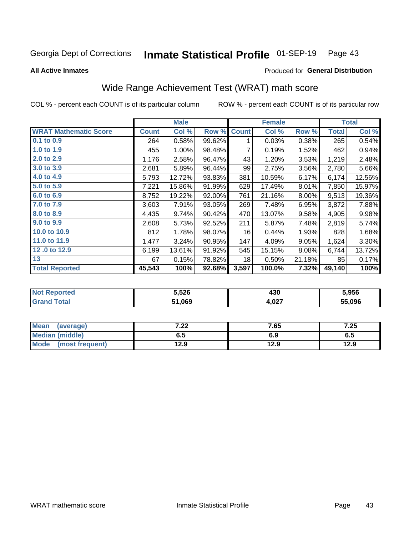#### Inmate Statistical Profile 01-SEP-19 Page 43

**All Active Inmates** 

## **Produced for General Distribution**

## Wide Range Achievement Test (WRAT) math score

COL % - percent each COUNT is of its particular column

|                              |              | <b>Male</b> |        |              | <b>Female</b> |        |              | <b>Total</b> |
|------------------------------|--------------|-------------|--------|--------------|---------------|--------|--------------|--------------|
| <b>WRAT Mathematic Score</b> | <b>Count</b> | Col %       | Row %  | <b>Count</b> | Col %         | Row %  | <b>Total</b> | Col %        |
| 0.1 to 0.9                   | 264          | 0.58%       | 99.62% |              | 0.03%         | 0.38%  | 265          | 0.54%        |
| 1.0 to 1.9                   | 455          | 1.00%       | 98.48% | 7            | 0.19%         | 1.52%  | 462          | 0.94%        |
| 2.0 to 2.9                   | 1,176        | 2.58%       | 96.47% | 43           | 1.20%         | 3.53%  | 1,219        | 2.48%        |
| 3.0 to 3.9                   | 2,681        | 5.89%       | 96.44% | 99           | 2.75%         | 3.56%  | 2,780        | 5.66%        |
| 4.0 to 4.9                   | 5,793        | 12.72%      | 93.83% | 381          | 10.59%        | 6.17%  | 6,174        | 12.56%       |
| 5.0 to 5.9                   | 7,221        | 15.86%      | 91.99% | 629          | 17.49%        | 8.01%  | 7,850        | 15.97%       |
| 6.0 to 6.9                   | 8,752        | 19.22%      | 92.00% | 761          | 21.16%        | 8.00%  | 9,513        | 19.36%       |
| 7.0 to 7.9                   | 3,603        | 7.91%       | 93.05% | 269          | 7.48%         | 6.95%  | 3,872        | 7.88%        |
| 8.0 to 8.9                   | 4,435        | 9.74%       | 90.42% | 470          | 13.07%        | 9.58%  | 4,905        | 9.98%        |
| 9.0 to 9.9                   | 2,608        | 5.73%       | 92.52% | 211          | 5.87%         | 7.48%  | 2,819        | 5.74%        |
| 10.0 to 10.9                 | 812          | 1.78%       | 98.07% | 16           | 0.44%         | 1.93%  | 828          | 1.68%        |
| 11.0 to 11.9                 | 1,477        | 3.24%       | 90.95% | 147          | 4.09%         | 9.05%  | 1,624        | 3.30%        |
| 12.0 to 12.9                 | 6,199        | 13.61%      | 91.92% | 545          | 15.15%        | 8.08%  | 6,744        | 13.72%       |
| 13                           | 67           | 0.15%       | 78.82% | 18           | 0.50%         | 21.18% | 85           | 0.17%        |
| <b>Total Reported</b>        | 45,543       | 100%        | 92.68% | 3,597        | 100.0%        | 7.32%  | 49,140       | 100%         |

| ∍rtec<br>NO     | 5,526  | 430                 | 5.956  |
|-----------------|--------|---------------------|--------|
| $\sim$ follows: | 51,069 | <b>007</b><br>4.VZI | 55.096 |

| <b>Mean</b><br>(average) | ר ר<br>.22 | 7.65 | 7.25 |
|--------------------------|------------|------|------|
| <b>Median (middle)</b>   | 6.5        | 6.9  | c.o  |
| Mode (most frequent)     | 12.9       | 12.9 | 12.9 |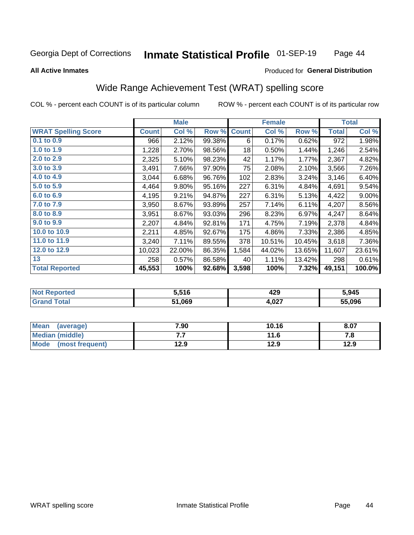#### Inmate Statistical Profile 01-SEP-19 Page 44

### **All Active Inmates**

## **Produced for General Distribution**

## Wide Range Achievement Test (WRAT) spelling score

COL % - percent each COUNT is of its particular column

|                            |              | <b>Male</b> |        |              | <b>Female</b> |        |              | <b>Total</b> |
|----------------------------|--------------|-------------|--------|--------------|---------------|--------|--------------|--------------|
| <b>WRAT Spelling Score</b> | <b>Count</b> | Col %       | Row %  | <b>Count</b> | Col %         | Row %  | <b>Total</b> | Col %        |
| $0.1$ to $0.9$             | 966          | 2.12%       | 99.38% | 6            | 0.17%         | 0.62%  | 972          | 1.98%        |
| 1.0 to 1.9                 | 1,228        | 2.70%       | 98.56% | 18           | 0.50%         | 1.44%  | 1,246        | 2.54%        |
| 2.0 to 2.9                 | 2,325        | 5.10%       | 98.23% | 42           | 1.17%         | 1.77%  | 2,367        | 4.82%        |
| 3.0 to 3.9                 | 3,491        | 7.66%       | 97.90% | 75           | 2.08%         | 2.10%  | 3,566        | 7.26%        |
| 4.0 to 4.9                 | 3,044        | 6.68%       | 96.76% | 102          | 2.83%         | 3.24%  | 3,146        | 6.40%        |
| 5.0 to 5.9                 | 4,464        | 9.80%       | 95.16% | 227          | 6.31%         | 4.84%  | 4,691        | 9.54%        |
| 6.0 to 6.9                 | 4,195        | 9.21%       | 94.87% | 227          | 6.31%         | 5.13%  | 4,422        | $9.00\%$     |
| 7.0 to 7.9                 | 3,950        | $8.67\%$    | 93.89% | 257          | 7.14%         | 6.11%  | 4,207        | 8.56%        |
| 8.0 to 8.9                 | 3,951        | 8.67%       | 93.03% | 296          | 8.23%         | 6.97%  | 4,247        | 8.64%        |
| 9.0 to 9.9                 | 2,207        | 4.84%       | 92.81% | 171          | 4.75%         | 7.19%  | 2,378        | 4.84%        |
| 10.0 to 10.9               | 2,211        | 4.85%       | 92.67% | 175          | 4.86%         | 7.33%  | 2,386        | 4.85%        |
| 11.0 to 11.9               | 3,240        | 7.11%       | 89.55% | 378          | 10.51%        | 10.45% | 3,618        | 7.36%        |
| 12.0 to 12.9               | 10,023       | 22.00%      | 86.35% | 1,584        | 44.02%        | 13.65% | 11,607       | 23.61%       |
| 13                         | 258          | 0.57%       | 86.58% | 40           | 1.11%         | 13.42% | 298          | 0.61%        |
| <b>Total Reported</b>      | 45,553       | 100%        | 92.68% | 3,598        | 100%          | 7.32%  | 49,151       | 100.0%       |

| <b>nted</b><br>NO | 5,516  | 429<br>__            | 5,945  |
|-------------------|--------|----------------------|--------|
| $T \sim$ follows: | 51,069 | <b>ሰገ</b> ን<br>4.VZT | 55.096 |

| Mean<br>(average)    | 7.90 | 10.16 | 8.07 |
|----------------------|------|-------|------|
| Median (middle)      | .    | 11.6  | ه. ، |
| Mode (most frequent) | 12.9 | 12.9  | 12.9 |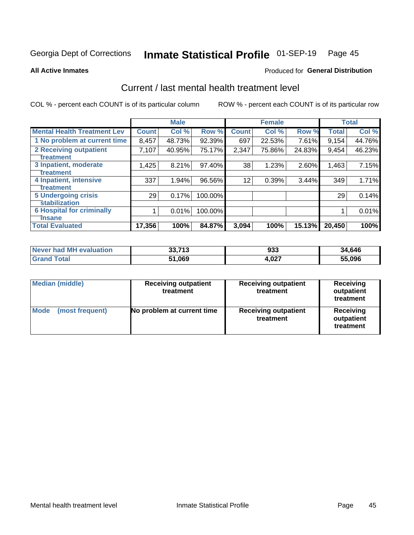# Inmate Statistical Profile 01-SEP-19 Page 45

**All Active Inmates** 

## **Produced for General Distribution**

## Current / last mental health treatment level

COL % - percent each COUNT is of its particular column

|                                    |              | <b>Male</b> |         |              | <b>Female</b> |          |              | <b>Total</b> |
|------------------------------------|--------------|-------------|---------|--------------|---------------|----------|--------------|--------------|
| <b>Mental Health Treatment Lev</b> | <b>Count</b> | Col %       | Row %   | <b>Count</b> | Col %         | Row %    | <b>Total</b> | Col %        |
| 1 No problem at current time       | 8,457        | 48.73%      | 92.39%  | 697          | 22.53%        | $7.61\%$ | 9,154        | 44.76%       |
| 2 Receiving outpatient             | 7,107        | 40.95%      | 75.17%  | 2,347        | 75.86%        | 24.83%   | 9,454        | 46.23%       |
| <b>Treatment</b>                   |              |             |         |              |               |          |              |              |
| 3 Inpatient, moderate              | 1,425        | 8.21%       | 97.40%  | 38           | 1.23%         | 2.60%    | 1,463        | 7.15%        |
| <b>Treatment</b>                   |              |             |         |              |               |          |              |              |
| 4 Inpatient, intensive             | 337          | 1.94%       | 96.56%  | 12           | 0.39%         | 3.44%    | 349          | 1.71%        |
| Treatment                          |              |             |         |              |               |          |              |              |
| <b>5 Undergoing crisis</b>         | 29           | 0.17%       | 100.00% |              |               |          | 29           | 0.14%        |
| <b>Stabilization</b>               |              |             |         |              |               |          |              |              |
| <b>6 Hospital for criminally</b>   |              | 0.01%       | 100.00% |              |               |          |              | 0.01%        |
| <b>Tinsane</b>                     |              |             |         |              |               |          |              |              |
| <b>Total Evaluated</b>             | 17,356       | 100%        | 84.87%  | 3,094        | 100%          | 15.13%   | 20,450       | 100%         |

| Never had MH evaluation | 33,713 | 933   | 34,646 |
|-------------------------|--------|-------|--------|
| <b>Grand Total</b>      | 51,069 | 4,027 | 55,096 |

| <b>Median (middle)</b>         | <b>Receiving outpatient</b><br>treatment | <b>Receiving outpatient</b><br>treatment | <b>Receiving</b><br>outpatient<br>treatment |  |
|--------------------------------|------------------------------------------|------------------------------------------|---------------------------------------------|--|
| <b>Mode</b><br>(most frequent) | No problem at current time               | <b>Receiving outpatient</b><br>treatment | Receiving<br>outpatient<br>treatment        |  |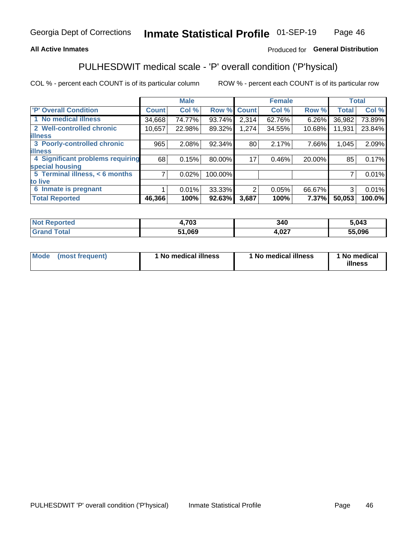## **All Active Inmates**

## Produced for General Distribution

## PULHESDWIT medical scale - 'P' overall condition ('P'hysical)

COL % - percent each COUNT is of its particular column

|                                    |              | <b>Male</b> |         |              | <b>Female</b> |        |              | <b>Total</b> |
|------------------------------------|--------------|-------------|---------|--------------|---------------|--------|--------------|--------------|
| 'P' Overall Condition              | <b>Count</b> | Col %       | Row %   | <b>Count</b> | Col %         | Row %  | <b>Total</b> | Col %        |
| 1 No medical illness               | 34,668       | 74.77%      | 93.74%  | 2,314        | 62.76%        | 6.26%  | 36,982       | 73.89%       |
| 2 Well-controlled chronic          | 10,657       | 22.98%      | 89.32%  | 1,274        | 34.55%        | 10.68% | 11,931       | 23.84%       |
| <b>lillness</b>                    |              |             |         |              |               |        |              |              |
| 3 Poorly-controlled chronic        | 965          | 2.08%       | 92.34%  | 80           | 2.17%         | 7.66%  | 1,045        | 2.09%        |
| <b>lillness</b>                    |              |             |         |              |               |        |              |              |
| 4 Significant problems requiring   | 68           | 0.15%       | 80.00%  | 17           | 0.46%         | 20.00% | 85           | 0.17%        |
| special housing                    |              |             |         |              |               |        |              |              |
| 5 Terminal illness, $\lt 6$ months | 7            | 0.02%       | 100.00% |              |               |        | 7            | 0.01%        |
| to live                            |              |             |         |              |               |        |              |              |
| 6 Inmate is pregnant               |              | $0.01\%$    | 33.33%  | 2            | 0.05%         | 66.67% | 3            | 0.01%        |
| <b>Total Reported</b>              | 46,366       | 100%        | 92.63%  | 3,687        | 100%          | 7.37%  | 50,053       | 100.0%       |

| тео | ,703 | 340          | 5.043  |
|-----|------|--------------|--------|
|     | nen  | .027<br>$ -$ | 55.096 |

| Mode | (most frequent) | 1 No medical illness | 1 No medical illness | 1 No medical<br>illness |
|------|-----------------|----------------------|----------------------|-------------------------|
|------|-----------------|----------------------|----------------------|-------------------------|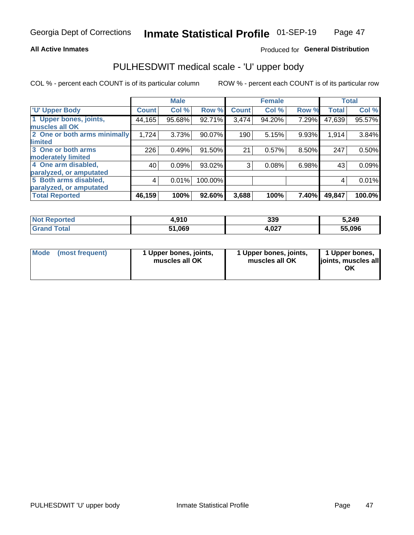### **All Active Inmates**

## Produced for General Distribution

# PULHESDWIT medical scale - 'U' upper body

COL % - percent each COUNT is of its particular column

|                              |              | <b>Male</b> |         |              | <b>Female</b> |       |              | <b>Total</b> |
|------------------------------|--------------|-------------|---------|--------------|---------------|-------|--------------|--------------|
| <b>U' Upper Body</b>         | <b>Count</b> | Col %       | Row %   | <b>Count</b> | Col %         | Row % | <b>Total</b> | Col %        |
| 1 Upper bones, joints,       | 44,165       | 95.68%      | 92.71%  | 3,474        | 94.20%        | 7.29% | 47,639       | 95.57%       |
| muscles all OK               |              |             |         |              |               |       |              |              |
| 2 One or both arms minimally | 1,724        | 3.73%       | 90.07%  | 190          | 5.15%         | 9.93% | 1,914        | 3.84%        |
| limited                      |              |             |         |              |               |       |              |              |
| 3 One or both arms           | 226          | 0.49%       | 91.50%  | 21           | 0.57%         | 8.50% | 247          | 0.50%        |
| <b>moderately limited</b>    |              |             |         |              |               |       |              |              |
| 4 One arm disabled,          | 40           | 0.09%       | 93.02%  | 3            | 0.08%         | 6.98% | 43           | 0.09%        |
| paralyzed, or amputated      |              |             |         |              |               |       |              |              |
| 5 Both arms disabled,        | 4            | 0.01%       | 100.00% |              |               |       | 4            | 0.01%        |
| paralyzed, or amputated      |              |             |         |              |               |       |              |              |
| <b>Total Reported</b>        | 46,159       | 100%        | 92.60%  | 3,688        | 100%          | 7.40% | 49,847       | 100.0%       |

| <b>Not Reported</b> | 4,910  | 339   | 5,249  |
|---------------------|--------|-------|--------|
| <b>Grand Total</b>  | 51,069 | 4,027 | 55,096 |

|  | Mode (most frequent) | 1 Upper bones, joints,<br>muscles all OK | 1 Upper bones, joints,<br>muscles all OK | 1 Upper bones,<br>ljoints, muscles all<br>ΟK |
|--|----------------------|------------------------------------------|------------------------------------------|----------------------------------------------|
|--|----------------------|------------------------------------------|------------------------------------------|----------------------------------------------|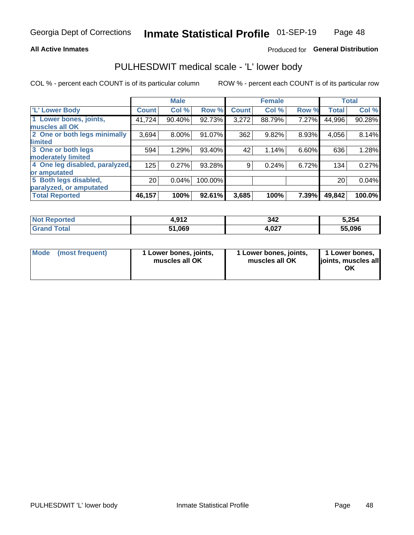### **All Active Inmates**

## Produced for General Distribution

## PULHESDWIT medical scale - 'L' lower body

COL % - percent each COUNT is of its particular column

|                                |                 | <b>Male</b> |         |              | <b>Female</b> |       |              | <b>Total</b> |
|--------------------------------|-----------------|-------------|---------|--------------|---------------|-------|--------------|--------------|
| 'L' Lower Body                 | <b>Count</b>    | Col %       | Row %   | <b>Count</b> | Col %         | Row % | <b>Total</b> | Col %        |
| 1 Lower bones, joints,         | 41,724          | 90.40%      | 92.73%  | 3,272        | 88.79%        | 7.27% | 44,996       | 90.28%       |
| muscles all OK                 |                 |             |         |              |               |       |              |              |
| 2 One or both legs minimally   | 3,694           | 8.00%       | 91.07%  | 362          | 9.82%         | 8.93% | 4,056        | 8.14%        |
| limited                        |                 |             |         |              |               |       |              |              |
| 3 One or both legs             | 594             | 1.29%       | 93.40%  | 42           | 1.14%         | 6.60% | 636          | 1.28%        |
| moderately limited             |                 |             |         |              |               |       |              |              |
| 4 One leg disabled, paralyzed, | 125             | 0.27%       | 93.28%  | 9            | 0.24%         | 6.72% | 134          | 0.27%        |
| or amputated                   |                 |             |         |              |               |       |              |              |
| 5 Both legs disabled,          | 20 <sub>1</sub> | 0.04%       | 100.00% |              |               |       | 20           | 0.04%        |
| paralyzed, or amputated        |                 |             |         |              |               |       |              |              |
| <b>Total Reported</b>          | 46,157          | 100%        | 92.61%  | 3,685        | 100%          | 7.39% | 49,842       | 100.0%       |

| <b>Not Reported</b>   | 012<br>4.J I L | 342   | 5,254  |
|-----------------------|----------------|-------|--------|
| <b>Total</b><br>Grand | 51,069         | 4,027 | 55.096 |

| Mode | (most frequent) | 1 Lower bones, joints,<br>muscles all OK | 1 Lower bones, joints,<br>muscles all OK | 1 Lower bones,<br>joints, muscles all<br>ΟK |
|------|-----------------|------------------------------------------|------------------------------------------|---------------------------------------------|
|------|-----------------|------------------------------------------|------------------------------------------|---------------------------------------------|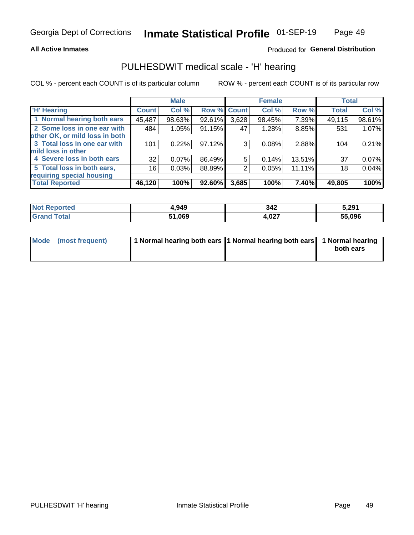### **All Active Inmates**

## **Produced for General Distribution**

## PULHESDWIT medical scale - 'H' hearing

COL % - percent each COUNT is of its particular column

|                                |              | <b>Male</b> |                    |       | <b>Female</b> |        | <b>Total</b> |        |
|--------------------------------|--------------|-------------|--------------------|-------|---------------|--------|--------------|--------|
| <b>H' Hearing</b>              | <b>Count</b> | Col %       | <b>Row % Count</b> |       | Col %         | Row %  | <b>Total</b> | Col %  |
| 1 Normal hearing both ears     | 45,487       | 98.63%      | 92.61%             | 3,628 | 98.45%        | 7.39%  | 49,115       | 98.61% |
| 2 Some loss in one ear with    | 484          | 1.05%       | 91.15%             | 47    | 1.28%         | 8.85%  | 531          | 1.07%  |
| other OK, or mild loss in both |              |             |                    |       |               |        |              |        |
| 3 Total loss in one ear with   | 101          | 0.22%       | 97.12%             | 3     | 0.08%         | 2.88%  | 104          | 0.21%  |
| mild loss in other             |              |             |                    |       |               |        |              |        |
| 4 Severe loss in both ears     | 32           | 0.07%       | 86.49%             | 5     | 0.14%         | 13.51% | 37           | 0.07%  |
| 5 Total loss in both ears,     | 16           | 0.03%       | 88.89%             | 2     | 0.05%         | 11.11% | 18           | 0.04%  |
| requiring special housing      |              |             |                    |       |               |        |              |        |
| <b>Total Reported</b>          | 46,120       | 100%        | 92.60%             | 3,685 | 100%          | 7.40%  | 49,805       | 100%   |

| <b>Not Renc</b><br><b>ported</b> | 1,949  | 342         | 5,291  |
|----------------------------------|--------|-------------|--------|
| Total                            | 51.069 | റാ<br>+,v∠7 | 55,096 |

| Mode (most frequent) | 1 Normal hearing both ears 11 Normal hearing both ears 1 Normal hearing | both ears |
|----------------------|-------------------------------------------------------------------------|-----------|
|                      |                                                                         |           |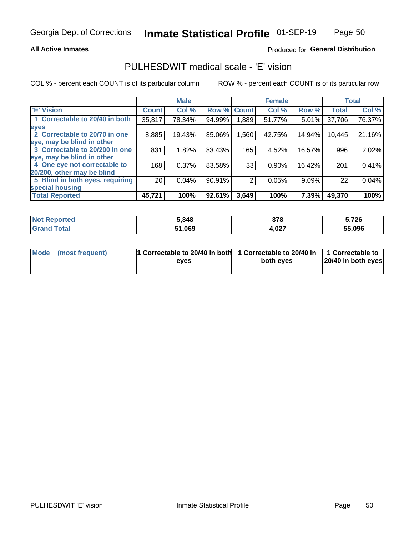## **All Active Inmates**

## Produced for General Distribution

## PULHESDWIT medical scale - 'E' vision

COL % - percent each COUNT is of its particular column

|                                 |                 | <b>Male</b> |        |              | <b>Female</b> |        |              | <b>Total</b> |
|---------------------------------|-----------------|-------------|--------|--------------|---------------|--------|--------------|--------------|
| <b>E' Vision</b>                | <b>Count</b>    | Col %       | Row %  | <b>Count</b> | Col %         | Row %  | <b>Total</b> | Col %        |
| 1 Correctable to 20/40 in both  | 35,817          | 78.34%      | 94.99% | .889         | 51.77%        | 5.01%  | 37,706       | 76.37%       |
| eyes                            |                 |             |        |              |               |        |              |              |
| 2 Correctable to 20/70 in one   | 8,885           | 19.43%      | 85.06% | 1,560        | 42.75%        | 14.94% | 10,445       | 21.16%       |
| eye, may be blind in other      |                 |             |        |              |               |        |              |              |
| 3 Correctable to 20/200 in one  | 831             | 1.82%       | 83.43% | 165          | 4.52%         | 16.57% | 996          | 2.02%        |
| eye, may be blind in other      |                 |             |        |              |               |        |              |              |
| 4 One eye not correctable to    | 168             | 0.37%       | 83.58% | 33           | 0.90%         | 16.42% | 201          | 0.41%        |
| 20/200, other may be blind      |                 |             |        |              |               |        |              |              |
| 5 Blind in both eyes, requiring | 20 <sub>1</sub> | 0.04%       | 90.91% | 2            | 0.05%         | 9.09%  | 22           | 0.04%        |
| special housing                 |                 |             |        |              |               |        |              |              |
| <b>Total Reported</b>           | 45,721          | 100%        | 92.61% | 3,649        | 100%          | 7.39%  | 49,370       | 100%         |

| <b>Not Reported</b> | 5,348  | 378   | 5,726  |
|---------------------|--------|-------|--------|
| <b>Total</b>        | 51,069 | 4,027 | 55,096 |

| Mode (most frequent) | 1 Correctable to 20/40 in both<br>eves | 1 Correctable to 20/40 in   1 Correctable to  <br>both eves | 20/40 in both eyes |
|----------------------|----------------------------------------|-------------------------------------------------------------|--------------------|
|                      |                                        |                                                             |                    |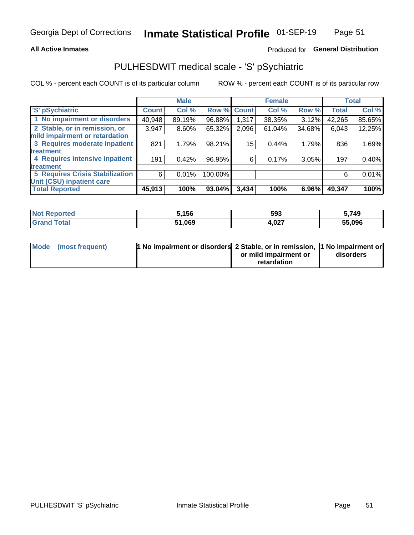## **All Active Inmates**

## Produced for General Distribution

## PULHESDWIT medical scale - 'S' pSychiatric

COL % - percent each COUNT is of its particular column

|                                        |              | <b>Male</b> |         |              | <b>Female</b> |        |              | <b>Total</b> |
|----------------------------------------|--------------|-------------|---------|--------------|---------------|--------|--------------|--------------|
| 'S' pSychiatric                        | <b>Count</b> | Col %       | Row %   | <b>Count</b> | Col %         | Row %  | <b>Total</b> | Col %        |
| 1 No impairment or disorders           | 40,948       | 89.19%      | 96.88%  | 1,317        | 38.35%        | 3.12%  | 42,265       | 85.65%       |
| 2 Stable, or in remission, or          | 3,947        | $8.60\%$    | 65.32%  | 2,096        | 61.04%        | 34.68% | 6,043        | 12.25%       |
| mild impairment or retardation         |              |             |         |              |               |        |              |              |
| 3 Requires moderate inpatient          | 821          | 1.79%       | 98.21%  | 15           | 0.44%         | 1.79%  | 836          | 1.69%        |
| treatment                              |              |             |         |              |               |        |              |              |
| 4 Requires intensive inpatient         | 191          | 0.42%       | 96.95%  | 6            | 0.17%         | 3.05%  | 197          | 0.40%        |
| treatment                              |              |             |         |              |               |        |              |              |
| <b>5 Requires Crisis Stabilization</b> | 6            | 0.01%       | 100.00% |              |               |        | 6            | 0.01%        |
| Unit (CSU) inpatient care              |              |             |         |              |               |        |              |              |
| <b>Total Reported</b>                  | 45,913       | 100%        | 93.04%  | 3,434        | 100%          | 6.96%  | 49,347       | 100%         |

| <b>Not Reported</b> | 5,156  | 593   | 5,749  |
|---------------------|--------|-------|--------|
| Total<br>' Grand    | 51,069 | 4,027 | 55,096 |

| Mode (most frequent) | <b>t No impairment or disorders 2 Stable, or in remission, 1 No impairment or</b> |                       |           |
|----------------------|-----------------------------------------------------------------------------------|-----------------------|-----------|
|                      |                                                                                   | or mild impairment or | disorders |
|                      |                                                                                   | retardation           |           |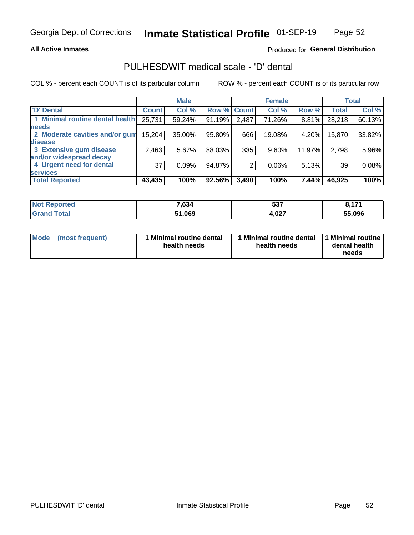## **All Active Inmates**

## Produced for General Distribution

## PULHESDWIT medical scale - 'D' dental

COL % - percent each COUNT is of its particular column

|                                 |              | <b>Male</b> |        |              | <b>Female</b> |          |              | <b>Total</b> |
|---------------------------------|--------------|-------------|--------|--------------|---------------|----------|--------------|--------------|
| <b>D'</b> Dental                | <b>Count</b> | Col %       | Row %  | <b>Count</b> | Col %         | Row %    | <b>Total</b> | Col %        |
| 1 Minimal routine dental health | 25,731       | 59.24%      | 91.19% | 2,487        | 71.26%        | $8.81\%$ | 28,218       | 60.13%       |
| <b>needs</b>                    |              |             |        |              |               |          |              |              |
| 2 Moderate cavities and/or gum  | 15,204       | 35.00%      | 95.80% | 666          | 19.08%        | 4.20%    | 15,870       | 33.82%       |
| disease                         |              |             |        |              |               |          |              |              |
| 3 Extensive gum disease         | 2,463        | 5.67%       | 88.03% | 335          | 9.60%         | 11.97%   | 2,798        | 5.96%        |
| and/or widespread decay         |              |             |        |              |               |          |              |              |
| 4 Urgent need for dental        | 37           | 0.09%       | 94.87% |              | $0.06\%$      | $5.13\%$ | 39           | 0.08%        |
| <b>services</b>                 |              |             |        |              |               |          |              |              |
| <b>Total Reported</b>           | 43,435       | 100%        | 92.56% | 3,490        | 100%          | 7.44%    | 46,925       | 100%         |

| <b>Not Reported</b> | 7,634 | -07<br>ວວາ   | 474<br>----- |
|---------------------|-------|--------------|--------------|
| <b>Total</b>        | 1,069 | רמה<br>4.UZ. | 55,096       |

| <b>Mode</b> | (most frequent) | <b>Minimal routine dental</b><br>health needs | 1 Minimal routine dental   1 Minimal routine  <br>health needs | dental health<br>needs |
|-------------|-----------------|-----------------------------------------------|----------------------------------------------------------------|------------------------|
|-------------|-----------------|-----------------------------------------------|----------------------------------------------------------------|------------------------|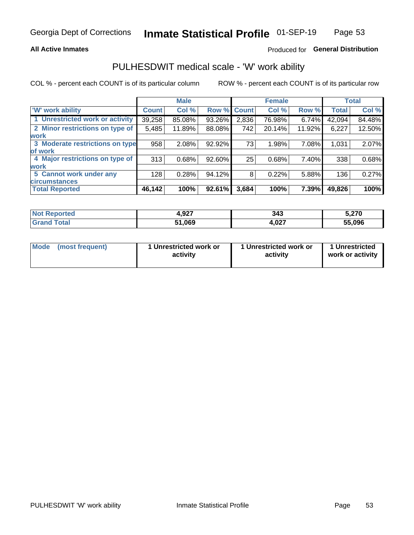## **All Active Inmates**

## Produced for General Distribution

## PULHESDWIT medical scale - 'W' work ability

COL % - percent each COUNT is of its particular column

|                                 |              | <b>Male</b> |        |              | <b>Female</b> |        |              | <b>Total</b> |
|---------------------------------|--------------|-------------|--------|--------------|---------------|--------|--------------|--------------|
| 'W' work ability                | <b>Count</b> | Col %       | Row %  | <b>Count</b> | Col %         | Row %  | <b>Total</b> | Col %        |
| 1 Unrestricted work or activity | 39,258       | 85.08%      | 93.26% | 2,836        | 76.98%        | 6.74%  | 42,094       | 84.48%       |
| 2 Minor restrictions on type of | 5,485        | 11.89%      | 88.08% | 742          | 20.14%        | 11.92% | 6,227        | 12.50%       |
| <b>work</b>                     |              |             |        |              |               |        |              |              |
| 3 Moderate restrictions on type | 958          | 2.08%       | 92.92% | 73           | 1.98%         | 7.08%  | 1,031        | 2.07%        |
| lof work                        |              |             |        |              |               |        |              |              |
| 4 Major restrictions on type of | 313          | 0.68%       | 92.60% | 25           | 0.68%         | 7.40%  | 338          | 0.68%        |
| <b>work</b>                     |              |             |        |              |               |        |              |              |
| 5 Cannot work under any         | 128          | 0.28%       | 94.12% | 8            | 0.22%         | 5.88%  | 136          | 0.27%        |
| <b>circumstances</b>            |              |             |        |              |               |        |              |              |
| <b>Total Reported</b>           | 46,142       | 100%        | 92.61% | 3,684        | 100%          | 7.39%  | 49,826       | 100%         |

| <b>Not Reported</b> | 4,927  | 343   | 5,270  |
|---------------------|--------|-------|--------|
| Total<br>Grand      | 51,069 | 4,027 | 55,096 |

| <b>Mode</b>     | 1 Unrestricted work or | 1 Unrestricted work or | 1 Unrestricted   |
|-----------------|------------------------|------------------------|------------------|
| (most frequent) | activity               | activity               | work or activity |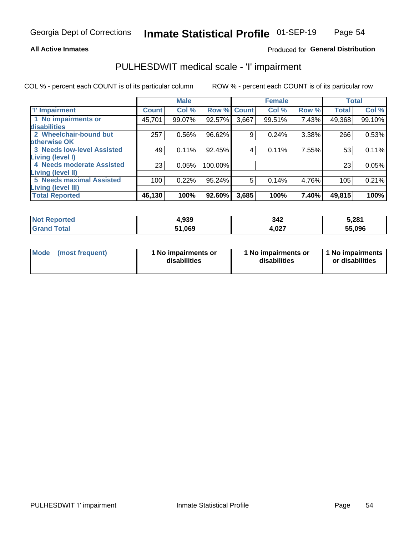### **All Active Inmates**

### Produced for General Distribution

## PULHESDWIT medical scale - 'I' impairment

COL % - percent each COUNT is of its particular column ROW % - percent each COUNT is of its particular row

**Female Male Total** 'l' Impairment **Count** Col % Row % **Count** Col % Row % **Total** Col % 1 No impairments or 99.10% 45,701 99.07% 92.57% 3.667 99.51% 7.43% 49,368 disabilities 2 Wheelchair-bound but  $257$ 0.56% 96.62%  $\overline{9}$  $0.24%$ 3.38% 266 0.53% otherwise OK **3 Needs low-level Assisted**  $49$  $0.11%$ 92.45%  $\overline{4}$  $0.11%$ 7.55% 53  $0.11%$ Living (level I) 4 Needs moderate Assisted  $\overline{23}$  $0.05%$ 100.00%  $\overline{23}$ 0.05% Living (level II) **5 Needs maximal Assisted**  $\overline{5}$  $100$ 0.22% 95.24%  $0.14%$ 4.76% 105 0.21% Living (level III) **Total Reported** 46,130 100% 92.60%  $3,685$ 100% 7.40% 49,815 100%

| <b>Reported</b><br><b>NOT</b> | 4,939  | 342   | 5,281  |
|-------------------------------|--------|-------|--------|
|                               | 51,069 | 1,027 | 55.096 |

| Mode | (most frequent) | 1 No impairments or<br>disabilities | 1 No impairments or<br>disabilities | 1 No impairments<br>or disabilities |
|------|-----------------|-------------------------------------|-------------------------------------|-------------------------------------|
|------|-----------------|-------------------------------------|-------------------------------------|-------------------------------------|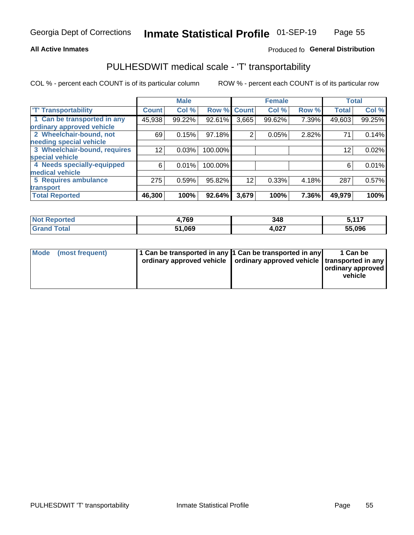## **All Active Inmates**

## Produced fo General Distribution

## PULHESDWIT medical scale - 'T' transportability

COL % - percent each COUNT is of its particular column

|                              |              | <b>Male</b> |         |              | <b>Female</b> |       |              | <b>Total</b> |
|------------------------------|--------------|-------------|---------|--------------|---------------|-------|--------------|--------------|
| <b>T' Transportability</b>   | <b>Count</b> | Col %       | Row %   | <b>Count</b> | Col %         | Row % | <b>Total</b> | Col %        |
| 1 Can be transported in any  | 45,938       | 99.22%      | 92.61%  | 3,665        | 99.62%        | 7.39% | 49,603       | 99.25%       |
| ordinary approved vehicle    |              |             |         |              |               |       |              |              |
| 2 Wheelchair-bound, not      | 69           | 0.15%       | 97.18%  | 2            | 0.05%         | 2.82% | 71           | 0.14%        |
| needing special vehicle      |              |             |         |              |               |       |              |              |
| 3 Wheelchair-bound, requires | 12           | 0.03%       | 100.00% |              |               |       | 12           | 0.02%        |
| special vehicle              |              |             |         |              |               |       |              |              |
| 4 Needs specially-equipped   | 6            | 0.01%       | 100.00% |              |               |       | 6            | 0.01%        |
| medical vehicle              |              |             |         |              |               |       |              |              |
| <b>5 Requires ambulance</b>  | 275          | 0.59%       | 95.82%  | 12           | 0.33%         | 4.18% | 287          | 0.57%        |
| transport                    |              |             |         |              |               |       |              |              |
| <b>Total Reported</b>        | 46,300       | 100%        | 92.64%  | 3,679        | 100%          | 7.36% | 49,979       | 100%         |

| <b>:ported</b> | ,769   | 348   | <b>E</b> 447<br>- -<br>, , , , |
|----------------|--------|-------|--------------------------------|
| <b>otal</b>    | 51,069 | 1,027 | 55,096                         |

|  | Mode (most frequent) | 1 Can be transported in any 1 Can be transported in any<br>ordinary approved vehicle   ordinary approved vehicle   transported in any |  | 1 Can be<br>  ordinary approved  <br>vehicle |
|--|----------------------|---------------------------------------------------------------------------------------------------------------------------------------|--|----------------------------------------------|
|--|----------------------|---------------------------------------------------------------------------------------------------------------------------------------|--|----------------------------------------------|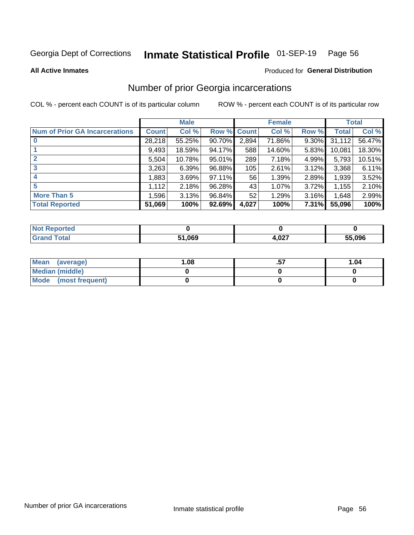#### Inmate Statistical Profile 01-SEP-19 Page 56

**All Active Inmates** 

### **Produced for General Distribution**

## Number of prior Georgia incarcerations

COL % - percent each COUNT is of its particular column

|                                       |              | <b>Male</b> |                    |       | <b>Female</b> |          |        | <b>Total</b> |
|---------------------------------------|--------------|-------------|--------------------|-------|---------------|----------|--------|--------------|
| <b>Num of Prior GA Incarcerations</b> | <b>Count</b> | Col %       | <b>Row % Count</b> |       | Col %         | Row %    | Total  | Col %        |
| $\bf{0}$                              | 28,218       | 55.25%      | 90.70%             | 2,894 | 71.86%        | $9.30\%$ | 31,112 | 56.47%       |
|                                       | 9,493        | 18.59%      | 94.17%             | 588   | 14.60%        | 5.83%    | 10,081 | 18.30%       |
|                                       | 5,504        | 10.78%      | 95.01%             | 289   | 7.18%         | 4.99%    | 5,793  | 10.51%       |
| 3                                     | 3,263        | 6.39%       | 96.88%             | 105   | 2.61%         | 3.12%    | 3,368  | 6.11%        |
| 4                                     | 1,883        | 3.69%       | 97.11%             | 56    | 1.39%         | 2.89%    | 1,939  | 3.52%        |
| 5                                     | 1,112        | 2.18%       | 96.28%             | 43'   | 1.07%         | 3.72%    | 1,155  | 2.10%        |
| <b>More Than 5</b>                    | 1,596        | 3.13%       | 96.84%             | 52    | 1.29%         | 3.16%    | 1,648  | 2.99%        |
| <b>Total Reported</b>                 | 51,069       | 100%        | 92.69%             | 4,027 | 100%          | 7.31%    | 55,096 | 100%         |

| <b>Not Reported</b> |        |       |        |
|---------------------|--------|-------|--------|
| Total               | 51,069 | 4,027 | 55,096 |

| Mean (average)         | .08 | 1.04 |
|------------------------|-----|------|
| <b>Median (middle)</b> |     |      |
| Mode (most frequent)   |     |      |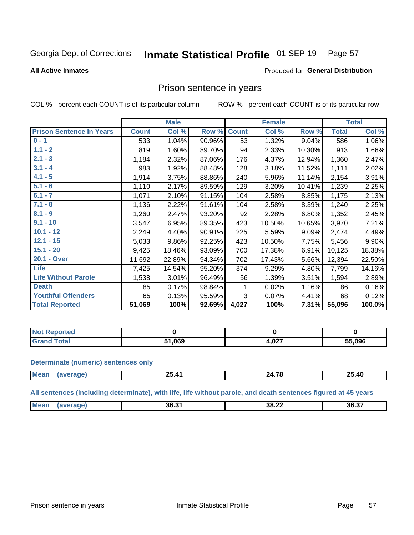#### Inmate Statistical Profile 01-SEP-19 Page 57

**All Active Inmates** 

### Produced for General Distribution

## Prison sentence in years

COL % - percent each COUNT is of its particular column

ROW % - percent each COUNT is of its particular row

|                                 |              | <b>Male</b> |        |              | <b>Female</b> |        |              | <b>Total</b> |
|---------------------------------|--------------|-------------|--------|--------------|---------------|--------|--------------|--------------|
| <b>Prison Sentence In Years</b> | <b>Count</b> | Col %       | Row %  | <b>Count</b> | Col %         | Row %  | <b>Total</b> | Col %        |
| $0 - 1$                         | 533          | 1.04%       | 90.96% | 53           | 1.32%         | 9.04%  | 586          | 1.06%        |
| $1.1 - 2$                       | 819          | 1.60%       | 89.70% | 94           | 2.33%         | 10.30% | 913          | 1.66%        |
| $2.1 - 3$                       | 1,184        | 2.32%       | 87.06% | 176          | 4.37%         | 12.94% | 1,360        | 2.47%        |
| $3.1 - 4$                       | 983          | 1.92%       | 88.48% | 128          | 3.18%         | 11.52% | 1,111        | 2.02%        |
| $4.1 - 5$                       | 1,914        | 3.75%       | 88.86% | 240          | 5.96%         | 11.14% | 2,154        | 3.91%        |
| $5.1 - 6$                       | 1,110        | 2.17%       | 89.59% | 129          | 3.20%         | 10.41% | 1,239        | 2.25%        |
| $6.1 - 7$                       | 1,071        | 2.10%       | 91.15% | 104          | 2.58%         | 8.85%  | 1,175        | 2.13%        |
| $7.1 - 8$                       | 1,136        | 2.22%       | 91.61% | 104          | 2.58%         | 8.39%  | 1,240        | 2.25%        |
| $8.1 - 9$                       | 1,260        | 2.47%       | 93.20% | 92           | 2.28%         | 6.80%  | 1,352        | 2.45%        |
| $9.1 - 10$                      | 3,547        | 6.95%       | 89.35% | 423          | 10.50%        | 10.65% | 3,970        | 7.21%        |
| $10.1 - 12$                     | 2,249        | 4.40%       | 90.91% | 225          | 5.59%         | 9.09%  | 2,474        | 4.49%        |
| $12.1 - 15$                     | 5,033        | 9.86%       | 92.25% | 423          | 10.50%        | 7.75%  | 5,456        | 9.90%        |
| $15.1 - 20$                     | 9,425        | 18.46%      | 93.09% | 700          | 17.38%        | 6.91%  | 10,125       | 18.38%       |
| 20.1 - Over                     | 11,692       | 22.89%      | 94.34% | 702          | 17.43%        | 5.66%  | 12,394       | 22.50%       |
| <b>Life</b>                     | 7,425        | 14.54%      | 95.20% | 374          | 9.29%         | 4.80%  | 7,799        | 14.16%       |
| <b>Life Without Parole</b>      | 1,538        | 3.01%       | 96.49% | 56           | 1.39%         | 3.51%  | 1,594        | 2.89%        |
| <b>Death</b>                    | 85           | 0.17%       | 98.84% |              | 0.02%         | 1.16%  | 86           | 0.16%        |
| <b>Youthful Offenders</b>       | 65           | 0.13%       | 95.59% | 3            | 0.07%         | 4.41%  | 68           | 0.12%        |
| <b>Total Reported</b>           | 51,069       | 100%        | 92.69% | 4,027        | 100%          | 7.31%  | 55,096       | 100.0%       |

| <b>Not Reported</b> |      |                |        |  |
|---------------------|------|----------------|--------|--|
| Total               | ,069 | $\sim$<br>,vz. | 55,096 |  |

### **Determinate (numeric) sentences only**

| <b>Mos</b> | . A -<br>_______ | $ -$ | ЛC<br>п Е<br>25.4V<br>_____ |
|------------|------------------|------|-----------------------------|
|            |                  |      |                             |

All sentences (including determinate), with life, life without parole, and death sentences figured at 45 years

| Me: | 36.31 | 38.22<br>___ | . <del>.</del><br>36.3. |
|-----|-------|--------------|-------------------------|
|     |       |              |                         |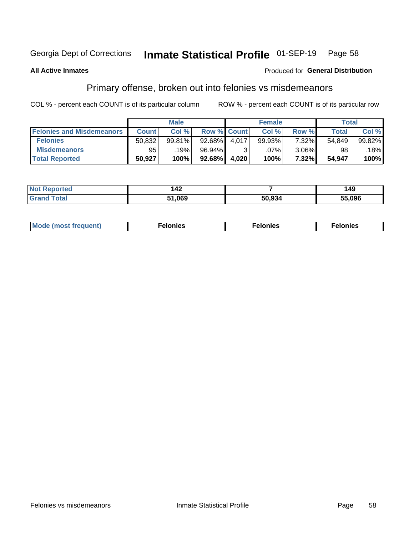#### Inmate Statistical Profile 01-SEP-19 Page 58

### **All Active Inmates**

### Produced for General Distribution

## Primary offense, broken out into felonies vs misdemeanors

COL % - percent each COUNT is of its particular column

|                                  |              | <b>Male</b> |             |       | <b>Female</b> |          |              | Total     |
|----------------------------------|--------------|-------------|-------------|-------|---------------|----------|--------------|-----------|
| <b>Felonies and Misdemeanors</b> | <b>Count</b> | Col %       | Row % Count |       | Col %         | Row %    | <b>Total</b> | Col %     |
| <b>Felonies</b>                  | 50,832       | 99.81%      | $92.68\%$   | 4.017 | 99.93%        | 7.32%    | 54.849       | $99.82\%$ |
| <b>Misdemeanors</b>              | 95           | .19%        | 96.94%      |       | .07%          | $3.06\%$ | 98           | 18%       |
| <b>Total Reported</b>            | 50,927       | 100%        | $92.68\%$   | 4.020 | 100%          | 7.32%    | 54,947       | 100%      |

| Not<br>ted | .<br>- 74 |        | 49     |
|------------|-----------|--------|--------|
| ⊺otar      | 51,069    | 50.934 | 55.096 |

| Mo | ___ | 11 C.S<br>. | onies<br>. |
|----|-----|-------------|------------|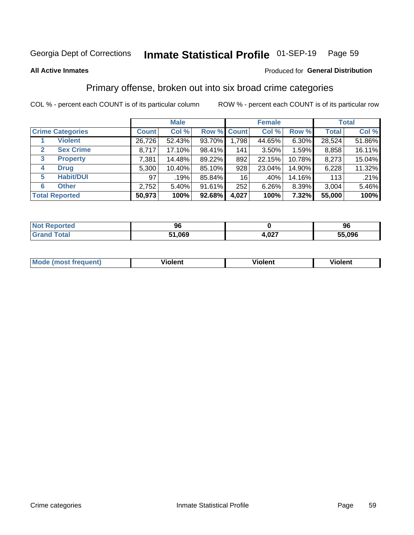#### Inmate Statistical Profile 01-SEP-19 Page 59

### **All Active Inmates**

### Produced for General Distribution

## Primary offense, broken out into six broad crime categories

COL % - percent each COUNT is of its particular column

|                                 |              | <b>Male</b> |        |                    | <b>Female</b> |        |              | <b>Total</b> |
|---------------------------------|--------------|-------------|--------|--------------------|---------------|--------|--------------|--------------|
| <b>Crime Categories</b>         | <b>Count</b> | Col %       |        | <b>Row % Count</b> | Col %         | Row %  | <b>Total</b> | Col %        |
| <b>Violent</b>                  | 26,726       | 52.43%      | 93.70% | 1,798              | 44.65%        | 6.30%  | 28,524       | 51.86%       |
| <b>Sex Crime</b><br>2           | 8,717        | 17.10%      | 98.41% | 141                | $3.50\%$      | 1.59%  | 8,858        | 16.11%       |
| $\mathbf{3}$<br><b>Property</b> | 7,381        | 14.48%      | 89.22% | 892                | 22.15%        | 10.78% | 8,273        | 15.04%       |
| <b>Drug</b><br>4                | 5,300        | 10.40%      | 85.10% | 928                | 23.04%        | 14.90% | 6,228        | 11.32%       |
| <b>Habit/DUI</b><br>5           | 97           | .19%        | 85.84% | 16                 | .40%          | 14.16% | 113          | .21%         |
| <b>Other</b><br>6               | 2,752        | 5.40%       | 91.61% | 252                | 6.26%         | 8.39%  | 3,004        | 5.46%        |
| <b>Total Reported</b>           | 50,973       | 100%        | 92.68% | 4,027              | 100%          | 7.32%  | 55,000       | 100%         |

| <b>Ported</b><br>NO)<br>.     | 96     |               | 96     |
|-------------------------------|--------|---------------|--------|
| $F \wedge f \wedge f$<br>υιαι | 51,069 | $\sim$<br>0.J | 55,096 |

| M | $\overline{\phantom{a}}$<br>- --<br>100011 | .<br><b>VIOIGIIL</b> | 1.91311 |
|---|--------------------------------------------|----------------------|---------|
|   |                                            |                      |         |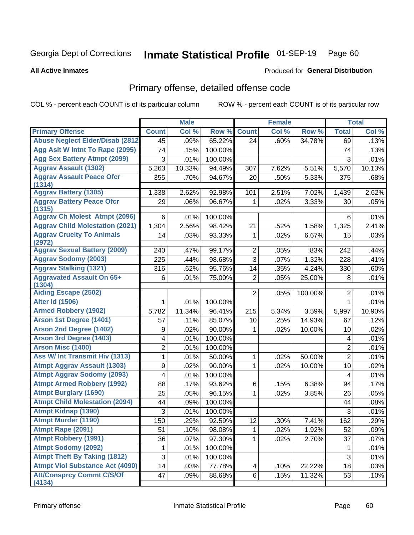#### Inmate Statistical Profile 01-SEP-19 Page 60

**All Active Inmates** 

### Produced for General Distribution

## Primary offense, detailed offense code

COL % - percent each COUNT is of its particular column

|                                            |                | <b>Male</b> |         |                 | <b>Female</b> |         |                | <b>Total</b> |
|--------------------------------------------|----------------|-------------|---------|-----------------|---------------|---------|----------------|--------------|
| <b>Primary Offense</b>                     | <b>Count</b>   | Col %       | Row %   | <b>Count</b>    | Col %         | Row %   | <b>Total</b>   | Col %        |
| <b>Abuse Neglect Elder/Disab (2812)</b>    | 45             | .09%        | 65.22%  | 24              | .60%          | 34.78%  | 69             | .13%         |
| Agg Aslt W Intnt To Rape (2095)            | 74             | .15%        | 100.00% |                 |               |         | 74             | .13%         |
| <b>Agg Sex Battery Atmpt (2099)</b>        | 3              | .01%        | 100.00% |                 |               |         | 3              | .01%         |
| <b>Aggrav Assault (1302)</b>               | 5,263          | 10.33%      | 94.49%  | 307             | 7.62%         | 5.51%   | 5,570          | 10.13%       |
| <b>Aggrav Assault Peace Ofcr</b>           | 355            | .70%        | 94.67%  | 20              | .50%          | 5.33%   | 375            | .68%         |
| (1314)<br><b>Aggrav Battery (1305)</b>     |                |             |         |                 |               |         |                |              |
|                                            | 1,338          | 2.62%       | 92.98%  | 101             | 2.51%         | 7.02%   | 1,439          | 2.62%        |
| <b>Aggrav Battery Peace Ofcr</b><br>(1315) | 29             | .06%        | 96.67%  | 1               | .02%          | 3.33%   | 30             | .05%         |
| <b>Aggrav Ch Molest Atmpt (2096)</b>       | 6              | .01%        | 100.00% |                 |               |         | 6              | .01%         |
| <b>Aggrav Child Molestation (2021)</b>     | 1,304          | 2.56%       | 98.42%  | 21              | .52%          | 1.58%   | 1,325          | 2.41%        |
| <b>Aggrav Cruelty To Animals</b>           | 14             | .03%        | 93.33%  | 1               | .02%          | 6.67%   | 15             | .03%         |
| (2972)                                     |                |             |         |                 |               |         |                |              |
| <b>Aggrav Sexual Battery (2009)</b>        | 240            | .47%        | 99.17%  | $\overline{2}$  | .05%          | .83%    | 242            | .44%         |
| <b>Aggrav Sodomy (2003)</b>                | 225            | .44%        | 98.68%  | 3               | .07%          | 1.32%   | 228            | .41%         |
| <b>Aggrav Stalking (1321)</b>              | 316            | .62%        | 95.76%  | 14              | .35%          | 4.24%   | 330            | .60%         |
| <b>Aggravated Assault On 65+</b><br>(1304) | 6              | .01%        | 75.00%  | $\overline{2}$  | .05%          | 25.00%  | 8              | .01%         |
| <b>Aiding Escape (2502)</b>                |                |             |         | $\overline{2}$  | .05%          | 100.00% | $\overline{2}$ | .01%         |
| <b>Alter Id (1506)</b>                     | 1              | .01%        | 100.00% |                 |               |         | $\mathbf{1}$   | .01%         |
| <b>Armed Robbery (1902)</b>                | 5,782          | 11.34%      | 96.41%  | 215             | 5.34%         | 3.59%   | 5,997          | 10.90%       |
| Arson 1st Degree (1401)                    | 57             | .11%        | 85.07%  | 10              | .25%          | 14.93%  | 67             | .12%         |
| <b>Arson 2nd Degree (1402)</b>             | 9              | .02%        | 90.00%  | 1               | .02%          | 10.00%  | 10             | .02%         |
| <b>Arson 3rd Degree (1403)</b>             | 4              | .01%        | 100.00% |                 |               |         | 4              | .01%         |
| <b>Arson Misc (1400)</b>                   | $\overline{2}$ | .01%        | 100.00% |                 |               |         | $\overline{2}$ | .01%         |
| <b>Ass W/ Int Transmit Hiv (1313)</b>      | 1              | .01%        | 50.00%  | 1               | .02%          | 50.00%  | $\overline{2}$ | .01%         |
| <b>Atmpt Aggrav Assault (1303)</b>         | 9              | .02%        | 90.00%  | 1               | .02%          | 10.00%  | 10             | .02%         |
| <b>Atmpt Aggrav Sodomy (2093)</b>          | 4              | .01%        | 100.00% |                 |               |         | 4              | .01%         |
| <b>Atmpt Armed Robbery (1992)</b>          | 88             | .17%        | 93.62%  | 6               | .15%          | 6.38%   | 94             | .17%         |
| <b>Atmpt Burglary (1690)</b>               | 25             | .05%        | 96.15%  | 1               | .02%          | 3.85%   | 26             | .05%         |
| <b>Atmpt Child Molestation (2094)</b>      | 44             | .09%        | 100.00% |                 |               |         | 44             | .08%         |
| <b>Atmpt Kidnap (1390)</b>                 | 3              | .01%        | 100.00% |                 |               |         | 3              | .01%         |
| <b>Atmpt Murder (1190)</b>                 | 150            | .29%        | 92.59%  | $\overline{12}$ | .30%          | 7.41%   | 162            | .29%         |
| Atmpt Rape (2091)                          | 51             | .10%        | 98.08%  | 1               | .02%          | 1.92%   | 52             | .09%         |
| <b>Atmpt Robbery (1991)</b>                | 36             | .07%        | 97.30%  | 1.              | .02%          | 2.70%   | 37             | .07%         |
| <b>Atmpt Sodomy (2092)</b>                 | 1              | .01%        | 100.00% |                 |               |         | 1              | .01%         |
| <b>Atmpt Theft By Taking (1812)</b>        | $\overline{3}$ | .01%        | 100.00% |                 |               |         | $\overline{3}$ | .01%         |
| <b>Atmpt Viol Substance Act (4090)</b>     | 14             | .03%        | 77.78%  | 4               | .10%          | 22.22%  | 18             | .03%         |
| <b>Att/Consprcy Commt C/S/Of</b>           | 47             | .09%        | 88.68%  | 6 <sup>1</sup>  | .15%          | 11.32%  | 53             | .10%         |
| (4134)                                     |                |             |         |                 |               |         |                |              |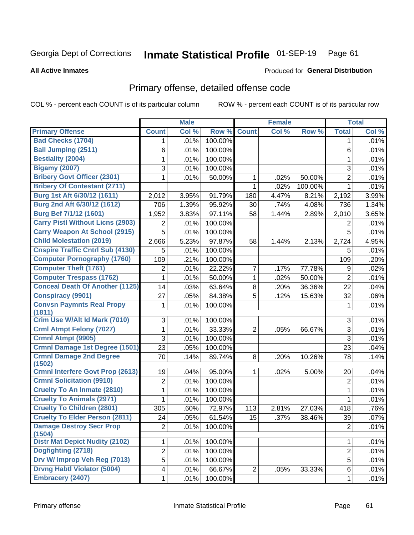#### Inmate Statistical Profile 01-SEP-19 Page 61

**All Active Inmates** 

### Produced for General Distribution

## Primary offense, detailed offense code

COL % - percent each COUNT is of its particular column

|                                            |                | <b>Male</b> |         |                | <b>Female</b>       |         |                | <b>Total</b> |
|--------------------------------------------|----------------|-------------|---------|----------------|---------------------|---------|----------------|--------------|
| <b>Primary Offense</b>                     | <b>Count</b>   | Col %       | Row %   | <b>Count</b>   | Col %               | Row %   | <b>Total</b>   | Col %        |
| <b>Bad Checks (1704)</b>                   | 1.             | .01%        | 100.00% |                |                     |         | 1              | .01%         |
| Bail Jumping (2511)                        | 6              | .01%        | 100.00% |                |                     |         | 6              | .01%         |
| <b>Bestiality (2004)</b>                   | 1              | .01%        | 100.00% |                |                     |         | 1              | .01%         |
| <b>Bigamy (2007)</b>                       | 3              | .01%        | 100.00% |                |                     |         | 3              | .01%         |
| <b>Bribery Govt Officer (2301)</b>         | 1              | .01%        | 50.00%  | 1              | .02%                | 50.00%  | $\overline{2}$ | .01%         |
| <b>Bribery Of Contestant (2711)</b>        |                |             |         | 1              | .02%                | 100.00% | $\mathbf{1}$   | .01%         |
| Burg 1st Aft 6/30/12 (1611)                | 2,012          | 3.95%       | 91.79%  | 180            | 4.47%               | 8.21%   | 2,192          | 3.99%        |
| Burg 2nd Aft 6/30/12 (1612)                | 706            | 1.39%       | 95.92%  | 30             | .74%                | 4.08%   | 736            | 1.34%        |
| Burg Bef 7/1/12 (1601)                     | 1,952          | 3.83%       | 97.11%  | 58             | 1.44%               | 2.89%   | 2,010          | 3.65%        |
| <b>Carry Pistl Without Licns (2903)</b>    | 2              | .01%        | 100.00% |                |                     |         | 2              | .01%         |
| <b>Carry Weapon At School (2915)</b>       | 5              | .01%        | 100.00% |                |                     |         | 5              | .01%         |
| <b>Child Molestation (2019)</b>            | 2,666          | 5.23%       | 97.87%  | 58             | $\overline{1.44\%}$ | 2.13%   | 2,724          | 4.95%        |
| <b>Cnspire Traffic Cntrl Sub (4130)</b>    | 5              | .01%        | 100.00% |                |                     |         | 5              | .01%         |
| <b>Computer Pornography (1760)</b>         | 109            | .21%        | 100.00% |                |                     |         | 109            | .20%         |
| <b>Computer Theft (1761)</b>               | $\overline{2}$ | .01%        | 22.22%  | 7              | .17%                | 77.78%  | 9              | .02%         |
| <b>Computer Trespass (1762)</b>            | 1              | .01%        | 50.00%  | 1              | .02%                | 50.00%  | $\overline{2}$ | .01%         |
| <b>Conceal Death Of Another (1125)</b>     | 14             | .03%        | 63.64%  | 8              | .20%                | 36.36%  | 22             | .04%         |
| <b>Conspiracy (9901)</b>                   | 27             | .05%        | 84.38%  | $\overline{5}$ | .12%                | 15.63%  | 32             | .06%         |
| <b>Convsn Paymnts Real Propy</b><br>(1811) | 1              | .01%        | 100.00% |                |                     |         | 1              | .01%         |
| Crim Use W/Alt Id Mark (7010)              | 3              | .01%        | 100.00% |                |                     |         | 3              | .01%         |
| <b>Crml Atmpt Felony (7027)</b>            | 1              | .01%        | 33.33%  | $\overline{2}$ | .05%                | 66.67%  | $\overline{3}$ | .01%         |
| Crmnl Atmpt (9905)                         | 3              | .01%        | 100.00% |                |                     |         | 3              | .01%         |
| <b>Crmnl Damage 1st Degree (1501)</b>      | 23             | .05%        | 100.00% |                |                     |         | 23             | .04%         |
| <b>Crmnl Damage 2nd Degree</b><br>(1502)   | 70             | .14%        | 89.74%  | 8              | .20%                | 10.26%  | 78             | .14%         |
| <b>Crmnl Interfere Govt Prop (2613)</b>    | 19             | .04%        | 95.00%  | 1              | .02%                | 5.00%   | 20             | .04%         |
| <b>Crmnl Solicitation (9910)</b>           | $\overline{2}$ | .01%        | 100.00% |                |                     |         | $\overline{2}$ | .01%         |
| <b>Cruelty To An Inmate (2810)</b>         | 1              | .01%        | 100.00% |                |                     |         | 1              | .01%         |
| <b>Cruelty To Animals (2971)</b>           | 1              | .01%        | 100.00% |                |                     |         | 1              | .01%         |
| <b>Cruelty To Children (2801)</b>          | 305            | .60%        | 72.97%  | 113            | 2.81%               | 27.03%  | 418            | .76%         |
| <b>Cruelty To Elder Person (2811)</b>      | 24             | .05%        | 61.54%  | 15             | .37%                | 38.46%  | 39             | .07%         |
| <b>Damage Destroy Secr Prop</b><br>(1504)  | $\overline{2}$ | .01%        | 100.00% |                |                     |         | $\overline{2}$ | .01%         |
| <b>Distr Mat Depict Nudity (2102)</b>      | 1              | .01%        | 100.00% |                |                     |         | 1              | .01%         |
| Dogfighting (2718)                         | $\overline{2}$ | .01%        | 100.00% |                |                     |         | $\overline{2}$ | .01%         |
| Drv W/ Improp Veh Reg (7013)               | $\overline{5}$ | .01%        | 100.00% |                |                     |         | 5              | .01%         |
| <b>Drvng Habtl Violator (5004)</b>         | 4              | .01%        | 66.67%  | $\overline{2}$ | .05%                | 33.33%  | 6              | .01%         |
| <b>Embracery (2407)</b>                    | $\mathbf{1}$   | .01%        | 100.00% |                |                     |         | 1              | .01%         |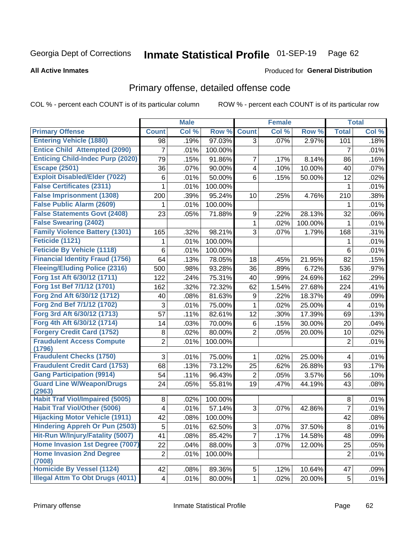#### Inmate Statistical Profile 01-SEP-19 Page 62

### **All Active Inmates**

## **Produced for General Distribution**

## Primary offense, detailed offense code

COL % - percent each COUNT is of its particular column

| Col %<br>Row %<br>Col %<br>Row %<br><b>Total</b><br>Col %<br><b>Primary Offense</b><br><b>Count</b><br><b>Count</b><br><b>Entering Vehicle (1880)</b><br>97.03%<br>.19%<br>3<br>.07%<br>2.97%<br>101<br>.18%<br>98<br><b>Entice Child Attempted (2090)</b><br>$\overline{7}$<br>.01%<br>100.00%<br>.01%<br>7<br><b>Enticing Child-Indec Purp (2020)</b><br>.15%<br>91.86%<br>.16%<br>79<br>7<br>8.14%<br>.17%<br>86<br><b>Escape (2501)</b><br>.07%<br>90.00%<br>.10%<br>10.00%<br>.07%<br>36<br>$\overline{\mathbf{4}}$<br>40<br><b>Exploit Disabled/Elder (7022)</b><br>50.00%<br>6<br>12<br>.02%<br>.01%<br>.15%<br>50.00%<br>6<br><b>False Certificates (2311)</b><br>.01%<br>.01%<br>100.00%<br>1<br>1<br><b>False Imprisonment (1308)</b><br>.38%<br>95.24%<br>210<br>200<br>.39%<br>.25%<br>4.76%<br>10<br><b>False Public Alarm (2609)</b><br>.01%<br>.01%<br>100.00%<br>1<br>1<br><b>False Statements Govt (2408)</b><br>23<br>71.88%<br>32<br>.06%<br>.05%<br>9<br>28.13%<br>.22% |
|---------------------------------------------------------------------------------------------------------------------------------------------------------------------------------------------------------------------------------------------------------------------------------------------------------------------------------------------------------------------------------------------------------------------------------------------------------------------------------------------------------------------------------------------------------------------------------------------------------------------------------------------------------------------------------------------------------------------------------------------------------------------------------------------------------------------------------------------------------------------------------------------------------------------------------------------------------------------------------------------|
|                                                                                                                                                                                                                                                                                                                                                                                                                                                                                                                                                                                                                                                                                                                                                                                                                                                                                                                                                                                             |
|                                                                                                                                                                                                                                                                                                                                                                                                                                                                                                                                                                                                                                                                                                                                                                                                                                                                                                                                                                                             |
|                                                                                                                                                                                                                                                                                                                                                                                                                                                                                                                                                                                                                                                                                                                                                                                                                                                                                                                                                                                             |
|                                                                                                                                                                                                                                                                                                                                                                                                                                                                                                                                                                                                                                                                                                                                                                                                                                                                                                                                                                                             |
|                                                                                                                                                                                                                                                                                                                                                                                                                                                                                                                                                                                                                                                                                                                                                                                                                                                                                                                                                                                             |
|                                                                                                                                                                                                                                                                                                                                                                                                                                                                                                                                                                                                                                                                                                                                                                                                                                                                                                                                                                                             |
|                                                                                                                                                                                                                                                                                                                                                                                                                                                                                                                                                                                                                                                                                                                                                                                                                                                                                                                                                                                             |
|                                                                                                                                                                                                                                                                                                                                                                                                                                                                                                                                                                                                                                                                                                                                                                                                                                                                                                                                                                                             |
|                                                                                                                                                                                                                                                                                                                                                                                                                                                                                                                                                                                                                                                                                                                                                                                                                                                                                                                                                                                             |
|                                                                                                                                                                                                                                                                                                                                                                                                                                                                                                                                                                                                                                                                                                                                                                                                                                                                                                                                                                                             |
| <b>False Swearing (2402)</b><br>.02%<br>100.00%<br>.01%<br>1<br>1                                                                                                                                                                                                                                                                                                                                                                                                                                                                                                                                                                                                                                                                                                                                                                                                                                                                                                                           |
| <b>Family Violence Battery (1301)</b><br>3<br>98.21%<br>.31%<br>165<br>.32%<br>.07%<br>1.79%<br>168                                                                                                                                                                                                                                                                                                                                                                                                                                                                                                                                                                                                                                                                                                                                                                                                                                                                                         |
| Feticide (1121)<br>.01%<br>100.00%<br>.01%<br>1<br>1                                                                                                                                                                                                                                                                                                                                                                                                                                                                                                                                                                                                                                                                                                                                                                                                                                                                                                                                        |
| <b>Feticide By Vehicle (1118)</b><br>6<br>100.00%<br>6<br>.01%<br>.01%                                                                                                                                                                                                                                                                                                                                                                                                                                                                                                                                                                                                                                                                                                                                                                                                                                                                                                                      |
| <b>Financial Identity Fraud (1756)</b><br>64<br>.13%<br>82<br>78.05%<br>18<br>.45%<br>21.95%<br>.15%                                                                                                                                                                                                                                                                                                                                                                                                                                                                                                                                                                                                                                                                                                                                                                                                                                                                                        |
| <b>Fleeing/Eluding Police (2316)</b><br>.98%<br>93.28%<br>.89%<br>6.72%<br>.97%<br>500<br>36<br>536                                                                                                                                                                                                                                                                                                                                                                                                                                                                                                                                                                                                                                                                                                                                                                                                                                                                                         |
| Forg 1st Aft 6/30/12 (1711)<br>122<br>75.31%<br>24.69%<br>.29%<br>.24%<br>.99%<br>162<br>40                                                                                                                                                                                                                                                                                                                                                                                                                                                                                                                                                                                                                                                                                                                                                                                                                                                                                                 |
| Forg 1st Bef 7/1/12 (1701)<br>72.32%<br>.32%<br>224<br>.41%<br>162<br>62<br>1.54%<br>27.68%                                                                                                                                                                                                                                                                                                                                                                                                                                                                                                                                                                                                                                                                                                                                                                                                                                                                                                 |
| Forg 2nd Aft 6/30/12 (1712)<br>40<br>.08%<br>81.63%<br>9<br>.22%<br>18.37%<br>.09%<br>49                                                                                                                                                                                                                                                                                                                                                                                                                                                                                                                                                                                                                                                                                                                                                                                                                                                                                                    |
| Forg 2nd Bef 7/1/12 (1702)<br>3<br>75.00%<br>25.00%<br>.01%<br>.01%<br>1<br>.02%<br>4                                                                                                                                                                                                                                                                                                                                                                                                                                                                                                                                                                                                                                                                                                                                                                                                                                                                                                       |
| Forg 3rd Aft 6/30/12 (1713)<br>82.61%<br>57<br>.11%<br>12<br>.30%<br>17.39%<br>.13%<br>69                                                                                                                                                                                                                                                                                                                                                                                                                                                                                                                                                                                                                                                                                                                                                                                                                                                                                                   |
| Forg 4th Aft 6/30/12 (1714)<br>14<br>.03%<br>70.00%<br>6<br>.04%<br>.15%<br>30.00%<br>20                                                                                                                                                                                                                                                                                                                                                                                                                                                                                                                                                                                                                                                                                                                                                                                                                                                                                                    |
| <b>Forgery Credit Card (1752)</b><br>80.00%<br>8<br>.02%<br>$\overline{2}$<br>.05%<br>20.00%<br>10<br>.02%                                                                                                                                                                                                                                                                                                                                                                                                                                                                                                                                                                                                                                                                                                                                                                                                                                                                                  |
| <b>Fraudulent Access Compute</b><br>$\overline{2}$<br>100.00%<br>$\overline{2}$<br>.01%<br>.01%<br>(1796)                                                                                                                                                                                                                                                                                                                                                                                                                                                                                                                                                                                                                                                                                                                                                                                                                                                                                   |
| <b>Fraudulent Checks (1750)</b><br>3<br>75.00%<br>.01%<br>.02%<br>25.00%<br>.01%<br>1<br>4                                                                                                                                                                                                                                                                                                                                                                                                                                                                                                                                                                                                                                                                                                                                                                                                                                                                                                  |
| <b>Fraudulent Credit Card (1753)</b><br>68<br>.13%<br>73.12%<br>25<br>26.88%<br>.17%<br>.62%<br>93                                                                                                                                                                                                                                                                                                                                                                                                                                                                                                                                                                                                                                                                                                                                                                                                                                                                                          |
| <b>Gang Participation (9914)</b><br>96.43%<br>3.57%<br>.10%<br>54<br>.11%<br>$\overline{2}$<br>.05%<br>56                                                                                                                                                                                                                                                                                                                                                                                                                                                                                                                                                                                                                                                                                                                                                                                                                                                                                   |
| <b>Guard Line W/Weapon/Drugs</b><br>24<br>55.81%<br>19<br>44.19%<br>43<br>.08%<br>.05%<br>.47%                                                                                                                                                                                                                                                                                                                                                                                                                                                                                                                                                                                                                                                                                                                                                                                                                                                                                              |
| (2963)                                                                                                                                                                                                                                                                                                                                                                                                                                                                                                                                                                                                                                                                                                                                                                                                                                                                                                                                                                                      |
| <b>Habit Traf Viol/Impaired (5005)</b><br>100.00%<br>.01%<br>8<br>.02%<br>8                                                                                                                                                                                                                                                                                                                                                                                                                                                                                                                                                                                                                                                                                                                                                                                                                                                                                                                 |
| <b>Habit Traf Viol/Other (5006)</b><br>57.14%<br>3<br>7<br>.01%<br>4<br>.01%<br>.07%<br>42.86%                                                                                                                                                                                                                                                                                                                                                                                                                                                                                                                                                                                                                                                                                                                                                                                                                                                                                              |
| <b>Hijacking Motor Vehicle (1911)</b><br>42<br>42<br>.08%<br>.08%<br>100.00%                                                                                                                                                                                                                                                                                                                                                                                                                                                                                                                                                                                                                                                                                                                                                                                                                                                                                                                |
| <b>Hindering Appreh Or Pun (2503)</b><br>3<br>5<br>.01%<br>.01%<br>62.50%<br>.07%<br>37.50%<br>8                                                                                                                                                                                                                                                                                                                                                                                                                                                                                                                                                                                                                                                                                                                                                                                                                                                                                            |
| Hit-Run W/Injury/Fatality (5007)<br>$\overline{7}$<br>41<br>.08%<br>85.42%<br>.17%<br>14.58%<br>.09%<br>48                                                                                                                                                                                                                                                                                                                                                                                                                                                                                                                                                                                                                                                                                                                                                                                                                                                                                  |
| Home Invasion 1st Degree (7007)<br>22<br>3<br>12.00%<br>.04%<br>88.00%<br>25<br>.05%<br>.07%                                                                                                                                                                                                                                                                                                                                                                                                                                                                                                                                                                                                                                                                                                                                                                                                                                                                                                |
| <b>Home Invasion 2nd Degree</b><br>$\overline{2}$<br>.01%<br>$\overline{2}$<br>.01%<br>100.00%                                                                                                                                                                                                                                                                                                                                                                                                                                                                                                                                                                                                                                                                                                                                                                                                                                                                                              |
| (7008)<br><b>Homicide By Vessel (1124)</b><br>42<br>.09%<br>.08%<br>89.36%<br>5<br>10.64%<br>47<br>.12%                                                                                                                                                                                                                                                                                                                                                                                                                                                                                                                                                                                                                                                                                                                                                                                                                                                                                     |
| <b>Illegal Attm To Obt Drugs (4011)</b><br>.01%<br>$\overline{4}$<br>.01%<br>80.00%<br>.02%<br>20.00%<br>1<br>5                                                                                                                                                                                                                                                                                                                                                                                                                                                                                                                                                                                                                                                                                                                                                                                                                                                                             |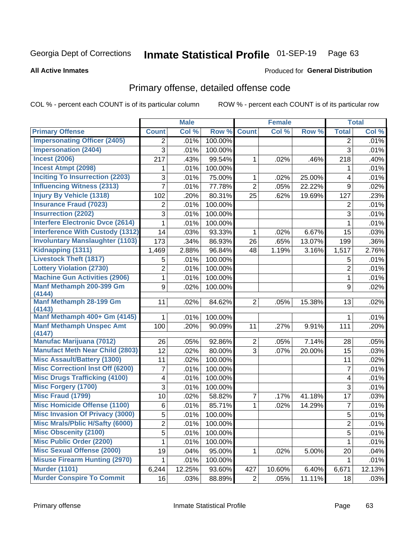#### Inmate Statistical Profile 01-SEP-19 Page 63

### **All Active Inmates**

### Produced for General Distribution

## Primary offense, detailed offense code

COL % - percent each COUNT is of its particular column

|                                         |                         | <b>Male</b> |         |                | <b>Female</b> |        |                | <b>Total</b> |
|-----------------------------------------|-------------------------|-------------|---------|----------------|---------------|--------|----------------|--------------|
| <b>Primary Offense</b>                  | <b>Count</b>            | Col %       | Row %   | <b>Count</b>   | Col %         | Row %  | <b>Total</b>   | Col %        |
| <b>Impersonating Officer (2405)</b>     | 2                       | .01%        | 100.00% |                |               |        | 2              | .01%         |
| <b>Impersonation (2404)</b>             | 3                       | .01%        | 100.00% |                |               |        | 3              | .01%         |
| <b>Incest (2006)</b>                    | 217                     | .43%        | 99.54%  | 1              | .02%          | .46%   | 218            | .40%         |
| <b>Incest Atmpt (2098)</b>              | 1                       | .01%        | 100.00% |                |               |        | 1              | .01%         |
| <b>Inciting To Insurrection (2203)</b>  | 3                       | .01%        | 75.00%  | 1              | .02%          | 25.00% | 4              | .01%         |
| <b>Influencing Witness (2313)</b>       | $\overline{7}$          | .01%        | 77.78%  | $\overline{2}$ | .05%          | 22.22% | 9              | .02%         |
| <b>Injury By Vehicle (1318)</b>         | 102                     | .20%        | 80.31%  | 25             | .62%          | 19.69% | 127            | .23%         |
| <b>Insurance Fraud (7023)</b>           | $\overline{2}$          | .01%        | 100.00% |                |               |        | 2              | .01%         |
| <b>Insurrection (2202)</b>              | 3                       | .01%        | 100.00% |                |               |        | 3              | .01%         |
| <b>Interfere Electronic Dvce (2614)</b> | 1                       | .01%        | 100.00% |                |               |        | 1              | .01%         |
| <b>Interference With Custody (1312)</b> | 14                      | .03%        | 93.33%  | 1              | .02%          | 6.67%  | 15             | .03%         |
| <b>Involuntary Manslaughter (1103)</b>  | 173                     | .34%        | 86.93%  | 26             | .65%          | 13.07% | 199            | .36%         |
| Kidnapping (1311)                       | 1,469                   | 2.88%       | 96.84%  | 48             | 1.19%         | 3.16%  | 1,517          | 2.76%        |
| <b>Livestock Theft (1817)</b>           | 5                       | .01%        | 100.00% |                |               |        | 5              | .01%         |
| <b>Lottery Violation (2730)</b>         | 2                       | .01%        | 100.00% |                |               |        | $\overline{2}$ | .01%         |
| <b>Machine Gun Activities (2906)</b>    | $\mathbf{1}$            | .01%        | 100.00% |                |               |        | $\mathbf{1}$   | .01%         |
| Manf Methamph 200-399 Gm                | 9                       | .02%        | 100.00% |                |               |        | 9              | .02%         |
| (4144)                                  |                         |             |         |                |               |        |                |              |
| Manf Methamph 28-199 Gm<br>(4143)       | 11                      | .02%        | 84.62%  | 2 <sup>1</sup> | .05%          | 15.38% | 13             | .02%         |
| Manf Methamph 400+ Gm (4145)            |                         | .01%        | 100.00% |                |               |        | 1              | .01%         |
| <b>Manf Methamph Unspec Amt</b>         | 100                     | .20%        | 90.09%  | 11             | .27%          | 9.91%  | 111            | .20%         |
| (4147)                                  |                         |             |         |                |               |        |                |              |
| <b>Manufac Marijuana (7012)</b>         | 26                      | .05%        | 92.86%  | $\overline{2}$ | .05%          | 7.14%  | 28             | .05%         |
| <b>Manufact Meth Near Child (2803)</b>  | 12                      | .02%        | 80.00%  | $\overline{3}$ | .07%          | 20.00% | 15             | .03%         |
| <b>Misc Assault/Battery (1300)</b>      | 11                      | .02%        | 100.00% |                |               |        | 11             | .02%         |
| <b>Misc Correctionl Inst Off (6200)</b> | 7                       | .01%        | 100.00% |                |               |        | $\overline{7}$ | .01%         |
| <b>Misc Drugs Trafficking (4100)</b>    | 4                       | .01%        | 100.00% |                |               |        | 4              | .01%         |
| <b>Misc Forgery (1700)</b>              | 3                       | .01%        | 100.00% |                |               |        | 3              | .01%         |
| <b>Misc Fraud (1799)</b>                | 10                      | .02%        | 58.82%  | $\overline{7}$ | .17%          | 41.18% | 17             | .03%         |
| <b>Misc Homicide Offense (1100)</b>     | 6                       | .01%        | 85.71%  | $\mathbf{1}$   | .02%          | 14.29% | $\overline{7}$ | .01%         |
| <b>Misc Invasion Of Privacy (3000)</b>  | 5                       | .01%        | 100.00% |                |               |        | $\overline{5}$ | .01%         |
| <b>Misc Mrals/Pblic H/Safty (6000)</b>  | $\overline{\mathbf{c}}$ | .01%        | 100.00% |                |               |        | $\overline{c}$ | .01%         |
| <b>Misc Obscenity (2100)</b>            | 5                       | .01%        | 100.00% |                |               |        | 5              | .01%         |
| <b>Misc Public Order (2200)</b>         | 1                       | .01%        | 100.00% |                |               |        | $\mathbf 1$    | .01%         |
| <b>Misc Sexual Offense (2000)</b>       | 19                      | .04%        | 95.00%  | 1              | .02%          | 5.00%  | 20             | .04%         |
| <b>Misuse Firearm Hunting (2970)</b>    | 1                       | .01%        | 100.00% |                |               |        | 1              | .01%         |
| <b>Murder (1101)</b>                    | 6,244                   | 12.25%      | 93.60%  | 427            | 10.60%        | 6.40%  | 6,671          | 12.13%       |
| <b>Murder Conspire To Commit</b>        | 16                      | .03%        | 88.89%  | 2              | .05%          | 11.11% | 18             | .03%         |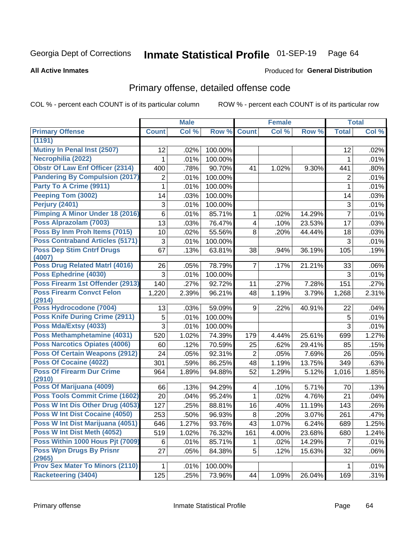#### Inmate Statistical Profile 01-SEP-19 Page 64

**All Active Inmates** 

## **Produced for General Distribution**

## Primary offense, detailed offense code

COL % - percent each COUNT is of its particular column

|                                            |              | <b>Male</b> |         |                         | <b>Female</b> |        |                | <b>Total</b>        |
|--------------------------------------------|--------------|-------------|---------|-------------------------|---------------|--------|----------------|---------------------|
| <b>Primary Offense</b>                     | <b>Count</b> | Col %       | Row %   | <b>Count</b>            | Col %         | Row %  | <b>Total</b>   | Col %               |
| (1191)                                     |              |             |         |                         |               |        |                |                     |
| Mutiny In Penal Inst (2507)                | 12           | .02%        | 100.00% |                         |               |        | 12             | .02%                |
| Necrophilia (2022)                         | 1            | .01%        | 100.00% |                         |               |        | 1              | .01%                |
| <b>Obstr Of Law Enf Officer (2314)</b>     | 400          | .78%        | 90.70%  | 41                      | 1.02%         | 9.30%  | 441            | .80%                |
| <b>Pandering By Compulsion (2017)</b>      | 2            | .01%        | 100.00% |                         |               |        | $\overline{2}$ | .01%                |
| Party To A Crime (9911)                    | 1            | .01%        | 100.00% |                         |               |        | 1              | .01%                |
| Peeping Tom (3002)                         | 14           | .03%        | 100.00% |                         |               |        | 14             | .03%                |
| Perjury (2401)                             | 3            | .01%        | 100.00% |                         |               |        | 3              | .01%                |
| Pimping A Minor Under 18 (2016)            | 6            | .01%        | 85.71%  | $\mathbf{1}$            | .02%          | 14.29% | $\overline{7}$ | .01%                |
| Poss Alprazolam (7003)                     | 13           | .03%        | 76.47%  | $\overline{\mathbf{4}}$ | .10%          | 23.53% | 17             | .03%                |
| Poss By Inm Proh Items (7015)              | 10           | .02%        | 55.56%  | 8                       | .20%          | 44.44% | 18             | .03%                |
| <b>Poss Contraband Articles (5171)</b>     | 3            | .01%        | 100.00% |                         |               |        | 3              | .01%                |
| <b>Poss Dep Stim Cntrf Drugs</b><br>(4007) | 67           | .13%        | 63.81%  | 38                      | .94%          | 36.19% | 105            | .19%                |
| Poss Drug Related Matrl (4016)             | 26           | .05%        | 78.79%  | $\overline{7}$          | .17%          | 21.21% | 33             | .06%                |
| Poss Ephedrine (4030)                      | 3            | .01%        | 100.00% |                         |               |        | 3              | .01%                |
| Poss Firearm 1st Offender (2913)           | 140          | .27%        | 92.72%  | 11                      | .27%          | 7.28%  | 151            | .27%                |
| <b>Poss Firearm Convct Felon</b><br>(2914) | 1,220        | 2.39%       | 96.21%  | 48                      | 1.19%         | 3.79%  | 1,268          | 2.31%               |
| Poss Hydrocodone (7004)                    | 13           | .03%        | 59.09%  | 9                       | .22%          | 40.91% | 22             | .04%                |
| <b>Poss Knife During Crime (2911)</b>      | 5            | .01%        | 100.00% |                         |               |        | 5              | .01%                |
| Poss Mda/Extsy (4033)                      | 3            | .01%        | 100.00% |                         |               |        | 3              | .01%                |
| Poss Methamphetamine (4031)                | 520          | 1.02%       | 74.39%  | 179                     | 4.44%         | 25.61% | 699            | 1.27%               |
| <b>Poss Narcotics Opiates (4006)</b>       | 60           | .12%        | 70.59%  | 25                      | .62%          | 29.41% | 85             | .15%                |
| <b>Poss Of Certain Weapons (2912)</b>      | 24           | .05%        | 92.31%  | $\overline{2}$          | .05%          | 7.69%  | 26             | .05%                |
| <b>Poss Of Cocaine (4022)</b>              | 301          | .59%        | 86.25%  | 48                      | 1.19%         | 13.75% | 349            | .63%                |
| <b>Poss Of Firearm Dur Crime</b><br>(2910) | 964          | 1.89%       | 94.88%  | 52                      | 1.29%         | 5.12%  | 1,016          | 1.85%               |
| Poss Of Marijuana (4009)                   | 66           | .13%        | 94.29%  | 4                       | .10%          | 5.71%  | 70             | .13%                |
| Poss Tools Commit Crime (1602)             | 20           | .04%        | 95.24%  | $\mathbf{1}$            | .02%          | 4.76%  | 21             | .04%                |
| Poss W Int Dis Other Drug (4053)           | 127          | .25%        | 88.81%  | 16                      | .40%          | 11.19% | 143            | .26%                |
| Poss W Int Dist Cocaine (4050)             | 253          | .50%        | 96.93%  | 8                       | .20%          | 3.07%  | 261            | .47%                |
| Poss W Int Dist Marijuana (4051)           | 646          | 1.27%       | 93.76%  | 43                      | 1.07%         | 6.24%  | 689            | 1.25%               |
| Poss W Int Dist Meth (4052)                | 519          | 1.02%       | 76.32%  | 161                     | 4.00%         | 23.68% | 680            | $\overline{1.24\%}$ |
| Poss Within 1000 Hous Pit (7009)           | 6            | .01%        | 85.71%  | 1                       | .02%          | 14.29% | $\overline{7}$ | .01%                |
| <b>Poss Wpn Drugs By Prisnr</b>            | 27           | .05%        | 84.38%  | 5                       | .12%          | 15.63% | 32             | .06%                |
| (2965)                                     |              |             |         |                         |               |        |                |                     |
| <b>Prov Sex Mater To Minors (2110)</b>     | 1            | .01%        | 100.00% |                         |               |        | $\mathbf{1}$   | .01%                |
| <b>Racketeering (3404)</b>                 | 125          | .25%        | 73.96%  | 44                      | 1.09%         | 26.04% | 169            | .31%                |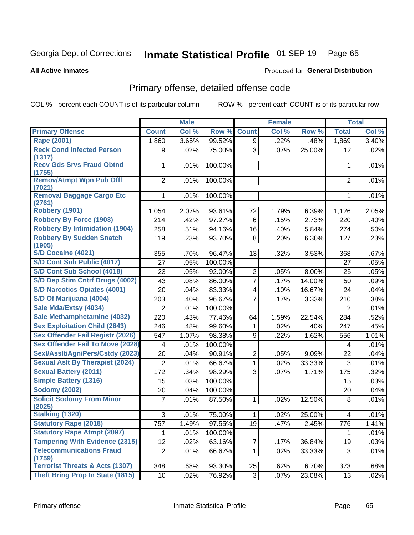#### Inmate Statistical Profile 01-SEP-19 Page 65

### **All Active Inmates**

### Produced for General Distribution

## Primary offense, detailed offense code

COL % - percent each COUNT is of its particular column

|                                                      |                | <b>Male</b> |         |                | <b>Female</b> |        |                | <b>Total</b> |
|------------------------------------------------------|----------------|-------------|---------|----------------|---------------|--------|----------------|--------------|
| <b>Primary Offense</b>                               | <b>Count</b>   | Col %       | Row %   | <b>Count</b>   | Col %         | Row %  | <b>Total</b>   | Col %        |
| <b>Rape (2001)</b>                                   | 1,860          | 3.65%       | 99.52%  | 9              | .22%          | .48%   | 1,869          | 3.40%        |
| <b>Reck Cond Infected Person</b><br>(1317)           | 9              | .02%        | 75.00%  | 3              | .07%          | 25.00% | 12             | .02%         |
| <b>Recv Gds Srvs Fraud Obtnd</b><br>(1755)           | 1.             | .01%        | 100.00% |                |               |        | 1              | .01%         |
| <b>Remov/Atmpt Wpn Pub Offl</b><br>(7021)            | $\overline{2}$ | .01%        | 100.00% |                |               |        | $\overline{2}$ | .01%         |
| <b>Removal Baggage Cargo Etc</b><br>(2761)           | 1              | .01%        | 100.00% |                |               |        | 1              | .01%         |
| <b>Robbery (1901)</b>                                | 1,054          | 2.07%       | 93.61%  | 72             | 1.79%         | 6.39%  | 1,126          | 2.05%        |
| <b>Robbery By Force (1903)</b>                       | 214            | .42%        | 97.27%  | 6              | .15%          | 2.73%  | 220            | .40%         |
| <b>Robbery By Intimidation (1904)</b>                | 258            | .51%        | 94.16%  | 16             | .40%          | 5.84%  | 274            | .50%         |
| <b>Robbery By Sudden Snatch</b><br>(1905)            | 119            | .23%        | 93.70%  | 8              | .20%          | 6.30%  | 127            | .23%         |
| <b>S/D Cocaine (4021)</b>                            | 355            | .70%        | 96.47%  | 13             | .32%          | 3.53%  | 368            | .67%         |
| S/D Cont Sub Public (4017)                           | 27             | .05%        | 100.00% |                |               |        | 27             | .05%         |
| S/D Cont Sub School (4018)                           | 23             | .05%        | 92.00%  | $\overline{2}$ | .05%          | 8.00%  | 25             | .05%         |
| S/D Dep Stim Cntrf Drugs (4002)                      | 43             | .08%        | 86.00%  | $\overline{7}$ | .17%          | 14.00% | 50             | .09%         |
| <b>S/D Narcotics Opiates (4001)</b>                  | 20             | .04%        | 83.33%  | 4              | .10%          | 16.67% | 24             | .04%         |
| S/D Of Marijuana (4004)                              | 203            | .40%        | 96.67%  | $\overline{7}$ | .17%          | 3.33%  | 210            | .38%         |
| Sale Mda/Extsy (4034)                                | $\overline{2}$ | .01%        | 100.00% |                |               |        | 2              | .01%         |
| Sale Methamphetamine (4032)                          | 220            | .43%        | 77.46%  | 64             | 1.59%         | 22.54% | 284            | .52%         |
| <b>Sex Exploitation Child (2843)</b>                 | 246            | .48%        | 99.60%  | 1              | .02%          | .40%   | 247            | .45%         |
| Sex Offender Fail Registr (2026)                     | 547            | 1.07%       | 98.38%  | 9              | .22%          | 1.62%  | 556            | 1.01%        |
| <b>Sex Offender Fail To Move (2028)</b>              | 4              | .01%        | 100.00% |                |               |        | 4              | .01%         |
| Sexl/Asslt/Agn/Pers/Cstdy (2023)                     | 20             | .04%        | 90.91%  | $\overline{2}$ | .05%          | 9.09%  | 22             | .04%         |
| <b>Sexual Aslt By Therapist (2024)</b>               | $\overline{2}$ | .01%        | 66.67%  | 1              | .02%          | 33.33% | $\mathfrak{S}$ | .01%         |
| <b>Sexual Battery (2011)</b>                         | 172            | .34%        | 98.29%  | 3              | .07%          | 1.71%  | 175            | .32%         |
| <b>Simple Battery (1316)</b>                         | 15             | .03%        | 100.00% |                |               |        | 15             | .03%         |
| <b>Sodomy (2002)</b>                                 | 20             | .04%        | 100.00% |                |               |        | 20             | .04%         |
| <b>Solicit Sodomy From Minor</b><br>(2025)           | $\overline{7}$ | .01%        | 87.50%  | $\mathbf{1}$   | .02%          | 12.50% | 8              | .01%         |
| Stalking (1320)                                      | 3              | .01%        | 75.00%  | 1              | .02%          | 25.00% | 4              | .01%         |
| <b>Statutory Rape (2018)</b>                         | 757            | 1.49%       | 97.55%  | 19             | .47%          | 2.45%  | 776            | 1.41%        |
| <b>Statutory Rape Atmpt (2097)</b>                   | 1              | .01%        | 100.00% |                |               |        | 1              | .01%         |
| <b>Tampering With Evidence (2315)</b>                | 12             | .02%        | 63.16%  | $\overline{7}$ | .17%          | 36.84% | 19             | .03%         |
| <b>Telecommunications Fraud</b>                      | $\overline{2}$ | .01%        | 66.67%  | 1.             | .02%          | 33.33% | 3              | .01%         |
| (1759)<br><b>Terrorist Threats &amp; Acts (1307)</b> | 348            | .68%        | 93.30%  | 25             | .62%          | 6.70%  | 373            | .68%         |
| <b>Theft Bring Prop In State (1815)</b>              | 10             | .02%        | 76.92%  | 3 <sup>1</sup> | $.07\%$       | 23.08% | 13             | .02%         |
|                                                      |                |             |         |                |               |        |                |              |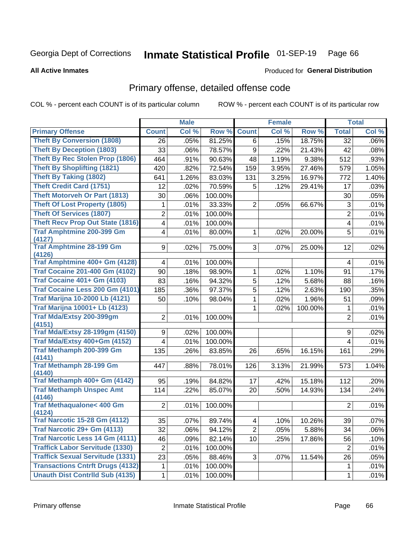#### Inmate Statistical Profile 01-SEP-19 Page 66

### **All Active Inmates**

## **Produced for General Distribution**

## Primary offense, detailed offense code

COL % - percent each COUNT is of its particular column

|                                                |                | <b>Male</b> |         |                 | <b>Female</b> |         |                | <b>Total</b> |
|------------------------------------------------|----------------|-------------|---------|-----------------|---------------|---------|----------------|--------------|
| <b>Primary Offense</b>                         | <b>Count</b>   | Col %       | Row %   | <b>Count</b>    | Col %         | Row %   | <b>Total</b>   | Col %        |
| <b>Theft By Conversion (1808)</b>              | 26             | .05%        | 81.25%  | 6               | .15%          | 18.75%  | 32             | .06%         |
| <b>Theft By Deception (1803)</b>               | 33             | .06%        | 78.57%  | 9               | .22%          | 21.43%  | 42             | .08%         |
| <b>Theft By Rec Stolen Prop (1806)</b>         | 464            | .91%        | 90.63%  | 48              | 1.19%         | 9.38%   | 512            | .93%         |
| <b>Theft By Shoplifting (1821)</b>             | 420            | .82%        | 72.54%  | 159             | 3.95%         | 27.46%  | 579            | 1.05%        |
| <b>Theft By Taking (1802)</b>                  | 641            | 1.26%       | 83.03%  | 131             | 3.25%         | 16.97%  | 772            | 1.40%        |
| <b>Theft Credit Card (1751)</b>                | 12             | .02%        | 70.59%  | 5               | .12%          | 29.41%  | 17             | .03%         |
| <b>Theft Motorveh Or Part (1813)</b>           | 30             | .06%        | 100.00% |                 |               |         | 30             | .05%         |
| <b>Theft Of Lost Property (1805)</b>           | 1              | .01%        | 33.33%  | 2               | .05%          | 66.67%  | 3              | .01%         |
| <b>Theft Of Services (1807)</b>                | 2              | .01%        | 100.00% |                 |               |         | $\overline{2}$ | .01%         |
| <b>Theft Recv Prop Out State (1816)</b>        | 4              | .01%        | 100.00% |                 |               |         | 4              | .01%         |
| <b>Traf Amphtmine 200-399 Gm</b>               | 4              | .01%        | 80.00%  | 1               | .02%          | 20.00%  | 5              | .01%         |
| (4127)                                         |                |             |         |                 |               |         |                |              |
| <b>Traf Amphtmine 28-199 Gm</b><br>(4126)      | 9              | .02%        | 75.00%  | 3 <sup>1</sup>  | .07%          | 25.00%  | 12             | .02%         |
| Traf Amphtmine 400+ Gm (4128)                  | $\overline{4}$ | .01%        | 100.00% |                 |               |         | 4              | .01%         |
| <b>Traf Cocaine 201-400 Gm (4102)</b>          | 90             | .18%        | 98.90%  | 1               | .02%          | 1.10%   | 91             | .17%         |
| <b>Traf Cocaine 401+ Gm (4103)</b>             | 83             | .16%        | 94.32%  | $\sqrt{5}$      | .12%          | 5.68%   | 88             | .16%         |
| Traf Cocaine Less 200 Gm (4101)                | 185            | .36%        | 97.37%  | 5               | .12%          | 2.63%   | 190            | .35%         |
| <b>Traf Marijna 10-2000 Lb (4121)</b>          | 50             | .10%        | 98.04%  | 1               | .02%          | 1.96%   | 51             | .09%         |
| <b>Traf Marijna 10001+ Lb (4123)</b>           |                |             |         | 1               | .02%          | 100.00% | 1              | .01%         |
| Traf Mda/Extsy 200-399gm                       | $\overline{2}$ | .01%        | 100.00% |                 |               |         | $\overline{2}$ | .01%         |
| (4151)                                         |                |             |         |                 |               |         |                |              |
| <b>Traf Mda/Extsy 28-199gm (4150)</b>          | 9              | .02%        | 100.00% |                 |               |         | 9              | .02%         |
| Traf Mda/Extsy 400+Gm (4152)                   | 4              | .01%        | 100.00% |                 |               |         | 4              | .01%         |
| <b>Traf Methamph 200-399 Gm</b>                | 135            | .26%        | 83.85%  | 26              | .65%          | 16.15%  | 161            | .29%         |
| (4141)<br><b>Traf Methamph 28-199 Gm</b>       |                |             |         |                 |               |         |                |              |
| (4140)                                         | 447            | .88%        | 78.01%  | 126             | 3.13%         | 21.99%  | 573            | 1.04%        |
| Traf Methamph 400+ Gm (4142)                   | 95             | .19%        | 84.82%  | 17              | .42%          | 15.18%  | 112            | .20%         |
| <b>Traf Methamph Unspec Amt</b>                | 114            | .22%        | 85.07%  | 20              | .50%          | 14.93%  | 134            | .24%         |
| (4146)                                         |                |             |         |                 |               |         |                |              |
| <b>Traf Methaqualone&lt; 400 Gm</b>            | $\overline{2}$ | .01%        | 100.00% |                 |               |         | $\overline{2}$ | .01%         |
| (4124)<br><b>Traf Narcotic 15-28 Gm (4112)</b> |                |             |         |                 |               |         |                |              |
| Traf Narcotic 29+ Gm (4113)                    | 35             | .07%        | 89.74%  | $\overline{4}$  | $.10\%$       | 10.26%  | 39             | .07%         |
|                                                | 32             | .06%        | 94.12%  | $\overline{2}$  | .05%          | 5.88%   | 34             | .06%         |
| Traf Narcotic Less 14 Gm (4111)                | 46             | .09%        | 82.14%  | 10 <sup>1</sup> | .25%          | 17.86%  | 56             | .10%         |
| <b>Traffick Labor Servitude (1330)</b>         | $\overline{2}$ | .01%        | 100.00% |                 |               |         | $\overline{2}$ | .01%         |
| <b>Traffick Sexual Servitude (1331)</b>        | 23             | .05%        | 88.46%  | 3 <sup>1</sup>  | .07%          | 11.54%  | 26             | .05%         |
| <b>Transactions Cntrft Drugs (4132)</b>        | 1              | .01%        | 100.00% |                 |               |         | 1              | .01%         |
| <b>Unauth Dist Contrild Sub (4135)</b>         | $\mathbf{1}$   | .01%        | 100.00% |                 |               |         | $\mathbf 1$    | .01%         |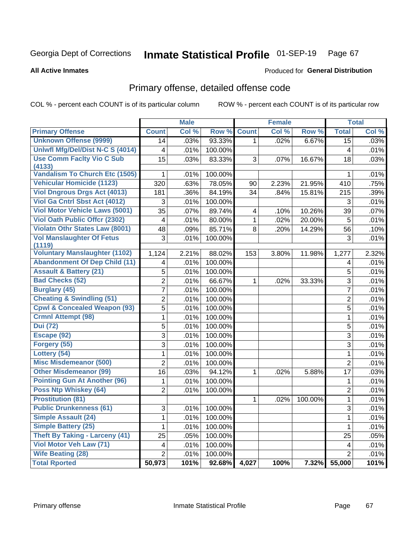#### Inmate Statistical Profile 01-SEP-19 Page 67

**All Active Inmates** 

### Produced for General Distribution

## Primary offense, detailed offense code

COL % - percent each COUNT is of its particular column

|                                            |                         | <b>Male</b> |         |                | <b>Female</b> |         |                         | <b>Total</b> |
|--------------------------------------------|-------------------------|-------------|---------|----------------|---------------|---------|-------------------------|--------------|
| <b>Primary Offense</b>                     | <b>Count</b>            | Col %       | Row %   | <b>Count</b>   | Col %         | Row %   | <b>Total</b>            | Col %        |
| <b>Unknown Offense (9999)</b>              | 14                      | .03%        | 93.33%  | $\mathbf 1$    | .02%          | 6.67%   | $\overline{15}$         | .03%         |
| Uniwfl Mfg/Del/Dist N-C S (4014)           | $\overline{\mathbf{4}}$ | .01%        | 100.00% |                |               |         | $\overline{\mathbf{4}}$ | .01%         |
| <b>Use Comm Facity Vio C Sub</b>           | $\overline{15}$         | .03%        | 83.33%  | 3              | .07%          | 16.67%  | 18                      | .03%         |
| (4133)                                     |                         |             |         |                |               |         |                         |              |
| <b>Vandalism To Church Etc (1505)</b>      | $\mathbf{1}$            | .01%        | 100.00% |                |               |         | $\mathbf{1}$            | .01%         |
| <b>Vehicular Homicide (1123)</b>           | 320                     | .63%        | 78.05%  | 90             | 2.23%         | 21.95%  | 410                     | .75%         |
| <b>Viol Dngrous Drgs Act (4013)</b>        | 181                     | .36%        | 84.19%  | 34             | .84%          | 15.81%  | 215                     | .39%         |
| Viol Ga Cntrl Sbst Act (4012)              | 3                       | .01%        | 100.00% |                |               |         | 3                       | .01%         |
| <b>Viol Motor Vehicle Laws (5001)</b>      | $\overline{35}$         | .07%        | 89.74%  | 4              | .10%          | 10.26%  | 39                      | .07%         |
| <b>Viol Oath Public Offcr (2302)</b>       | $\overline{4}$          | .01%        | 80.00%  | $\mathbf{1}$   | .02%          | 20.00%  | 5                       | .01%         |
| <b>Violatn Othr States Law (8001)</b>      | $\overline{48}$         | .09%        | 85.71%  | $\overline{8}$ | .20%          | 14.29%  | 56                      | .10%         |
| <b>Vol Manslaughter Of Fetus</b><br>(1119) | 3                       | .01%        | 100.00% |                |               |         | 3                       | .01%         |
| <b>Voluntary Manslaughter (1102)</b>       | 1,124                   | 2.21%       | 88.02%  | 153            | 3.80%         | 11.98%  | 1,277                   | 2.32%        |
| <b>Abandonment Of Dep Child (11)</b>       | $\overline{\mathbf{4}}$ | .01%        | 100.00% |                |               |         | 4                       | .01%         |
| <b>Assault &amp; Battery (21)</b>          | $\overline{5}$          | .01%        | 100.00% |                |               |         | $\overline{5}$          | .01%         |
| <b>Bad Checks (52)</b>                     | $\overline{2}$          | .01%        | 66.67%  | $\mathbf{1}$   | .02%          | 33.33%  | $\overline{3}$          | .01%         |
| <b>Burglary (45)</b>                       | $\overline{7}$          | .01%        | 100.00% |                |               |         | $\overline{7}$          | .01%         |
| <b>Cheating &amp; Swindling (51)</b>       | $\overline{2}$          | .01%        | 100.00% |                |               |         | $\overline{2}$          | .01%         |
| <b>Cpwl &amp; Concealed Weapon (93)</b>    | $\overline{5}$          | .01%        | 100.00% |                |               |         | $\overline{5}$          | .01%         |
| <b>Crmnl Attempt (98)</b>                  | $\overline{1}$          | .01%        | 100.00% |                |               |         | $\mathbf 1$             | .01%         |
| <b>Dui</b> (72)                            | $\overline{5}$          | .01%        | 100.00% |                |               |         | 5                       | .01%         |
| Escape (92)                                | $\overline{3}$          | .01%        | 100.00% |                |               |         | $\overline{3}$          | .01%         |
| Forgery (55)                               | $\overline{3}$          | .01%        | 100.00% |                |               |         | 3                       | .01%         |
| Lottery (54)                               | $\mathbf{1}$            | .01%        | 100.00% |                |               |         | $\mathbf{1}$            | .01%         |
| <b>Misc Misdemeanor (500)</b>              | $\overline{2}$          | .01%        | 100.00% |                |               |         | $\overline{2}$          | .01%         |
| <b>Other Misdemeanor (99)</b>              | $\overline{16}$         | .03%        | 94.12%  | 1              | .02%          | 5.88%   | 17                      | .03%         |
| <b>Pointing Gun At Another (96)</b>        | 1                       | .01%        | 100.00% |                |               |         | $\mathbf 1$             | .01%         |
| Poss Ntp Whiskey (64)                      | $\overline{2}$          | .01%        | 100.00% |                |               |         | $\overline{2}$          | .01%         |
| <b>Prostitution (81)</b>                   |                         |             |         | $\mathbf{1}$   | .02%          | 100.00% | $\mathbf{1}$            | .01%         |
| <b>Public Drunkenness (61)</b>             | 3                       | .01%        | 100.00% |                |               |         | 3                       | .01%         |
| <b>Simple Assault (24)</b>                 | 1                       | .01%        | 100.00% |                |               |         | $\mathbf{1}$            | .01%         |
| <b>Simple Battery (25)</b>                 | $\mathbf{1}$            | .01%        | 100.00% |                |               |         | $\mathbf{1}$            | .01%         |
| <b>Theft By Taking - Larceny (41)</b>      | $\overline{25}$         | .05%        | 100.00% |                |               |         | $\overline{25}$         | .05%         |
| Viol Motor Veh Law (71)                    | 4                       | .01%        | 100.00% |                |               |         | 4                       | .01%         |
| <b>Wife Beating (28)</b>                   | $\overline{2}$          | .01%        | 100.00% |                |               |         | $\overline{2}$          | .01%         |
| <b>Total Rported</b>                       | 50,973                  | 101%        | 92.68%  | 4,027          | 100%          | 7.32%   | 55,000                  | 101%         |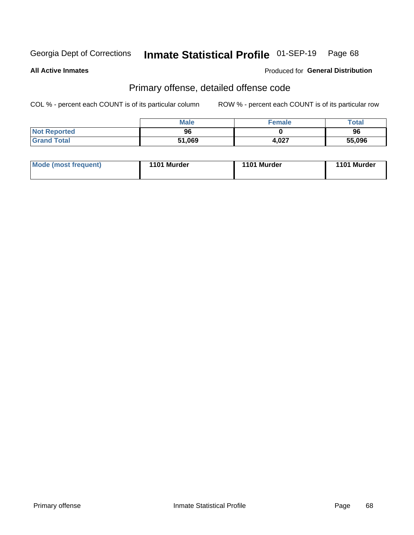#### Inmate Statistical Profile 01-SEP-19 Page 68

**All Active Inmates** 

Produced for General Distribution

## Primary offense, detailed offense code

COL % - percent each COUNT is of its particular column

|                     | <b>Male</b> | <b>Female</b> | Total  |
|---------------------|-------------|---------------|--------|
| <b>Not Reported</b> | 96          |               | 96     |
| <b>Grand Total</b>  | 51,069      | 4,027         | 55,096 |

| Mode (most frequent) | 1101 Murder | 1101 Murder | 1101 Murder |
|----------------------|-------------|-------------|-------------|
|                      |             |             |             |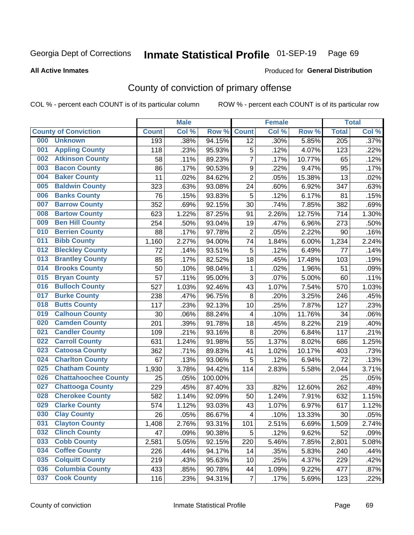# Inmate Statistical Profile 01-SEP-19 Page 69

**All Active Inmates** 

### Produced for General Distribution

## County of conviction of primary offense

COL % - percent each COUNT is of its particular column

|     |                             |              | <b>Male</b> |         |                         | <b>Female</b> |        |                  | <b>Total</b> |
|-----|-----------------------------|--------------|-------------|---------|-------------------------|---------------|--------|------------------|--------------|
|     | <b>County of Conviction</b> | <b>Count</b> | Col %       | Row %   | <b>Count</b>            | Col %         | Row %  | <b>Total</b>     | Col %        |
| 000 | <b>Unknown</b>              | 193          | .38%        | 94.15%  | 12                      | .30%          | 5.85%  | $\overline{205}$ | .37%         |
| 001 | <b>Appling County</b>       | 118          | .23%        | 95.93%  | 5                       | .12%          | 4.07%  | 123              | .22%         |
| 002 | <b>Atkinson County</b>      | 58           | .11%        | 89.23%  | $\overline{7}$          | .17%          | 10.77% | 65               | .12%         |
| 003 | <b>Bacon County</b>         | 86           | .17%        | 90.53%  | $\boldsymbol{9}$        | .22%          | 9.47%  | 95               | .17%         |
| 004 | <b>Baker County</b>         | 11           | .02%        | 84.62%  | $\overline{2}$          | .05%          | 15.38% | 13               | .02%         |
| 005 | <b>Baldwin County</b>       | 323          | .63%        | 93.08%  | 24                      | .60%          | 6.92%  | 347              | .63%         |
| 006 | <b>Banks County</b>         | 76           | .15%        | 93.83%  | 5                       | .12%          | 6.17%  | 81               | .15%         |
| 007 | <b>Barrow County</b>        | 352          | .69%        | 92.15%  | 30                      | .74%          | 7.85%  | 382              | .69%         |
| 008 | <b>Bartow County</b>        | 623          | 1.22%       | 87.25%  | 91                      | 2.26%         | 12.75% | 714              | 1.30%        |
| 009 | <b>Ben Hill County</b>      | 254          | .50%        | 93.04%  | 19                      | .47%          | 6.96%  | 273              | .50%         |
| 010 | <b>Berrien County</b>       | 88           | .17%        | 97.78%  | $\overline{2}$          | .05%          | 2.22%  | 90               | .16%         |
| 011 | <b>Bibb County</b>          | 1,160        | 2.27%       | 94.00%  | 74                      | 1.84%         | 6.00%  | 1,234            | 2.24%        |
| 012 | <b>Bleckley County</b>      | 72           | .14%        | 93.51%  | 5                       | .12%          | 6.49%  | 77               | .14%         |
| 013 | <b>Brantley County</b>      | 85           | .17%        | 82.52%  | 18                      | .45%          | 17.48% | 103              | .19%         |
| 014 | <b>Brooks County</b>        | 50           | .10%        | 98.04%  | 1                       | .02%          | 1.96%  | 51               | .09%         |
| 015 | <b>Bryan County</b>         | 57           | .11%        | 95.00%  | 3                       | .07%          | 5.00%  | 60               | .11%         |
| 016 | <b>Bulloch County</b>       | 527          | 1.03%       | 92.46%  | 43                      | 1.07%         | 7.54%  | 570              | 1.03%        |
| 017 | <b>Burke County</b>         | 238          | .47%        | 96.75%  | 8                       | .20%          | 3.25%  | 246              | .45%         |
| 018 | <b>Butts County</b>         | 117          | .23%        | 92.13%  | 10                      | .25%          | 7.87%  | 127              | .23%         |
| 019 | <b>Calhoun County</b>       | 30           | .06%        | 88.24%  | $\overline{\mathbf{4}}$ | .10%          | 11.76% | 34               | .06%         |
| 020 | <b>Camden County</b>        | 201          | .39%        | 91.78%  | 18                      | .45%          | 8.22%  | 219              | .40%         |
| 021 | <b>Candler County</b>       | 109          | .21%        | 93.16%  | $\,8\,$                 | .20%          | 6.84%  | 117              | .21%         |
| 022 | <b>Carroll County</b>       | 631          | 1.24%       | 91.98%  | 55                      | 1.37%         | 8.02%  | 686              | 1.25%        |
| 023 | <b>Catoosa County</b>       | 362          | .71%        | 89.83%  | 41                      | 1.02%         | 10.17% | 403              | .73%         |
| 024 | <b>Charlton County</b>      | 67           | .13%        | 93.06%  | 5                       | .12%          | 6.94%  | 72               | .13%         |
| 025 | <b>Chatham County</b>       | 1,930        | 3.78%       | 94.42%  | 114                     | 2.83%         | 5.58%  | 2,044            | 3.71%        |
| 026 | <b>Chattahoochee County</b> | 25           | .05%        | 100.00% |                         |               |        | 25               | .05%         |
| 027 | <b>Chattooga County</b>     | 229          | .45%        | 87.40%  | 33                      | .82%          | 12.60% | 262              | .48%         |
| 028 | <b>Cherokee County</b>      | 582          | 1.14%       | 92.09%  | 50                      | 1.24%         | 7.91%  | 632              | 1.15%        |
| 029 | <b>Clarke County</b>        | 574          | 1.12%       | 93.03%  | 43                      | 1.07%         | 6.97%  | 617              | 1.12%        |
| 030 | <b>Clay County</b>          | 26           | .05%        | 86.67%  | $\overline{\mathbf{4}}$ | .10%          | 13.33% | 30               | .05%         |
| 031 | <b>Clayton County</b>       | 1,408        | 2.76%       | 93.31%  | 101                     | 2.51%         | 6.69%  | 1,509            | 2.74%        |
| 032 | <b>Clinch County</b>        | 47           | .09%        | 90.38%  | 5                       | .12%          | 9.62%  | 52               | .09%         |
| 033 | <b>Cobb County</b>          | 2,581        | 5.05%       | 92.15%  | 220                     | 5.46%         | 7.85%  | 2,801            | 5.08%        |
| 034 | <b>Coffee County</b>        | 226          | .44%        | 94.17%  | 14                      | .35%          | 5.83%  | 240              | .44%         |
| 035 | <b>Colquitt County</b>      | 219          | .43%        | 95.63%  | 10                      | .25%          | 4.37%  | 229              | .42%         |
| 036 | <b>Columbia County</b>      | 433          | .85%        | 90.78%  | 44                      | 1.09%         | 9.22%  | 477              | .87%         |
| 037 | <b>Cook County</b>          | 116          | .23%        | 94.31%  | $\overline{7}$          | .17%          | 5.69%  | 123              | .22%         |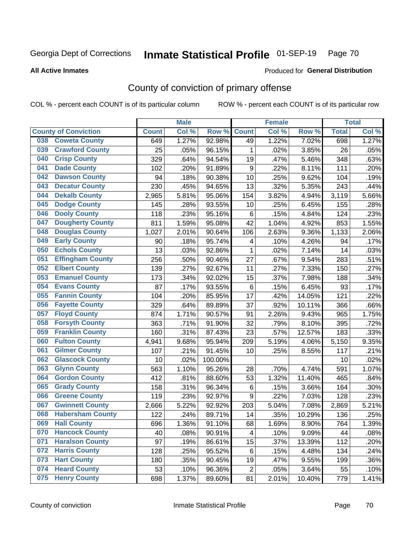# Inmate Statistical Profile 01-SEP-19 Page 70

Produced for General Distribution

### **All Active Inmates**

## County of conviction of primary offense

COL % - percent each COUNT is of its particular column

|     |                             |              | <b>Male</b> |         |                  | <b>Female</b> |        |              | <b>Total</b> |
|-----|-----------------------------|--------------|-------------|---------|------------------|---------------|--------|--------------|--------------|
|     | <b>County of Conviction</b> | <b>Count</b> | Col %       | Row %   | <b>Count</b>     | Col %         | Row %  | <b>Total</b> | Col %        |
| 038 | <b>Coweta County</b>        | 649          | 1.27%       | 92.98%  | 49               | 1.22%         | 7.02%  | 698          | 1.27%        |
| 039 | <b>Crawford County</b>      | 25           | .05%        | 96.15%  | 1                | .02%          | 3.85%  | 26           | .05%         |
| 040 | <b>Crisp County</b>         | 329          | .64%        | 94.54%  | 19               | .47%          | 5.46%  | 348          | .63%         |
| 041 | <b>Dade County</b>          | 102          | .20%        | 91.89%  | $\boldsymbol{9}$ | .22%          | 8.11%  | 111          | .20%         |
| 042 | <b>Dawson County</b>        | 94           | .18%        | 90.38%  | 10               | .25%          | 9.62%  | 104          | .19%         |
| 043 | <b>Decatur County</b>       | 230          | .45%        | 94.65%  | 13               | .32%          | 5.35%  | 243          | .44%         |
| 044 | <b>Dekalb County</b>        | 2,965        | 5.81%       | 95.06%  | 154              | 3.82%         | 4.94%  | 3,119        | 5.66%        |
| 045 | <b>Dodge County</b>         | 145          | .28%        | 93.55%  | 10               | .25%          | 6.45%  | 155          | .28%         |
| 046 | <b>Dooly County</b>         | 118          | .23%        | 95.16%  | $\,6$            | .15%          | 4.84%  | 124          | .23%         |
| 047 | <b>Dougherty County</b>     | 811          | 1.59%       | 95.08%  | 42               | 1.04%         | 4.92%  | 853          | 1.55%        |
| 048 | <b>Douglas County</b>       | 1,027        | 2.01%       | 90.64%  | 106              | 2.63%         | 9.36%  | 1,133        | 2.06%        |
| 049 | <b>Early County</b>         | 90           | .18%        | 95.74%  | 4                | .10%          | 4.26%  | 94           | .17%         |
| 050 | <b>Echols County</b>        | 13           | .03%        | 92.86%  | $\mathbf{1}$     | .02%          | 7.14%  | 14           | .03%         |
| 051 | <b>Effingham County</b>     | 256          | .50%        | 90.46%  | 27               | .67%          | 9.54%  | 283          | .51%         |
| 052 | <b>Elbert County</b>        | 139          | .27%        | 92.67%  | 11               | .27%          | 7.33%  | 150          | .27%         |
| 053 | <b>Emanuel County</b>       | 173          | .34%        | 92.02%  | 15               | .37%          | 7.98%  | 188          | .34%         |
| 054 | <b>Evans County</b>         | 87           | .17%        | 93.55%  | 6                | .15%          | 6.45%  | 93           | .17%         |
| 055 | <b>Fannin County</b>        | 104          | .20%        | 85.95%  | 17               | .42%          | 14.05% | 121          | .22%         |
| 056 | <b>Fayette County</b>       | 329          | .64%        | 89.89%  | 37               | .92%          | 10.11% | 366          | .66%         |
| 057 | <b>Floyd County</b>         | 874          | 1.71%       | 90.57%  | 91               | 2.26%         | 9.43%  | 965          | 1.75%        |
| 058 | <b>Forsyth County</b>       | 363          | .71%        | 91.90%  | 32               | .79%          | 8.10%  | 395          | .72%         |
| 059 | <b>Franklin County</b>      | 160          | .31%        | 87.43%  | 23               | .57%          | 12.57% | 183          | .33%         |
| 060 | <b>Fulton County</b>        | 4,941        | 9.68%       | 95.94%  | 209              | 5.19%         | 4.06%  | 5,150        | 9.35%        |
| 061 | <b>Gilmer County</b>        | 107          | .21%        | 91.45%  | 10               | .25%          | 8.55%  | 117          | .21%         |
| 062 | <b>Glascock County</b>      | 10           | .02%        | 100.00% |                  |               |        | 10           | .02%         |
| 063 | <b>Glynn County</b>         | 563          | 1.10%       | 95.26%  | 28               | .70%          | 4.74%  | 591          | 1.07%        |
| 064 | <b>Gordon County</b>        | 412          | .81%        | 88.60%  | 53               | 1.32%         | 11.40% | 465          | .84%         |
| 065 | <b>Grady County</b>         | 158          | .31%        | 96.34%  | $\,6$            | .15%          | 3.66%  | 164          | .30%         |
| 066 | <b>Greene County</b>        | 119          | .23%        | 92.97%  | $\boldsymbol{9}$ | .22%          | 7.03%  | 128          | .23%         |
| 067 | <b>Gwinnett County</b>      | 2,666        | 5.22%       | 92.92%  | 203              | 5.04%         | 7.08%  | 2,869        | 5.21%        |
| 068 | <b>Habersham County</b>     | 122          | .24%        | 89.71%  | 14               | .35%          | 10.29% | 136          | .25%         |
| 069 | <b>Hall County</b>          | 696          | 1.36%       | 91.10%  | 68               | 1.69%         | 8.90%  | 764          | 1.39%        |
| 070 | <b>Hancock County</b>       | 40           | .08%        | 90.91%  | 4                | .10%          | 9.09%  | 44           | .08%         |
| 071 | <b>Haralson County</b>      | 97           | .19%        | 86.61%  | 15               | .37%          | 13.39% | 112          | .20%         |
| 072 | <b>Harris County</b>        | 128          | .25%        | 95.52%  | 6                | .15%          | 4.48%  | 134          | .24%         |
| 073 | <b>Hart County</b>          | 180          | .35%        | 90.45%  | 19               | .47%          | 9.55%  | 199          | .36%         |
| 074 | <b>Heard County</b>         | 53           | .10%        | 96.36%  | $\overline{c}$   | .05%          | 3.64%  | 55           | .10%         |
| 075 | <b>Henry County</b>         | 698          | 1.37%       | 89.60%  | 81               | 2.01%         | 10.40% | 779          | 1.41%        |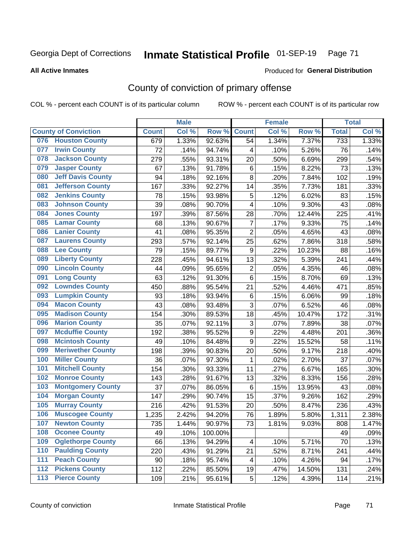# Inmate Statistical Profile 01-SEP-19 Page 71

### **All Active Inmates**

### Produced for General Distribution

## County of conviction of primary offense

COL % - percent each COUNT is of its particular column

|     |                             |              | <b>Male</b> |         |                           | <b>Female</b> |        |                  | <b>Total</b>       |
|-----|-----------------------------|--------------|-------------|---------|---------------------------|---------------|--------|------------------|--------------------|
|     | <b>County of Conviction</b> | <b>Count</b> | Col %       | Row %   | <b>Count</b>              | Col %         | Row %  | <b>Total</b>     | Col %              |
| 076 | <b>Houston County</b>       | 679          | 1.33%       | 92.63%  | 54                        | 1.34%         | 7.37%  | $\overline{733}$ | 1.33%              |
| 077 | <b>Irwin County</b>         | 72           | .14%        | 94.74%  | 4                         | .10%          | 5.26%  | 76               | .14%               |
| 078 | <b>Jackson County</b>       | 279          | .55%        | 93.31%  | 20                        | .50%          | 6.69%  | 299              | .54%               |
| 079 | <b>Jasper County</b>        | 67           | .13%        | 91.78%  | $\,6$                     | .15%          | 8.22%  | 73               | .13%               |
| 080 | <b>Jeff Davis County</b>    | 94           | .18%        | 92.16%  | 8                         | .20%          | 7.84%  | 102              | .19%               |
| 081 | <b>Jefferson County</b>     | 167          | .33%        | 92.27%  | 14                        | .35%          | 7.73%  | 181              | .33%               |
| 082 | <b>Jenkins County</b>       | 78           | .15%        | 93.98%  | $\mathbf 5$               | .12%          | 6.02%  | 83               | .15%               |
| 083 | <b>Johnson County</b>       | 39           | .08%        | 90.70%  | 4                         | .10%          | 9.30%  | 43               | .08%               |
| 084 | <b>Jones County</b>         | 197          | .39%        | 87.56%  | 28                        | .70%          | 12.44% | 225              | .41%               |
| 085 | <b>Lamar County</b>         | 68           | .13%        | 90.67%  | $\overline{7}$            | .17%          | 9.33%  | 75               | .14%               |
| 086 | <b>Lanier County</b>        | 41           | .08%        | 95.35%  | $\overline{2}$            | .05%          | 4.65%  | 43               | .08%               |
| 087 | <b>Laurens County</b>       | 293          | .57%        | 92.14%  | 25                        | .62%          | 7.86%  | 318              | .58%               |
| 088 | <b>Lee County</b>           | 79           | .15%        | 89.77%  | $\boldsymbol{9}$          | .22%          | 10.23% | 88               | .16%               |
| 089 | <b>Liberty County</b>       | 228          | .45%        | 94.61%  | 13                        | .32%          | 5.39%  | 241              | .44%               |
| 090 | <b>Lincoln County</b>       | 44           | .09%        | 95.65%  | $\overline{2}$            | .05%          | 4.35%  | 46               | .08%               |
| 091 | <b>Long County</b>          | 63           | .12%        | 91.30%  | 6                         | .15%          | 8.70%  | 69               | .13%               |
| 092 | <b>Lowndes County</b>       | 450          | .88%        | 95.54%  | 21                        | .52%          | 4.46%  | 471              | .85%               |
| 093 | <b>Lumpkin County</b>       | 93           | .18%        | 93.94%  | 6                         | .15%          | 6.06%  | 99               | .18%               |
| 094 | <b>Macon County</b>         | 43           | .08%        | 93.48%  | $\sqrt{3}$                | .07%          | 6.52%  | 46               | .08%               |
| 095 | <b>Madison County</b>       | 154          | .30%        | 89.53%  | 18                        | .45%          | 10.47% | 172              | .31%               |
| 096 | <b>Marion County</b>        | 35           | .07%        | 92.11%  | $\ensuremath{\mathsf{3}}$ | .07%          | 7.89%  | 38               | .07%               |
| 097 | <b>Mcduffie County</b>      | 192          | .38%        | 95.52%  | $\boldsymbol{9}$          | .22%          | 4.48%  | 201              | .36%               |
| 098 | <b>Mcintosh County</b>      | 49           | .10%        | 84.48%  | $\boldsymbol{9}$          | .22%          | 15.52% | 58               | .11%               |
| 099 | <b>Meriwether County</b>    | 198          | .39%        | 90.83%  | 20                        | .50%          | 9.17%  | 218              | .40%               |
| 100 | <b>Miller County</b>        | 36           | .07%        | 97.30%  | 1                         | .02%          | 2.70%  | 37               | .07%               |
| 101 | <b>Mitchell County</b>      | 154          | .30%        | 93.33%  | 11                        | .27%          | 6.67%  | 165              | .30%               |
| 102 | <b>Monroe County</b>        | 143          | .28%        | 91.67%  | 13                        | .32%          | 8.33%  | 156              | .28%               |
| 103 | <b>Montgomery County</b>    | 37           | .07%        | 86.05%  | 6                         | .15%          | 13.95% | 43               | .08%               |
| 104 | <b>Morgan County</b>        | 147          | .29%        | 90.74%  | 15                        | .37%          | 9.26%  | 162              | .29%               |
| 105 | <b>Murray County</b>        | 216          | .42%        | 91.53%  | 20                        | .50%          | 8.47%  | 236              | .43%               |
| 106 | <b>Muscogee County</b>      | 1,235        | 2.42%       | 94.20%  | 76                        | 1.89%         | 5.80%  | 1,311            | 2.38%              |
| 107 | <b>Newton County</b>        | 735          | 1.44%       | 90.97%  | 73                        | 1.81%         | 9.03%  | 808              | 1.47%              |
| 108 | <b>Oconee County</b>        | 49           | .10%        | 100.00% |                           |               |        | 49               | .09%               |
| 109 | <b>Oglethorpe County</b>    | 66           | .13%        | 94.29%  | 4                         | .10%          | 5.71%  | 70               | .13%               |
| 110 | <b>Paulding County</b>      | 220          | .43%        | 91.29%  | 21                        | .52%          | 8.71%  | 241              | .44%               |
| 111 | <b>Peach County</b>         | 90           | .18%        | 95.74%  | 4                         | .10%          | 4.26%  | 94               | .17%               |
| 112 | <b>Pickens County</b>       | 112          | .22%        | 85.50%  | 19                        | .47%          | 14.50% | 131              | .24%               |
| 113 | <b>Pierce County</b>        | 109          | .21%        | 95.61%  | 5                         | .12%          | 4.39%  | 114              | $\overline{.}21\%$ |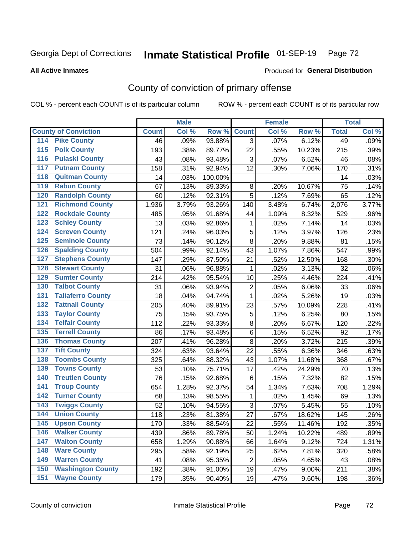# Inmate Statistical Profile 01-SEP-19 Page 72

### **All Active Inmates**

### Produced for General Distribution

## County of conviction of primary offense

COL % - percent each COUNT is of its particular column

|                                          |              | <b>Male</b> |         |                | <b>Female</b> |          |              | <b>Total</b> |
|------------------------------------------|--------------|-------------|---------|----------------|---------------|----------|--------------|--------------|
| <b>County of Conviction</b>              | <b>Count</b> | Col %       | Row %   | <b>Count</b>   | Col %         | Row %    | <b>Total</b> | Col %        |
| <b>Pike County</b><br>114                | 46           | .09%        | 93.88%  | 3              | .07%          | 6.12%    | 49           | .09%         |
| <b>Polk County</b><br>$\overline{115}$   | 193          | .38%        | 89.77%  | 22             | .55%          | 10.23%   | 215          | .39%         |
| <b>Pulaski County</b><br>116             | 43           | .08%        | 93.48%  | 3              | .07%          | 6.52%    | 46           | .08%         |
| <b>Putnam County</b><br>117              | 158          | .31%        | 92.94%  | 12             | .30%          | 7.06%    | 170          | .31%         |
| <b>Quitman County</b><br>118             | 14           | .03%        | 100.00% |                |               |          | 14           | .03%         |
| <b>Rabun County</b><br>119               | 67           | .13%        | 89.33%  | 8              | .20%          | 10.67%   | 75           | .14%         |
| <b>Randolph County</b><br>120            | 60           | .12%        | 92.31%  | $\overline{5}$ | .12%          | 7.69%    | 65           | .12%         |
| <b>Richmond County</b><br>121            | 1,936        | 3.79%       | 93.26%  | 140            | 3.48%         | 6.74%    | 2,076        | 3.77%        |
| <b>Rockdale County</b><br>122            | 485          | .95%        | 91.68%  | 44             | 1.09%         | 8.32%    | 529          | .96%         |
| <b>Schley County</b><br>123              | 13           | .03%        | 92.86%  | 1              | .02%          | 7.14%    | 14           | .03%         |
| <b>Screven County</b><br>124             | 121          | .24%        | 96.03%  | 5              | .12%          | 3.97%    | 126          | .23%         |
| <b>Seminole County</b><br>125            | 73           | .14%        | 90.12%  | 8              | .20%          | 9.88%    | 81           | .15%         |
| <b>Spalding County</b><br>126            | 504          | .99%        | 92.14%  | 43             | 1.07%         | 7.86%    | 547          | .99%         |
| <b>Stephens County</b><br>127            | 147          | .29%        | 87.50%  | 21             | .52%          | 12.50%   | 168          | .30%         |
| <b>Stewart County</b><br>128             | 31           | .06%        | 96.88%  | 1              | .02%          | 3.13%    | 32           | .06%         |
| <b>Sumter County</b><br>129              | 214          | .42%        | 95.54%  | 10             | .25%          | 4.46%    | 224          | .41%         |
| <b>Talbot County</b><br>130              | 31           | .06%        | 93.94%  | $\overline{2}$ | .05%          | 6.06%    | 33           | .06%         |
| <b>Taliaferro County</b><br>131          | 18           | .04%        | 94.74%  | 1              | .02%          | 5.26%    | 19           | .03%         |
| <b>Tattnall County</b><br>132            | 205          | .40%        | 89.91%  | 23             | .57%          | 10.09%   | 228          | .41%         |
| <b>Taylor County</b><br>133              | 75           | .15%        | 93.75%  | 5              | .12%          | 6.25%    | 80           | .15%         |
| <b>Telfair County</b><br>134             | 112          | .22%        | 93.33%  | 8              | .20%          | 6.67%    | 120          | .22%         |
| <b>Terrell County</b><br>135             | 86           | .17%        | 93.48%  | 6              | .15%          | 6.52%    | 92           | .17%         |
| <b>Thomas County</b><br>136              | 207          | .41%        | 96.28%  | 8              | .20%          | 3.72%    | 215          | .39%         |
| <b>Tift County</b><br>137                | 324          | .63%        | 93.64%  | 22             | .55%          | 6.36%    | 346          | .63%         |
| <b>Toombs County</b><br>138              | 325          | .64%        | 88.32%  | 43             | 1.07%         | 11.68%   | 368          | .67%         |
| <b>Towns County</b><br>139               | 53           | .10%        | 75.71%  | 17             | .42%          | 24.29%   | 70           | .13%         |
| <b>Treutlen County</b><br>140            | 76           | .15%        | 92.68%  | 6              | .15%          | 7.32%    | 82           | .15%         |
| <b>Troup County</b><br>141               | 654          | 1.28%       | 92.37%  | 54             | 1.34%         | 7.63%    | 708          | 1.29%        |
| <b>Turner County</b><br>142              | 68           | .13%        | 98.55%  | 1              | .02%          | 1.45%    | 69           | .13%         |
| <b>Twiggs County</b><br>$\overline{143}$ | 52           | .10%        | 94.55%  | 3              | .07%          | 5.45%    | 55           | .10%         |
| <b>Union County</b><br>144               | 118          | .23%        | 81.38%  | 27             | .67%          | 18.62%   | 145          | .26%         |
| 145<br><b>Upson County</b>               | 170          | .33%        | 88.54%  | 22             | .55%          | 11.46%   | 192          | .35%         |
| <b>Walker County</b><br>146              | 439          | .86%        | 89.78%  | 50             | 1.24%         | 10.22%   | 489          | .89%         |
| <b>Walton County</b><br>147              | 658          | 1.29%       | 90.88%  | 66             | 1.64%         | 9.12%    | 724          | 1.31%        |
| <b>Ware County</b><br>148                | 295          | .58%        | 92.19%  | 25             | .62%          | 7.81%    | 320          | .58%         |
| <b>Warren County</b><br>149              | 41           | .08%        | 95.35%  | $\overline{2}$ | .05%          | 4.65%    | 43           | .08%         |
| <b>Washington County</b><br>150          | 192          | .38%        | 91.00%  | 19             | .47%          | $9.00\%$ | 211          | .38%         |
| <b>Wayne County</b><br>151               | 179          | .35%        | 90.40%  | 19             | .47%          | 9.60%    | 198          | .36%         |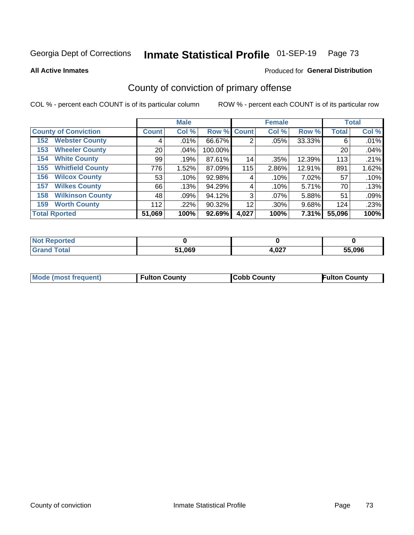# Inmate Statistical Profile 01-SEP-19 Page 73

**All Active Inmates** 

### Produced for General Distribution

## County of conviction of primary offense

COL % - percent each COUNT is of its particular column

|                                |              | <b>Male</b> |             |       | <b>Female</b> |              |              | <b>Total</b> |
|--------------------------------|--------------|-------------|-------------|-------|---------------|--------------|--------------|--------------|
| <b>County of Conviction</b>    | <b>Count</b> | Col %       | Row % Count |       | Col %         | Row %        | <b>Total</b> | Col %        |
| <b>Webster County</b><br>152   |              | .01%        | 66.67%      | 2     | .05%          | 33.33%       | 6            | .01%         |
| <b>Wheeler County</b><br>153   | 20           | $.04\%$     | 100.00%     |       |               |              | 20           | .04%         |
| <b>White County</b><br>154     | 99           | .19%        | 87.61%      | 14    | .35%          | 12.39%       | 113          | .21%         |
| <b>Whitfield County</b><br>155 | 776          | 1.52%       | 87.09%      | 115   | 2.86%         | 12.91%       | 891          | 1.62%        |
| <b>Wilcox County</b><br>156    | 53           | .10%        | 92.98%      | 4     | .10%          | 7.02%        | 57           | .10%         |
| <b>Wilkes County</b><br>157    | 66           | .13%        | 94.29%      | 4     | .10%          | 5.71%        | 70           | .13%         |
| <b>Wilkinson County</b><br>158 | 48           | .09%        | 94.12%      | 3     | $.07\%$       | 5.88%        | 51           | .09%         |
| <b>Worth County</b><br>159     | 112          | $.22\%$     | 90.32%      | 12    | .30%          | 9.68%        | 124          | .23%         |
| <b>Total Rported</b>           | 51,069       | 100%        | 92.69%      | 4,027 | 100%          | <b>7.31%</b> | 55,096       | 100%         |

| <b>Not Reported</b> |        |       |        |
|---------------------|--------|-------|--------|
| <b>Grand Total</b>  | 51,069 | 4,027 | 55,096 |

| Mode (most frequent) | <b>Fulton County</b> | <b>Cobb County</b> | <b>Fulton County</b> |
|----------------------|----------------------|--------------------|----------------------|
|                      |                      |                    |                      |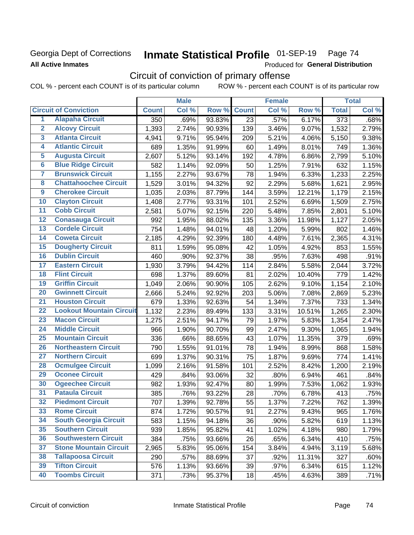### Georgia Dept of Corrections **All Active Inmates**

#### Inmate Statistical Profile 01-SEP-19 Page 74

Produced for General Distribution

## Circuit of conviction of primary offense

|                         |                                 |              | <b>Male</b> |        |                 | <b>Female</b> |        |                  | <b>Total</b> |
|-------------------------|---------------------------------|--------------|-------------|--------|-----------------|---------------|--------|------------------|--------------|
|                         | <b>Circuit of Conviction</b>    | <b>Count</b> | Col %       | Row %  | <b>Count</b>    | Col %         | Row %  | <b>Total</b>     | Col %        |
| 1                       | <b>Alapaha Circuit</b>          | 350          | .69%        | 93.83% | $\overline{23}$ | .57%          | 6.17%  | $\overline{373}$ | .68%         |
| $\overline{2}$          | <b>Alcovy Circuit</b>           | 1,393        | 2.74%       | 90.93% | 139             | 3.46%         | 9.07%  | 1,532            | 2.79%        |
| $\overline{\mathbf{3}}$ | <b>Atlanta Circuit</b>          | 4,941        | 9.71%       | 95.94% | 209             | 5.21%         | 4.06%  | 5,150            | 9.38%        |
| 4                       | <b>Atlantic Circuit</b>         | 689          | 1.35%       | 91.99% | 60              | 1.49%         | 8.01%  | 749              | 1.36%        |
| 5                       | <b>Augusta Circuit</b>          | 2,607        | 5.12%       | 93.14% | 192             | 4.78%         | 6.86%  | 2,799            | 5.10%        |
| $\overline{\bf{6}}$     | <b>Blue Ridge Circuit</b>       | 582          | 1.14%       | 92.09% | 50              | 1.25%         | 7.91%  | 632              | 1.15%        |
| 7                       | <b>Brunswick Circuit</b>        | 1,155        | 2.27%       | 93.67% | 78              | 1.94%         | 6.33%  | 1,233            | 2.25%        |
| $\overline{\mathbf{8}}$ | <b>Chattahoochee Circuit</b>    | 1,529        | 3.01%       | 94.32% | 92              | 2.29%         | 5.68%  | 1,621            | 2.95%        |
| $\overline{9}$          | <b>Cherokee Circuit</b>         | 1,035        | 2.03%       | 87.79% | 144             | 3.59%         | 12.21% | 1,179            | 2.15%        |
| 10                      | <b>Clayton Circuit</b>          | 1,408        | 2.77%       | 93.31% | 101             | 2.52%         | 6.69%  | 1,509            | 2.75%        |
| $\overline{11}$         | <b>Cobb Circuit</b>             | 2,581        | 5.07%       | 92.15% | 220             | 5.48%         | 7.85%  | 2,801            | 5.10%        |
| $\overline{12}$         | <b>Conasauga Circuit</b>        | 992          | 1.95%       | 88.02% | 135             | 3.36%         | 11.98% | 1,127            | 2.05%        |
| 13                      | <b>Cordele Circuit</b>          | 754          | 1.48%       | 94.01% | 48              | 1.20%         | 5.99%  | 802              | 1.46%        |
| $\overline{14}$         | <b>Coweta Circuit</b>           | 2,185        | 4.29%       | 92.39% | 180             | 4.48%         | 7.61%  | 2,365            | 4.31%        |
| 15                      | <b>Dougherty Circuit</b>        | 811          | 1.59%       | 95.08% | 42              | 1.05%         | 4.92%  | 853              | 1.55%        |
| 16                      | <b>Dublin Circuit</b>           | 460          | .90%        | 92.37% | 38              | .95%          | 7.63%  | 498              | .91%         |
| 17                      | <b>Eastern Circuit</b>          | 1,930        | 3.79%       | 94.42% | 114             | 2.84%         | 5.58%  | 2,044            | 3.72%        |
| $\overline{18}$         | <b>Flint Circuit</b>            | 698          | 1.37%       | 89.60% | 81              | 2.02%         | 10.40% | 779              | 1.42%        |
| 19                      | <b>Griffin Circuit</b>          | 1,049        | 2.06%       | 90.90% | 105             | 2.62%         | 9.10%  | 1,154            | 2.10%        |
| 20                      | <b>Gwinnett Circuit</b>         | 2,666        | 5.24%       | 92.92% | 203             | 5.06%         | 7.08%  | 2,869            | 5.23%        |
| $\overline{21}$         | <b>Houston Circuit</b>          | 679          | 1.33%       | 92.63% | 54              | 1.34%         | 7.37%  | 733              | 1.34%        |
| $\overline{22}$         | <b>Lookout Mountain Circuit</b> | 1,132        | 2.23%       | 89.49% | 133             | 3.31%         | 10.51% | 1,265            | 2.30%        |
| 23                      | <b>Macon Circuit</b>            | 1,275        | 2.51%       | 94.17% | 79              | 1.97%         | 5.83%  | 1,354            | 2.47%        |
| $\overline{24}$         | <b>Middle Circuit</b>           | 966          | 1.90%       | 90.70% | 99              | 2.47%         | 9.30%  | 1,065            | 1.94%        |
| $\overline{25}$         | <b>Mountain Circuit</b>         | 336          | .66%        | 88.65% | 43              | 1.07%         | 11.35% | 379              | .69%         |
| 26                      | <b>Northeastern Circuit</b>     | 790          | 1.55%       | 91.01% | 78              | 1.94%         | 8.99%  | 868              | 1.58%        |
| $\overline{27}$         | <b>Northern Circuit</b>         | 699          | 1.37%       | 90.31% | 75              | 1.87%         | 9.69%  | 774              | 1.41%        |
| 28                      | <b>Ocmulgee Circuit</b>         | 1,099        | 2.16%       | 91.58% | 101             | 2.52%         | 8.42%  | 1,200            | 2.19%        |
| 29                      | <b>Oconee Circuit</b>           | 429          | .84%        | 93.06% | 32              | .80%          | 6.94%  | 461              | .84%         |
| 30                      | <b>Ogeechee Circuit</b>         | 982          | 1.93%       | 92.47% | 80              | 1.99%         | 7.53%  | 1,062            | 1.93%        |
| $\overline{31}$         | <b>Pataula Circuit</b>          | 385          | .76%        | 93.22% | 28              | .70%          | 6.78%  | 413              | .75%         |
| 32                      | <b>Piedmont Circuit</b>         | 707          | 1.39%       | 92.78% | 55              | 1.37%         | 7.22%  | 762              | 1.39%        |
| 33                      | <b>Rome Circuit</b>             | 874          | 1.72%       | 90.57% | 91              | 2.27%         | 9.43%  | 965              | 1.76%        |
| 34                      | <b>South Georgia Circuit</b>    | 583          | 1.15%       | 94.18% | 36              | .90%          | 5.82%  | 619              | 1.13%        |
| 35                      | <b>Southern Circuit</b>         | 939          | 1.85%       | 95.82% | 41              | 1.02%         | 4.18%  | 980              | 1.79%        |
| 36                      | <b>Southwestern Circuit</b>     | 384          | .75%        | 93.66% | 26              | .65%          | 6.34%  | 410              | .75%         |
| 37                      | <b>Stone Mountain Circuit</b>   | 2,965        | 5.83%       | 95.06% | 154             | 3.84%         | 4.94%  | 3,119            | 5.68%        |
| 38                      | <b>Tallapoosa Circuit</b>       | 290          | .57%        | 88.69% | 37              | .92%          | 11.31% | 327              | .60%         |
| 39                      | <b>Tifton Circuit</b>           | 576          | 1.13%       | 93.66% | 39              | .97%          | 6.34%  | 615              | 1.12%        |
| 40                      | <b>Toombs Circuit</b>           | 371          | .73%        | 95.37% | 18              | .45%          | 4.63%  | 389              | .71%         |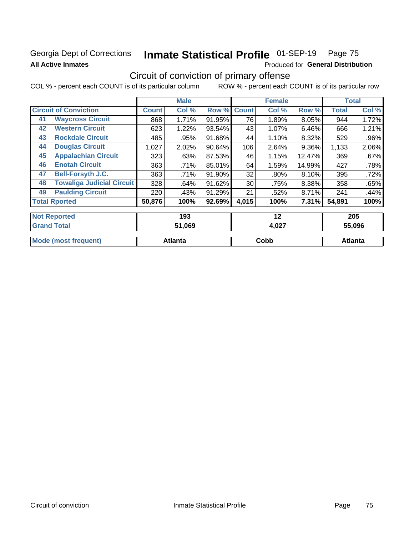### Georgia Dept of Corrections **All Active Inmates**

# Inmate Statistical Profile 01-SEP-19 Page 75

Produced for General Distribution

## Circuit of conviction of primary offense

|                                        |              | <b>Male</b> |        |              | <b>Female</b> |          |        | <b>Total</b> |
|----------------------------------------|--------------|-------------|--------|--------------|---------------|----------|--------|--------------|
| <b>Circuit of Conviction</b>           | <b>Count</b> | Col %       | Row %  | <b>Count</b> | Col %         | Row %    | Total  | Col %        |
| <b>Waycross Circuit</b><br>41          | 868          | 1.71%       | 91.95% | 76           | 1.89%         | 8.05%    | 944    | 1.72%        |
| <b>Western Circuit</b><br>42           | 623          | 1.22%       | 93.54% | 43           | $1.07\%$      | 6.46%    | 666    | 1.21%        |
| <b>Rockdale Circuit</b><br>43          | 485          | .95%        | 91.68% | 44           | 1.10%         | 8.32%    | 529    | $.96\%$      |
| <b>Douglas Circuit</b><br>44           | 1,027        | 2.02%       | 90.64% | 106          | 2.64%         | $9.36\%$ | 1,133  | 2.06%        |
| <b>Appalachian Circuit</b><br>45       | 323          | .63%        | 87.53% | 46           | 1.15%         | 12.47%   | 369    | .67%         |
| <b>Enotah Circuit</b><br>46            | 363          | .71%        | 85.01% | 64           | 1.59%         | 14.99%   | 427    | .78%         |
| 47<br><b>Bell-Forsyth J.C.</b>         | 363          | .71%        | 91.90% | 32           | .80%          | 8.10%    | 395    | .72%         |
| <b>Towaliga Judicial Circuit</b><br>48 | 328          | .64%        | 91.62% | 30           | .75%          | 8.38%    | 358    | .65%         |
| <b>Paulding Circuit</b><br>49          | 220          | .43%        | 91.29% | 21           | .52%          | 8.71%    | 241    | .44%         |
| <b>Total Rported</b>                   | 50,876       | 100%        | 92.69% | 4,015        | 100%          | 7.31%    | 54,891 | 100%         |
| <b>Not Reported</b>                    |              | 193         |        |              | 12            |          |        | 205          |
| <b>Considered</b> Tradelli             |              | 21 ACA      |        |              | , ^^7         |          |        | PP AAA       |

| otal                      | .069    | 4.027 | 5.096   |
|---------------------------|---------|-------|---------|
| Mode (most f<br>frequent) | Atlanta | Cobb  | Atlanta |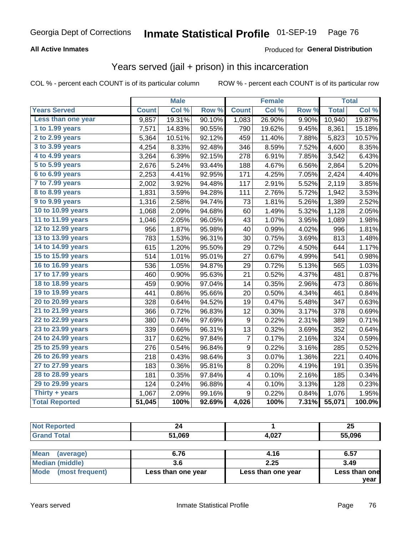#### **All Active Inmates**

#### Produced for **General Distribution**

## Years served (jail + prison) in this incarceration

|                              |              | <b>Male</b> |        |              | <b>Female</b> |       |              | <b>Total</b> |
|------------------------------|--------------|-------------|--------|--------------|---------------|-------|--------------|--------------|
| <b>Years Served</b>          | <b>Count</b> | Col %       | Row %  | <b>Count</b> | Col %         | Row % | <b>Total</b> | Col %        |
| Less than one year           | 9,857        | 19.31%      | 90.10% | 1,083        | 26.90%        | 9.90% | 10,940       | 19.87%       |
| 1 to 1.99 years              | 7,571        | 14.83%      | 90.55% | 790          | 19.62%        | 9.45% | 8,361        | 15.18%       |
| 2 to 2.99 years              | 5,364        | 10.51%      | 92.12% | 459          | 11.40%        | 7.88% | 5,823        | 10.57%       |
| $3$ to $3.99$ years          | 4,254        | 8.33%       | 92.48% | 346          | 8.59%         | 7.52% | 4,600        | 8.35%        |
| $\overline{4}$ to 4.99 years | 3,264        | 6.39%       | 92.15% | 278          | 6.91%         | 7.85% | 3,542        | 6.43%        |
| $\overline{5}$ to 5.99 years | 2,676        | 5.24%       | 93.44% | 188          | 4.67%         | 6.56% | 2,864        | 5.20%        |
| $6$ to $6.99$ years          | 2,253        | 4.41%       | 92.95% | 171          | 4.25%         | 7.05% | 2,424        | 4.40%        |
| 7 to 7.99 years              | 2,002        | 3.92%       | 94.48% | 117          | 2.91%         | 5.52% | 2,119        | 3.85%        |
| 8 to 8.99 years              | 1,831        | 3.59%       | 94.28% | 111          | 2.76%         | 5.72% | 1,942        | 3.53%        |
| 9 to 9.99 years              | 1,316        | 2.58%       | 94.74% | 73           | 1.81%         | 5.26% | 1,389        | 2.52%        |
| 10 to 10.99 years            | 1,068        | 2.09%       | 94.68% | 60           | 1.49%         | 5.32% | 1,128        | 2.05%        |
| 11 to 11.99 years            | 1,046        | 2.05%       | 96.05% | 43           | 1.07%         | 3.95% | 1,089        | 1.98%        |
| 12 to 12.99 years            | 956          | 1.87%       | 95.98% | 40           | 0.99%         | 4.02% | 996          | 1.81%        |
| 13 to 13.99 years            | 783          | 1.53%       | 96.31% | 30           | 0.75%         | 3.69% | 813          | 1.48%        |
| 14 to 14.99 years            | 615          | 1.20%       | 95.50% | 29           | 0.72%         | 4.50% | 644          | 1.17%        |
| 15 to 15.99 years            | 514          | 1.01%       | 95.01% | 27           | 0.67%         | 4.99% | 541          | 0.98%        |
| 16 to 16.99 years            | 536          | 1.05%       | 94.87% | 29           | 0.72%         | 5.13% | 565          | 1.03%        |
| 17 to 17.99 years            | 460          | 0.90%       | 95.63% | 21           | 0.52%         | 4.37% | 481          | 0.87%        |
| 18 to 18.99 years            | 459          | 0.90%       | 97.04% | 14           | 0.35%         | 2.96% | 473          | 0.86%        |
| 19 to 19.99 years            | 441          | 0.86%       | 95.66% | 20           | 0.50%         | 4.34% | 461          | 0.84%        |
| 20 to 20.99 years            | 328          | 0.64%       | 94.52% | 19           | 0.47%         | 5.48% | 347          | 0.63%        |
| 21 to 21.99 years            | 366          | 0.72%       | 96.83% | 12           | 0.30%         | 3.17% | 378          | 0.69%        |
| 22 to 22.99 years            | 380          | 0.74%       | 97.69% | 9            | 0.22%         | 2.31% | 389          | 0.71%        |
| 23 to 23.99 years            | 339          | 0.66%       | 96.31% | 13           | 0.32%         | 3.69% | 352          | 0.64%        |
| 24 to 24.99 years            | 317          | 0.62%       | 97.84% | 7            | 0.17%         | 2.16% | 324          | 0.59%        |
| 25 to 25.99 years            | 276          | 0.54%       | 96.84% | 9            | 0.22%         | 3.16% | 285          | 0.52%        |
| 26 to 26.99 years            | 218          | 0.43%       | 98.64% | 3            | 0.07%         | 1.36% | 221          | 0.40%        |
| 27 to 27.99 years            | 183          | 0.36%       | 95.81% | 8            | 0.20%         | 4.19% | 191          | 0.35%        |
| 28 to 28.99 years            | 181          | 0.35%       | 97.84% | 4            | 0.10%         | 2.16% | 185          | 0.34%        |
| 29 to 29.99 years            | 124          | 0.24%       | 96.88% | 4            | 0.10%         | 3.13% | 128          | 0.23%        |
| Thirty + years               | 1,067        | 2.09%       | 99.16% | 9            | 0.22%         | 0.84% | 1,076        | 1.95%        |
| <b>Total Reported</b>        | 51,045       | 100%        | 92.69% | 4,026        | 100%          | 7.31% | 55,071       | 100.0%       |

| י כ         |                  | 25     |
|-------------|------------------|--------|
| ,069<br>C 4 | $\sim$<br>7,VZ 1 | 55,096 |

| Mean<br>(average)    | 6.76               | 4.16               | 6.57          |
|----------------------|--------------------|--------------------|---------------|
| Median (middle)      |                    | 2.25               | 3.49          |
| Mode (most frequent) | Less than one year | Less than one year | Less than one |
|                      |                    |                    | vear          |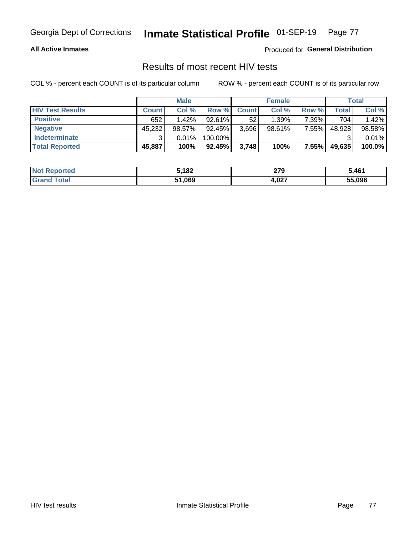#### **All Active Inmates**

Produced for **General Distribution**

### Results of most recent HIV tests

|                         |              | <b>Male</b> |         |              | <b>Female</b> |       |        | Total  |
|-------------------------|--------------|-------------|---------|--------------|---------------|-------|--------|--------|
| <b>HIV Test Results</b> | <b>Count</b> | Col %       | Row %I  | <b>Count</b> | Col %         | Row % | Total  | Col %  |
| <b>Positive</b>         | 652          | 1.42%       | 92.61%  | 52           | 1.39%         | 7.39% | 704    | 1.42%  |
| <b>Negative</b>         | 45,232       | 98.57%      | 92.45%  | 3,696        | 98.61%        | 7.55% | 48,928 | 98.58% |
| Indeterminate           | ົ            | 0.01%       | 100.00% |              |               |       |        | 0.01%  |
| <b>Total Reported</b>   | 45,887       | 100%        | 92.45%  | 3,748        | 100%          | 7.55% | 49,635 | 100.0% |

| <b>Not Reported</b>          | 5,182  | חדר<br>21 J | 5,461  |
|------------------------------|--------|-------------|--------|
| <b>Total</b><br><b>Grand</b> | 51,069 | 4,027       | 55,096 |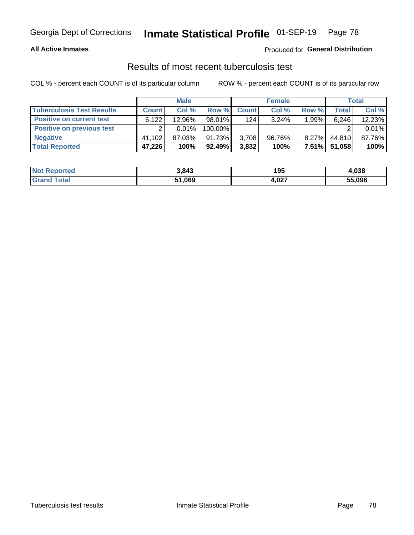#### **All Active Inmates**

### Produced for **General Distribution**

### Results of most recent tuberculosis test

|                                  |              | <b>Male</b> |           |              | <b>Female</b> |          |        | Total  |
|----------------------------------|--------------|-------------|-----------|--------------|---------------|----------|--------|--------|
| <b>Tuberculosis Test Results</b> | <b>Count</b> | Col%        | Row %I    | <b>Count</b> | Col%          | Row %    | Total  | Col %  |
| <b>Positive on current test</b>  | 6,122        | 12.96%      | $98.01\%$ | 124          | $3.24\%$      | 1.99%    | 6,246  | 12.23% |
| <b>Positive on previous test</b> | ົ            | $0.01\%$    | 100.00%   |              |               |          |        | 0.01%  |
| <b>Negative</b>                  | 41.102       | $87.03\%$   | 91.73%    | 3,708        | 96.76%        | $8.27\%$ | 44,810 | 87.76% |
| <b>Total Reported</b>            | 47,226       | 100%        | $92.49\%$ | 3,832        | 100%          | $7.51\%$ | 51.058 | 100%   |

| <b>Not Reported</b> | 3,843  | 195   | ,038   |
|---------------------|--------|-------|--------|
| Total<br>' Grand    | 51,069 | 4,027 | 55,096 |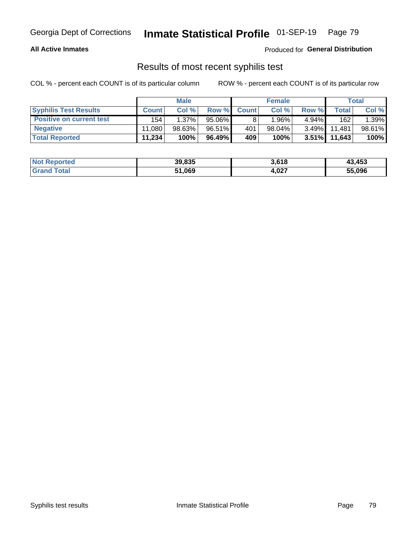#### **All Active Inmates**

Produced for **General Distribution**

### Results of most recent syphilis test

|                                 |              | <b>Male</b> |           |              | <b>Female</b> |          |        | Total  |
|---------------------------------|--------------|-------------|-----------|--------------|---------------|----------|--------|--------|
| <b>Syphilis Test Results</b>    | <b>Count</b> | Col %       | Row %     | <b>Count</b> | Col %         | Row %    | Total  | Col %  |
| <b>Positive on current test</b> | 154          | 1.37%       | $95.06\%$ |              | 1.96%         | $4.94\%$ | 162    | 1.39%  |
| <b>Negative</b>                 | 11.080       | $98.63\%$   | 96.51%    | 401          | $98.04\%$     | $3.49\%$ | 11.481 | 98.61% |
| <b>Total Reported</b>           | 11,234       | 100%        | 96.49%    | 409          | 100%          | $3.51\%$ | 11,643 | 100%   |

| <b>Not Reported</b> | 39,835 | 3,618 | 43,453 |
|---------------------|--------|-------|--------|
| <b>Grand Total</b>  | 51,069 | 4,027 | 55,096 |